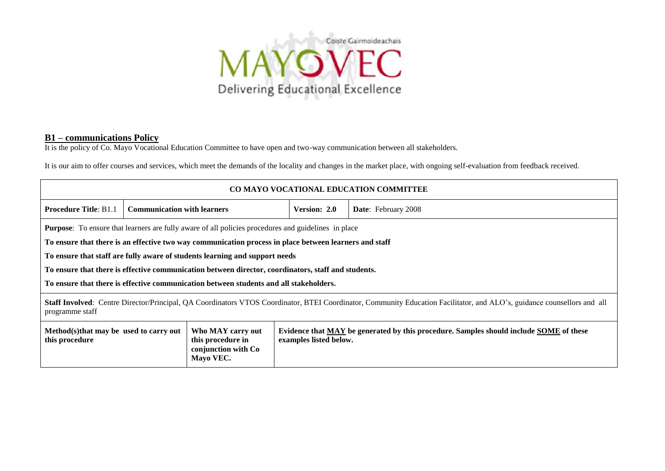

## **B1 – communications Policy**

It is the policy of Co. Mayo Vocational Education Committee to have open and two-way communication between all stakeholders.

It is our aim to offer courses and services, which meet the demands of the locality and changes in the market place, with ongoing self-evaluation from feedback received.

| CO MAYO VOCATIONAL EDUCATION COMMITTEE                                                                                                                                                                                                                     |                                                                                                            |                                                                                                        |                                            |  |  |  |
|------------------------------------------------------------------------------------------------------------------------------------------------------------------------------------------------------------------------------------------------------------|------------------------------------------------------------------------------------------------------------|--------------------------------------------------------------------------------------------------------|--------------------------------------------|--|--|--|
| <b>Procedure Title: B1.1</b>                                                                                                                                                                                                                               | <b>Communication with learners</b>                                                                         |                                                                                                        | Version: 2.0<br><b>Date:</b> February 2008 |  |  |  |
|                                                                                                                                                                                                                                                            | <b>Purpose:</b> To ensure that learners are fully aware of all policies procedures and guidelines in place |                                                                                                        |                                            |  |  |  |
|                                                                                                                                                                                                                                                            |                                                                                                            | To ensure that there is an effective two way communication process in place between learners and staff |                                            |  |  |  |
|                                                                                                                                                                                                                                                            |                                                                                                            | To ensure that staff are fully aware of students learning and support needs                            |                                            |  |  |  |
|                                                                                                                                                                                                                                                            |                                                                                                            | To ensure that there is effective communication between director, coordinators, staff and students.    |                                            |  |  |  |
|                                                                                                                                                                                                                                                            | To ensure that there is effective communication between students and all stakeholders.                     |                                                                                                        |                                            |  |  |  |
| Staff Involved: Centre Director/Principal, QA Coordinators VTOS Coordinator, BTEI Coordinator, Community Education Facilitator, and ALO's, guidance counsellors and all<br>programme staff                                                                 |                                                                                                            |                                                                                                        |                                            |  |  |  |
| Evidence that MAY be generated by this procedure. Samples should include SOME of these<br>Method(s)that may be used to carry out<br>Who MAY carry out<br>this procedure in<br>examples listed below.<br>this procedure<br>conjunction with Co<br>Mayo VEC. |                                                                                                            |                                                                                                        |                                            |  |  |  |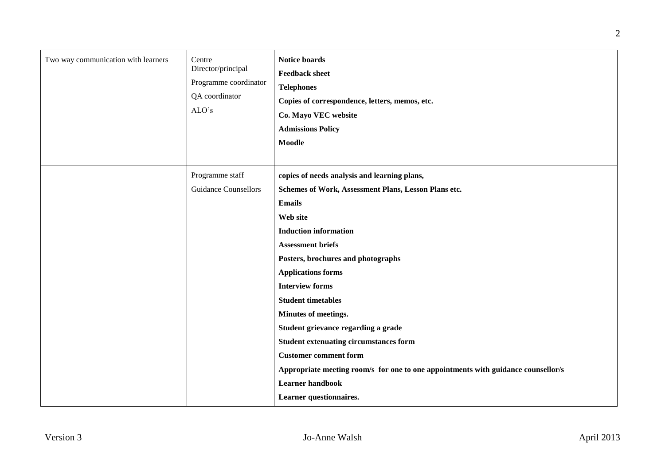| Two way communication with learners | Centre<br>Director/principal<br>Programme coordinator<br>QA coordinator<br>ALO's | <b>Notice boards</b><br><b>Feedback sheet</b><br><b>Telephones</b><br>Copies of correspondence, letters, memos, etc.<br>Co. Mayo VEC website<br><b>Admissions Policy</b><br><b>Moodle</b>                                                                                                                                                                                                                                                                                                                                                                                                                          |
|-------------------------------------|----------------------------------------------------------------------------------|--------------------------------------------------------------------------------------------------------------------------------------------------------------------------------------------------------------------------------------------------------------------------------------------------------------------------------------------------------------------------------------------------------------------------------------------------------------------------------------------------------------------------------------------------------------------------------------------------------------------|
|                                     | Programme staff<br><b>Guidance Counsellors</b>                                   | copies of needs analysis and learning plans,<br>Schemes of Work, Assessment Plans, Lesson Plans etc.<br><b>Emails</b><br>Web site<br><b>Induction information</b><br><b>Assessment briefs</b><br>Posters, brochures and photographs<br><b>Applications forms</b><br><b>Interview forms</b><br><b>Student timetables</b><br>Minutes of meetings.<br>Student grievance regarding a grade<br><b>Student extenuating circumstances form</b><br><b>Customer comment form</b><br>Appropriate meeting room/s for one to one appointments with guidance counsellor/s<br><b>Learner handbook</b><br>Learner questionnaires. |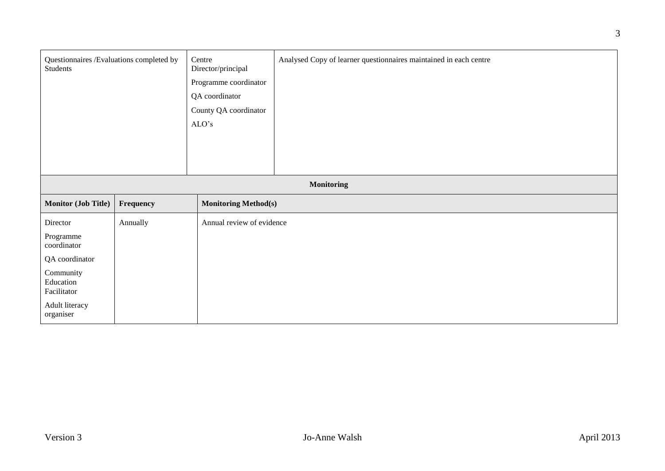| Questionnaires /Evaluations completed by<br>Students |                   | Centre<br>Director/principal<br>Programme coordinator<br>QA coordinator<br>County QA coordinator<br>ALO's | Analysed Copy of learner questionnaires maintained in each centre |  |  |  |
|------------------------------------------------------|-------------------|-----------------------------------------------------------------------------------------------------------|-------------------------------------------------------------------|--|--|--|
|                                                      | <b>Monitoring</b> |                                                                                                           |                                                                   |  |  |  |
| <b>Monitor (Job Title)</b>                           | Frequency         | <b>Monitoring Method(s)</b>                                                                               |                                                                   |  |  |  |
| Director                                             | Annually          | Annual review of evidence                                                                                 |                                                                   |  |  |  |
| Programme<br>coordinator                             |                   |                                                                                                           |                                                                   |  |  |  |
| QA coordinator                                       |                   |                                                                                                           |                                                                   |  |  |  |
| Community<br>Education<br>Facilitator                |                   |                                                                                                           |                                                                   |  |  |  |
| Adult literacy<br>organiser                          |                   |                                                                                                           |                                                                   |  |  |  |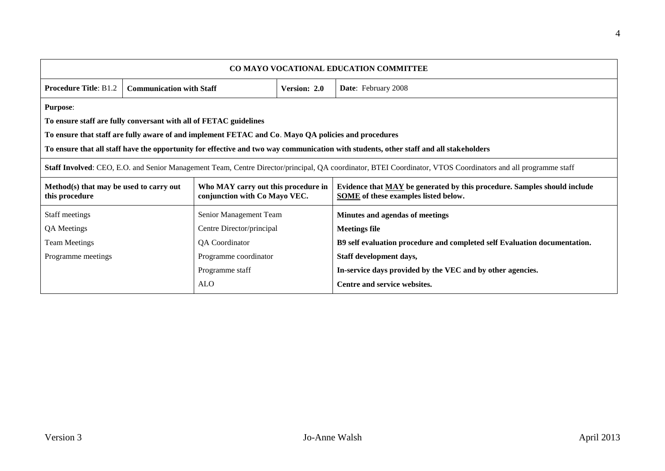|                                                                                                                                   | CO MAYO VOCATIONAL EDUCATION COMMITTEE                                                                                                                       |                                                                                                     |                                                                                                                         |                                                                           |  |  |  |  |
|-----------------------------------------------------------------------------------------------------------------------------------|--------------------------------------------------------------------------------------------------------------------------------------------------------------|-----------------------------------------------------------------------------------------------------|-------------------------------------------------------------------------------------------------------------------------|---------------------------------------------------------------------------|--|--|--|--|
| <b>Procedure Title: B1.2</b>                                                                                                      | <b>Communication with Staff</b><br>Version: 2.0                                                                                                              |                                                                                                     |                                                                                                                         | <b>Date:</b> February 2008                                                |  |  |  |  |
| <b>Purpose:</b>                                                                                                                   |                                                                                                                                                              |                                                                                                     |                                                                                                                         |                                                                           |  |  |  |  |
|                                                                                                                                   | To ensure staff are fully conversant with all of FETAC guidelines                                                                                            |                                                                                                     |                                                                                                                         |                                                                           |  |  |  |  |
|                                                                                                                                   |                                                                                                                                                              | To ensure that staff are fully aware of and implement FETAC and Co. Mayo QA policies and procedures |                                                                                                                         |                                                                           |  |  |  |  |
|                                                                                                                                   | To ensure that all staff have the opportunity for effective and two way communication with students, other staff and all stakeholders                        |                                                                                                     |                                                                                                                         |                                                                           |  |  |  |  |
|                                                                                                                                   | Staff Involved: CEO, E.O. and Senior Management Team, Centre Director/principal, QA coordinator, BTEI Coordinator, VTOS Coordinators and all programme staff |                                                                                                     |                                                                                                                         |                                                                           |  |  |  |  |
| Method(s) that may be used to carry out<br>Who MAY carry out this procedure in<br>conjunction with Co Mayo VEC.<br>this procedure |                                                                                                                                                              |                                                                                                     | Evidence that MAY be generated by this procedure. Samples should include<br><b>SOME</b> of these examples listed below. |                                                                           |  |  |  |  |
| Staff meetings                                                                                                                    |                                                                                                                                                              | Senior Management Team                                                                              |                                                                                                                         | Minutes and agendas of meetings                                           |  |  |  |  |
| QA Meetings                                                                                                                       |                                                                                                                                                              | Centre Director/principal                                                                           |                                                                                                                         | <b>Meetings file</b>                                                      |  |  |  |  |
| <b>Team Meetings</b>                                                                                                              |                                                                                                                                                              | QA Coordinator                                                                                      |                                                                                                                         | B9 self evaluation procedure and completed self Evaluation documentation. |  |  |  |  |
| Programme coordinator<br>Programme meetings                                                                                       |                                                                                                                                                              |                                                                                                     | Staff development days,                                                                                                 |                                                                           |  |  |  |  |
|                                                                                                                                   |                                                                                                                                                              | Programme staff                                                                                     |                                                                                                                         | In-service days provided by the VEC and by other agencies.                |  |  |  |  |
|                                                                                                                                   |                                                                                                                                                              | <b>ALO</b>                                                                                          |                                                                                                                         | Centre and service websites.                                              |  |  |  |  |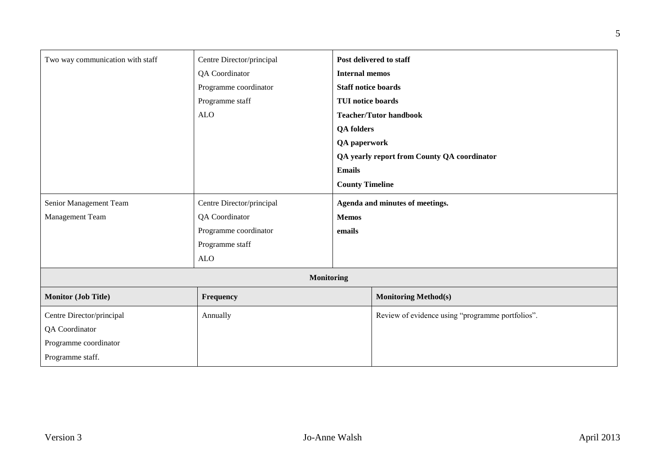| Two way communication with staff | Centre Director/principal                           |                                 | Post delivered to staff                          |  |
|----------------------------------|-----------------------------------------------------|---------------------------------|--------------------------------------------------|--|
|                                  | QA Coordinator<br><b>Internal memos</b>             |                                 |                                                  |  |
|                                  | Programme coordinator<br><b>Staff notice boards</b> |                                 |                                                  |  |
|                                  |                                                     |                                 |                                                  |  |
|                                  | Programme staff<br><b>TUI</b> notice boards         |                                 |                                                  |  |
|                                  | ALO                                                 |                                 | <b>Teacher/Tutor handbook</b>                    |  |
|                                  |                                                     | <b>QA</b> folders               |                                                  |  |
|                                  |                                                     | <b>QA</b> paperwork             |                                                  |  |
|                                  |                                                     |                                 | QA yearly report from County QA coordinator      |  |
|                                  | <b>Emails</b>                                       |                                 |                                                  |  |
|                                  |                                                     | <b>County Timeline</b>          |                                                  |  |
| Senior Management Team           | Centre Director/principal                           | Agenda and minutes of meetings. |                                                  |  |
| Management Team                  | QA Coordinator                                      |                                 | <b>Memos</b>                                     |  |
|                                  | Programme coordinator<br>emails                     |                                 |                                                  |  |
|                                  | Programme staff                                     |                                 |                                                  |  |
|                                  | <b>ALO</b>                                          |                                 |                                                  |  |
|                                  | <b>Monitoring</b>                                   |                                 |                                                  |  |
| <b>Monitor (Job Title)</b>       | Frequency                                           |                                 | <b>Monitoring Method(s)</b>                      |  |
| Centre Director/principal        | Annually                                            |                                 | Review of evidence using "programme portfolios". |  |
| QA Coordinator                   |                                                     |                                 |                                                  |  |
| Programme coordinator            |                                                     |                                 |                                                  |  |
| Programme staff.                 |                                                     |                                 |                                                  |  |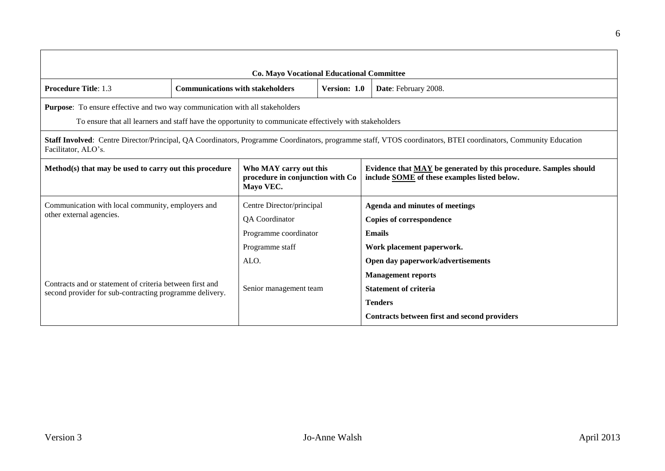| <b>Co. Mayo Vocational Educational Committee</b>                                                                                                                                                     |                                                                                                                                                                                                |                                                                                                                                  |  |                                 |                                                                                                                                                                                                         |  |
|------------------------------------------------------------------------------------------------------------------------------------------------------------------------------------------------------|------------------------------------------------------------------------------------------------------------------------------------------------------------------------------------------------|----------------------------------------------------------------------------------------------------------------------------------|--|---------------------------------|---------------------------------------------------------------------------------------------------------------------------------------------------------------------------------------------------------|--|
| <b>Procedure Title: 1.3</b>                                                                                                                                                                          | <b>Communications with stakeholders</b><br>Version: 1.0                                                                                                                                        |                                                                                                                                  |  |                                 | Date: February 2008.                                                                                                                                                                                    |  |
|                                                                                                                                                                                                      | <b>Purpose:</b> To ensure effective and two way communication with all stakeholders<br>To ensure that all learners and staff have the opportunity to communicate effectively with stakeholders |                                                                                                                                  |  |                                 |                                                                                                                                                                                                         |  |
| Facilitator, ALO's.                                                                                                                                                                                  |                                                                                                                                                                                                |                                                                                                                                  |  |                                 | Staff Involved: Centre Director/Principal, QA Coordinators, Programme Coordinators, programme staff, VTOS coordinators, BTEI coordinators, Community Education                                          |  |
| Method(s) that may be used to carry out this procedure                                                                                                                                               |                                                                                                                                                                                                | Who MAY carry out this<br>procedure in conjunction with Co<br>Mayo VEC.                                                          |  |                                 | Evidence that MAY be generated by this procedure. Samples should<br>include <b>SOME</b> of these examples listed below.                                                                                 |  |
| Communication with local community, employers and<br>other external agencies.<br>Contracts and or statement of criteria between first and<br>second provider for sub-contracting programme delivery. |                                                                                                                                                                                                | Centre Director/principal<br><b>QA</b> Coordinator<br>Programme coordinator<br>Programme staff<br>ALO.<br>Senior management team |  | <b>Emails</b><br><b>Tenders</b> | <b>Agenda and minutes of meetings</b><br><b>Copies of correspondence</b><br>Work placement paperwork.<br>Open day paperwork/advertisements<br><b>Management reports</b><br><b>Statement of criteria</b> |  |
|                                                                                                                                                                                                      |                                                                                                                                                                                                |                                                                                                                                  |  |                                 | Contracts between first and second providers                                                                                                                                                            |  |

 $\blacksquare$ 

 $\blacksquare$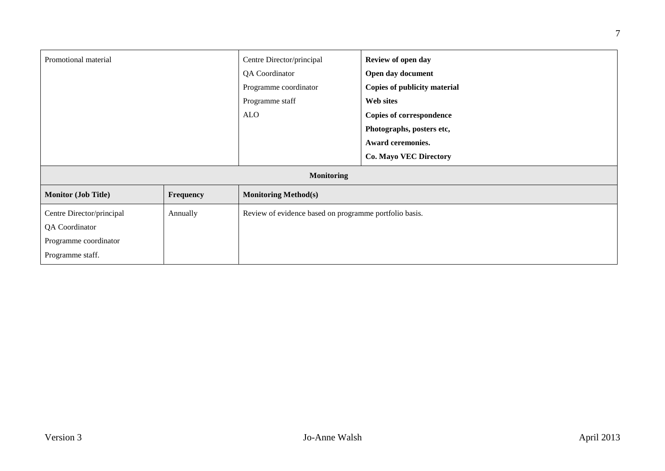| Promotional material       |           | Centre Director/principal<br>QA Coordinator<br>Programme coordinator | Review of open day<br>Open day document<br>Copies of publicity material |
|----------------------------|-----------|----------------------------------------------------------------------|-------------------------------------------------------------------------|
|                            |           | Programme staff                                                      | Web sites                                                               |
|                            |           | <b>ALO</b>                                                           | <b>Copies of correspondence</b>                                         |
|                            |           |                                                                      | Photographs, posters etc,                                               |
|                            |           |                                                                      | Award ceremonies.                                                       |
|                            |           |                                                                      | Co. Mayo VEC Directory                                                  |
|                            |           | <b>Monitoring</b>                                                    |                                                                         |
| <b>Monitor (Job Title)</b> | Frequency | <b>Monitoring Method(s)</b>                                          |                                                                         |
| Centre Director/principal  | Annually  | Review of evidence based on programme portfolio basis.               |                                                                         |
| QA Coordinator             |           |                                                                      |                                                                         |
| Programme coordinator      |           |                                                                      |                                                                         |
| Programme staff.           |           |                                                                      |                                                                         |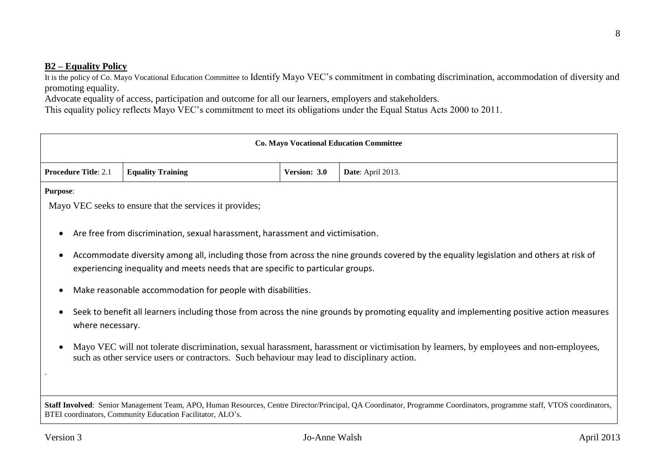## **B2 – Equality Policy**

It is the policy of Co. Mayo Vocational Education Committee to Identify Mayo VEC's commitment in combating discrimination, accommodation of diversity and promoting equality.

Advocate equality of access, participation and outcome for all our learners, employers and stakeholders.

This equality policy reflects Mayo VEC's commitment to meet its obligations under the Equal Status Acts 2000 to 2011.

| <b>Co. Mayo Vocational Education Committee</b>                                                                                                                                                                                        |                                                                                                                                                                                                                            |              |                                                                                                                                                                      |  |  |  |
|---------------------------------------------------------------------------------------------------------------------------------------------------------------------------------------------------------------------------------------|----------------------------------------------------------------------------------------------------------------------------------------------------------------------------------------------------------------------------|--------------|----------------------------------------------------------------------------------------------------------------------------------------------------------------------|--|--|--|
| <b>Procedure Title: 2.1</b>                                                                                                                                                                                                           | <b>Equality Training</b>                                                                                                                                                                                                   | Version: 3.0 | Date: April 2013.                                                                                                                                                    |  |  |  |
| <b>Purpose:</b>                                                                                                                                                                                                                       |                                                                                                                                                                                                                            |              |                                                                                                                                                                      |  |  |  |
|                                                                                                                                                                                                                                       | Mayo VEC seeks to ensure that the services it provides;                                                                                                                                                                    |              |                                                                                                                                                                      |  |  |  |
|                                                                                                                                                                                                                                       | Are free from discrimination, sexual harassment, harassment and victimisation.                                                                                                                                             |              |                                                                                                                                                                      |  |  |  |
|                                                                                                                                                                                                                                       | Accommodate diversity among all, including those from across the nine grounds covered by the equality legislation and others at risk of<br>experiencing inequality and meets needs that are specific to particular groups. |              |                                                                                                                                                                      |  |  |  |
|                                                                                                                                                                                                                                       | Make reasonable accommodation for people with disabilities.                                                                                                                                                                |              |                                                                                                                                                                      |  |  |  |
| Seek to benefit all learners including those from across the nine grounds by promoting equality and implementing positive action measures<br>where necessary.                                                                         |                                                                                                                                                                                                                            |              |                                                                                                                                                                      |  |  |  |
| Mayo VEC will not tolerate discrimination, sexual harassment, harassment or victimisation by learners, by employees and non-employees,<br>such as other service users or contractors. Such behaviour may lead to disciplinary action. |                                                                                                                                                                                                                            |              |                                                                                                                                                                      |  |  |  |
|                                                                                                                                                                                                                                       |                                                                                                                                                                                                                            |              |                                                                                                                                                                      |  |  |  |
|                                                                                                                                                                                                                                       | BTEI coordinators, Community Education Facilitator, ALO's.                                                                                                                                                                 |              | Staff Involved: Senior Management Team, APO, Human Resources, Centre Director/Principal, QA Coordinator, Programme Coordinators, programme staff, VTOS coordinators, |  |  |  |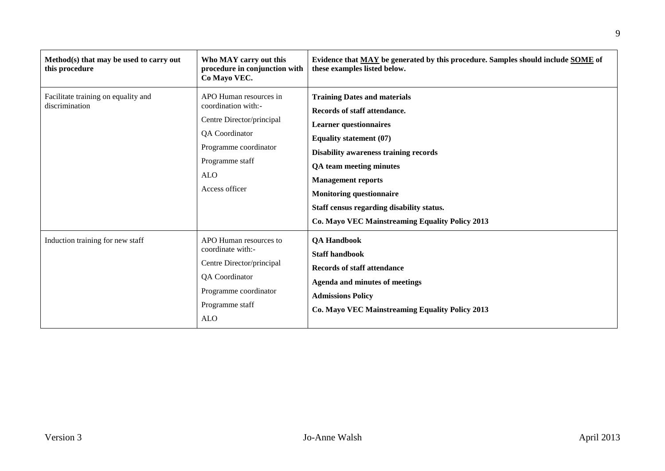| Method(s) that may be used to carry out<br>this procedure | Who MAY carry out this<br>procedure in conjunction with<br>Co Mayo VEC.                                                                                                  | Evidence that MAY be generated by this procedure. Samples should include SOME of<br>these examples listed below.                                                                                                                                                                                                                                                                  |
|-----------------------------------------------------------|--------------------------------------------------------------------------------------------------------------------------------------------------------------------------|-----------------------------------------------------------------------------------------------------------------------------------------------------------------------------------------------------------------------------------------------------------------------------------------------------------------------------------------------------------------------------------|
| Facilitate training on equality and<br>discrimination     | APO Human resources in<br>coordination with:-<br>Centre Director/principal<br>QA Coordinator<br>Programme coordinator<br>Programme staff<br><b>ALO</b><br>Access officer | <b>Training Dates and materials</b><br>Records of staff attendance.<br><b>Learner questionnaires</b><br><b>Equality statement (07)</b><br>Disability awareness training records<br><b>QA</b> team meeting minutes<br><b>Management reports</b><br><b>Monitoring questionnaire</b><br>Staff census regarding disability status.<br>Co. Mayo VEC Mainstreaming Equality Policy 2013 |
| Induction training for new staff                          | APO Human resources to<br>coordinate with:-<br>Centre Director/principal<br>QA Coordinator<br>Programme coordinator<br>Programme staff<br><b>ALO</b>                     | <b>QA Handbook</b><br><b>Staff handbook</b><br><b>Records of staff attendance</b><br><b>Agenda and minutes of meetings</b><br><b>Admissions Policy</b><br>Co. Mayo VEC Mainstreaming Equality Policy 2013                                                                                                                                                                         |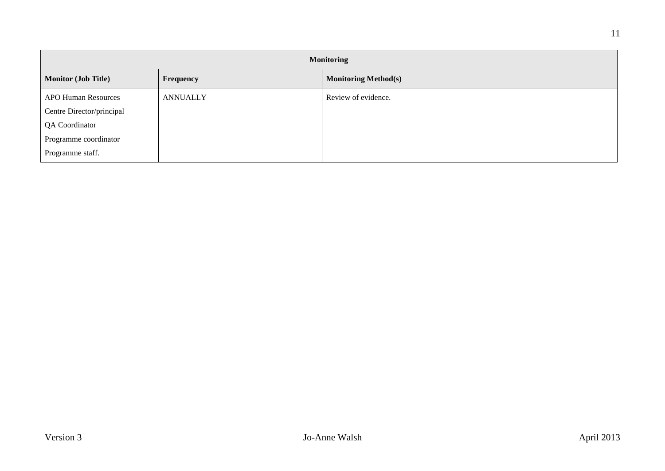| <b>Monitoring</b>          |                 |                             |  |  |
|----------------------------|-----------------|-----------------------------|--|--|
| <b>Monitor (Job Title)</b> | Frequency       | <b>Monitoring Method(s)</b> |  |  |
| <b>APO Human Resources</b> | <b>ANNUALLY</b> | Review of evidence.         |  |  |
| Centre Director/principal  |                 |                             |  |  |
| QA Coordinator             |                 |                             |  |  |
| Programme coordinator      |                 |                             |  |  |
| Programme staff.           |                 |                             |  |  |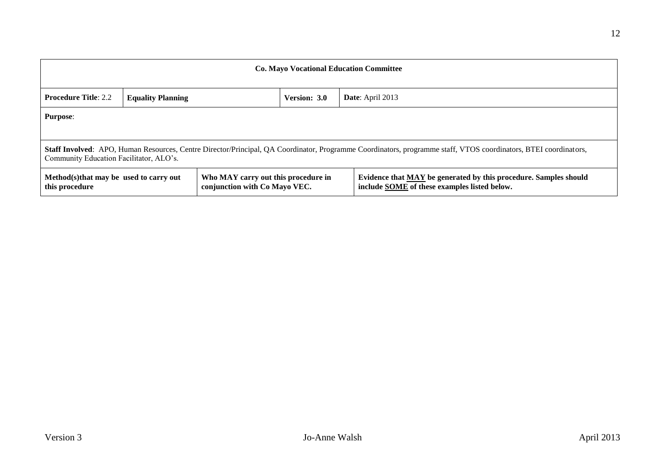| <b>Co. Mayo Vocational Education Committee</b>                                                                                                                                                                    |  |  |  |                                                                                                                  |  |  |
|-------------------------------------------------------------------------------------------------------------------------------------------------------------------------------------------------------------------|--|--|--|------------------------------------------------------------------------------------------------------------------|--|--|
| <b>Procedure Title: 2.2</b><br>Version: 3.0<br><b>Equality Planning</b><br>Date: April 2013                                                                                                                       |  |  |  |                                                                                                                  |  |  |
| <b>Purpose:</b>                                                                                                                                                                                                   |  |  |  |                                                                                                                  |  |  |
| <b>Staff Involved:</b> APO, Human Resources, Centre Director/Principal, QA Coordinator, Programme Coordinators, programme staff, VTOS coordinators, BTEI coordinators,<br>Community Education Facilitator, ALO's. |  |  |  |                                                                                                                  |  |  |
| Method(s)that may be used to carry out<br>Who MAY carry out this procedure in<br>conjunction with Co Mayo VEC.<br>this procedure                                                                                  |  |  |  | Evidence that MAY be generated by this procedure. Samples should<br>include SOME of these examples listed below. |  |  |

12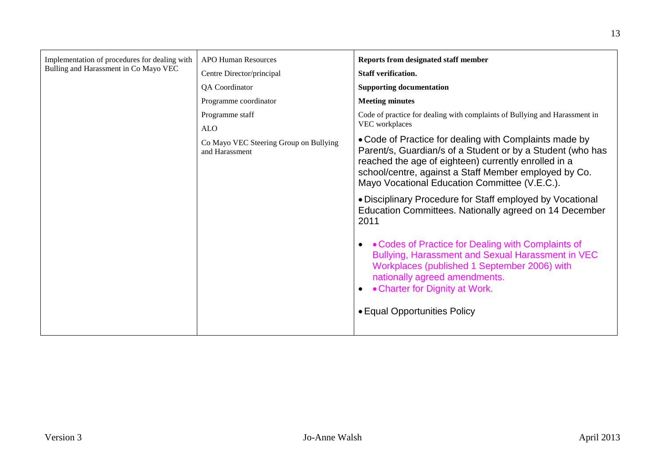| <b>APO Human Resources</b><br>Implementation of procedures for dealing with<br>Bulling and Harassment in Co Mayo VEC |                                                          | <b>Reports from designated staff member</b><br><b>Staff verification.</b>                                                                                                                                                                                                              |
|----------------------------------------------------------------------------------------------------------------------|----------------------------------------------------------|----------------------------------------------------------------------------------------------------------------------------------------------------------------------------------------------------------------------------------------------------------------------------------------|
|                                                                                                                      | Centre Director/principal<br>QA Coordinator              | <b>Supporting documentation</b>                                                                                                                                                                                                                                                        |
|                                                                                                                      | Programme coordinator                                    | <b>Meeting minutes</b>                                                                                                                                                                                                                                                                 |
|                                                                                                                      | Programme staff                                          | Code of practice for dealing with complaints of Bullying and Harassment in                                                                                                                                                                                                             |
|                                                                                                                      | <b>ALO</b>                                               | VEC workplaces                                                                                                                                                                                                                                                                         |
|                                                                                                                      | Co Mayo VEC Steering Group on Bullying<br>and Harassment | • Code of Practice for dealing with Complaints made by<br>Parent/s, Guardian/s of a Student or by a Student (who has<br>reached the age of eighteen) currently enrolled in a<br>school/centre, against a Staff Member employed by Co.<br>Mayo Vocational Education Committee (V.E.C.). |
|                                                                                                                      |                                                          | • Disciplinary Procedure for Staff employed by Vocational<br>Education Committees. Nationally agreed on 14 December<br>2011                                                                                                                                                            |
|                                                                                                                      |                                                          | • Codes of Practice for Dealing with Complaints of<br>$\bullet$<br>Bullying, Harassment and Sexual Harassment in VEC<br>Workplaces (published 1 September 2006) with<br>nationally agreed amendments.<br>• Charter for Dignity at Work.                                                |
|                                                                                                                      |                                                          | • Equal Opportunities Policy                                                                                                                                                                                                                                                           |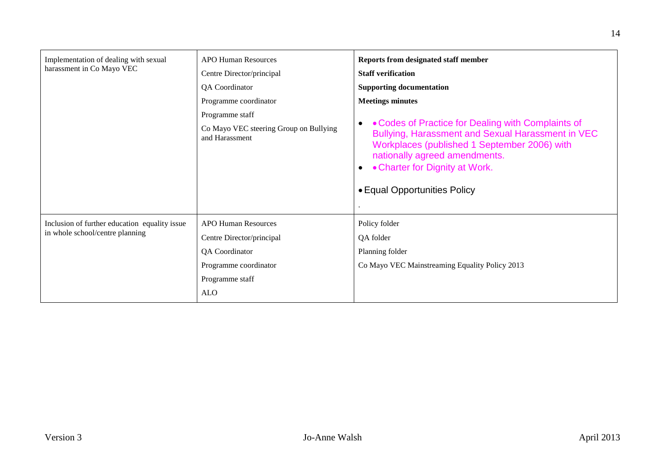| Implementation of dealing with sexual<br>harassment in Co Mayo VEC               | <b>APO Human Resources</b><br>Centre Director/principal<br>QA Coordinator<br>Programme coordinator<br>Programme staff<br>Co Mayo VEC steering Group on Bullying<br>and Harassment | <b>Reports from designated staff member</b><br><b>Staff verification</b><br><b>Supporting documentation</b><br><b>Meetings minutes</b><br>• Codes of Practice for Dealing with Complaints of<br>$\bullet$<br>Bullying, Harassment and Sexual Harassment in VEC<br>Workplaces (published 1 September 2006) with<br>nationally agreed amendments.<br>• Charter for Dignity at Work.<br>• Equal Opportunities Policy |
|----------------------------------------------------------------------------------|-----------------------------------------------------------------------------------------------------------------------------------------------------------------------------------|-------------------------------------------------------------------------------------------------------------------------------------------------------------------------------------------------------------------------------------------------------------------------------------------------------------------------------------------------------------------------------------------------------------------|
| Inclusion of further education equality issue<br>in whole school/centre planning | <b>APO Human Resources</b><br>Centre Director/principal<br>QA Coordinator<br>Programme coordinator<br>Programme staff<br><b>ALO</b>                                               | Policy folder<br>QA folder<br>Planning folder<br>Co Mayo VEC Mainstreaming Equality Policy 2013                                                                                                                                                                                                                                                                                                                   |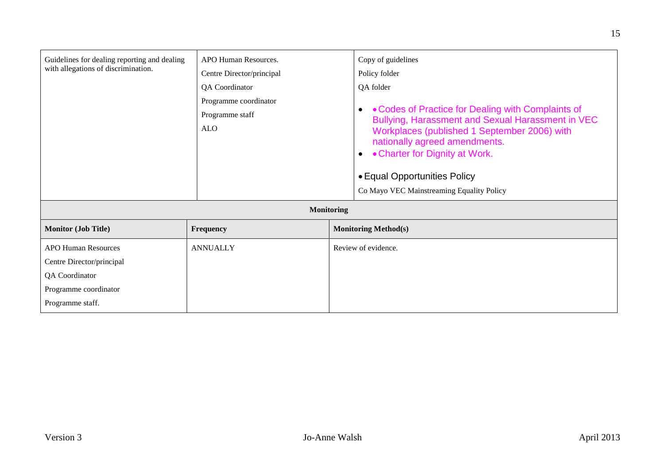| Guidelines for dealing reporting and dealing<br>with allegations of discrimination. | APO Human Resources.<br>Centre Director/principal<br>QA Coordinator<br>Programme coordinator<br>Programme staff<br><b>ALO</b><br><b>Monitoring</b> | Copy of guidelines<br>Policy folder<br>QA folder<br>• Codes of Practice for Dealing with Complaints of<br>$\bullet$<br>Bullying, Harassment and Sexual Harassment in VEC<br>Workplaces (published 1 September 2006) with<br>nationally agreed amendments.<br>• Charter for Dignity at Work.<br>$\bullet$<br>• Equal Opportunities Policy<br>Co Mayo VEC Mainstreaming Equality Policy |
|-------------------------------------------------------------------------------------|----------------------------------------------------------------------------------------------------------------------------------------------------|---------------------------------------------------------------------------------------------------------------------------------------------------------------------------------------------------------------------------------------------------------------------------------------------------------------------------------------------------------------------------------------|
|                                                                                     |                                                                                                                                                    |                                                                                                                                                                                                                                                                                                                                                                                       |
| <b>Monitor (Job Title)</b>                                                          | <b>Frequency</b>                                                                                                                                   | <b>Monitoring Method(s)</b>                                                                                                                                                                                                                                                                                                                                                           |
| <b>APO Human Resources</b><br>Centre Director/principal                             | <b>ANNUALLY</b>                                                                                                                                    | Review of evidence.                                                                                                                                                                                                                                                                                                                                                                   |
| QA Coordinator                                                                      |                                                                                                                                                    |                                                                                                                                                                                                                                                                                                                                                                                       |
| Programme coordinator                                                               |                                                                                                                                                    |                                                                                                                                                                                                                                                                                                                                                                                       |
| Programme staff.                                                                    |                                                                                                                                                    |                                                                                                                                                                                                                                                                                                                                                                                       |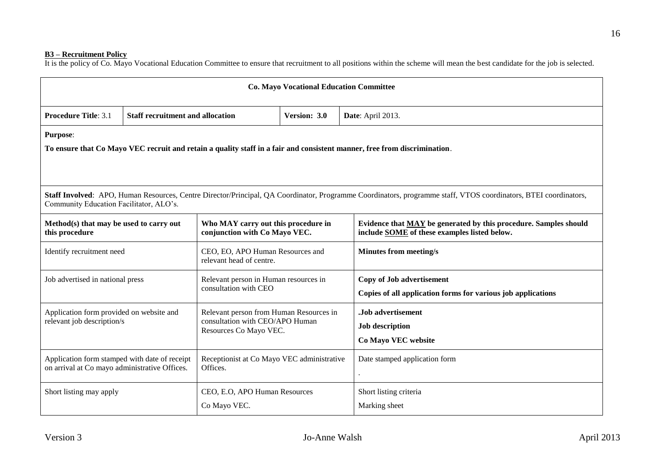## **B3 – Recruitment Policy**

It is the policy of Co. Mayo Vocational Education Committee to ensure that recruitment to all positions within the scheme will mean the best candidate for the job is selected.

| <b>Co. Mayo Vocational Education Committee</b>                                                 |                                         |                                                                      |                                         |                                  |                                                                                                                                                                 |  |  |
|------------------------------------------------------------------------------------------------|-----------------------------------------|----------------------------------------------------------------------|-----------------------------------------|----------------------------------|-----------------------------------------------------------------------------------------------------------------------------------------------------------------|--|--|
| <b>Procedure Title: 3.1</b>                                                                    | <b>Staff recruitment and allocation</b> |                                                                      | Version: 3.0                            |                                  | Date: April 2013.                                                                                                                                               |  |  |
| <b>Purpose:</b>                                                                                |                                         |                                                                      |                                         |                                  |                                                                                                                                                                 |  |  |
|                                                                                                |                                         |                                                                      |                                         |                                  | To ensure that Co Mayo VEC recruit and retain a quality staff in a fair and consistent manner, free from discrimination.                                        |  |  |
|                                                                                                |                                         |                                                                      |                                         |                                  |                                                                                                                                                                 |  |  |
| Community Education Facilitator, ALO's.                                                        |                                         |                                                                      |                                         |                                  | Staff Involved: APO, Human Resources, Centre Director/Principal, QA Coordinator, Programme Coordinators, programme staff, VTOS coordinators, BTEI coordinators, |  |  |
| Method(s) that may be used to carry out<br>this procedure                                      |                                         | Who MAY carry out this procedure in<br>conjunction with Co Mayo VEC. |                                         |                                  | Evidence that MAY be generated by this procedure. Samples should<br>include SOME of these examples listed below.                                                |  |  |
| Identify recruitment need                                                                      |                                         | CEO, EO, APO Human Resources and<br>relevant head of centre.         |                                         |                                  | <b>Minutes from meeting/s</b>                                                                                                                                   |  |  |
| Job advertised in national press                                                               |                                         | Relevant person in Human resources in                                |                                         | <b>Copy of Job advertisement</b> |                                                                                                                                                                 |  |  |
|                                                                                                |                                         | consultation with CEO                                                |                                         |                                  | Copies of all application forms for various job applications                                                                                                    |  |  |
| Application form provided on website and<br>relevant job description/s                         |                                         | consultation with CEO/APO Human                                      | Relevant person from Human Resources in |                                  | .Job advertisement                                                                                                                                              |  |  |
|                                                                                                |                                         |                                                                      | Resources Co Mayo VEC.                  |                                  | <b>Job</b> description                                                                                                                                          |  |  |
|                                                                                                |                                         |                                                                      |                                         |                                  | Co Mayo VEC website                                                                                                                                             |  |  |
| Application form stamped with date of receipt<br>on arrival at Co mayo administrative Offices. |                                         | Receptionist at Co Mayo VEC administrative<br>Offices.               |                                         |                                  | Date stamped application form                                                                                                                                   |  |  |
| Short listing may apply                                                                        |                                         | CEO, E.O, APO Human Resources                                        |                                         |                                  | Short listing criteria                                                                                                                                          |  |  |
|                                                                                                |                                         | Co Mayo VEC.                                                         |                                         |                                  | Marking sheet                                                                                                                                                   |  |  |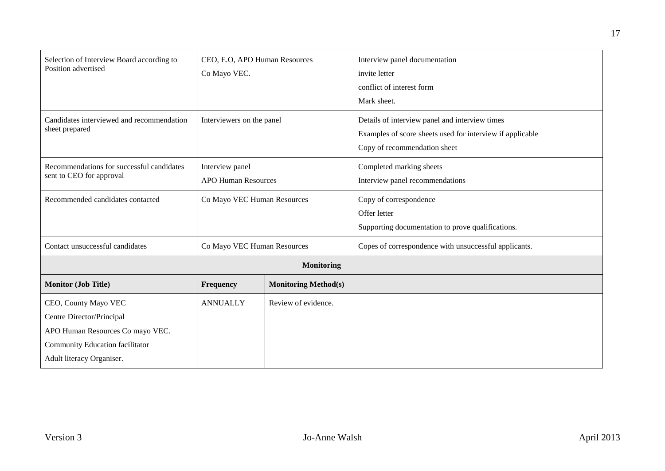| Selection of Interview Board according to<br>Position advertised      | CEO, E.O, APO Human Resources<br>Co Mayo VEC. |                             | Interview panel documentation<br>invite letter<br>conflict of interest form<br>Mark sheet.                                                  |
|-----------------------------------------------------------------------|-----------------------------------------------|-----------------------------|---------------------------------------------------------------------------------------------------------------------------------------------|
| Candidates interviewed and recommendation<br>sheet prepared           | Interviewers on the panel                     |                             | Details of interview panel and interview times<br>Examples of score sheets used for interview if applicable<br>Copy of recommendation sheet |
| Recommendations for successful candidates<br>sent to CEO for approval | Interview panel                               |                             | Completed marking sheets                                                                                                                    |
|                                                                       | <b>APO Human Resources</b>                    |                             | Interview panel recommendations                                                                                                             |
| Recommended candidates contacted                                      | Co Mayo VEC Human Resources                   |                             | Copy of correspondence                                                                                                                      |
|                                                                       |                                               |                             | Offer letter                                                                                                                                |
|                                                                       |                                               |                             | Supporting documentation to prove qualifications.                                                                                           |
| Contact unsuccessful candidates                                       | Co Mayo VEC Human Resources                   |                             | Copes of correspondence with unsuccessful applicants.                                                                                       |
|                                                                       |                                               | <b>Monitoring</b>           |                                                                                                                                             |
| <b>Monitor (Job Title)</b>                                            | <b>Frequency</b>                              | <b>Monitoring Method(s)</b> |                                                                                                                                             |
| CEO, County Mayo VEC                                                  | <b>ANNUALLY</b><br>Review of evidence.        |                             |                                                                                                                                             |
| Centre Director/Principal                                             |                                               |                             |                                                                                                                                             |
| APO Human Resources Co mayo VEC.                                      |                                               |                             |                                                                                                                                             |
| Community Education facilitator                                       |                                               |                             |                                                                                                                                             |
| Adult literacy Organiser.                                             |                                               |                             |                                                                                                                                             |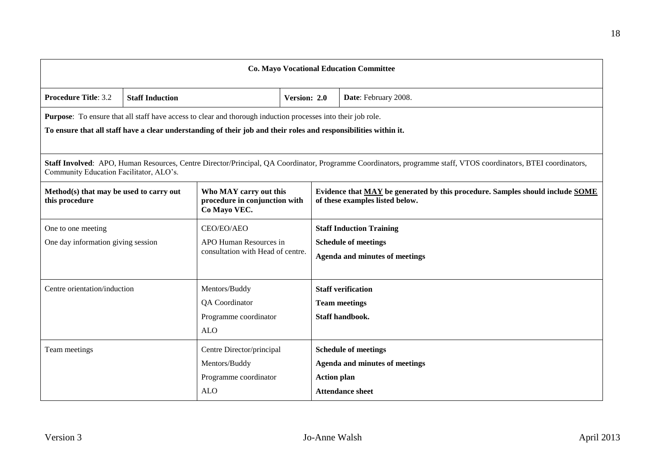|                                                                                                                                      | <b>Co. Mayo Vocational Education Committee</b> |                                                                                                                     |                           |                                                                                                                  |                                                                                                                                                                 |
|--------------------------------------------------------------------------------------------------------------------------------------|------------------------------------------------|---------------------------------------------------------------------------------------------------------------------|---------------------------|------------------------------------------------------------------------------------------------------------------|-----------------------------------------------------------------------------------------------------------------------------------------------------------------|
| <b>Procedure Title: 3.2</b>                                                                                                          | <b>Staff Induction</b>                         |                                                                                                                     | Version: 2.0              |                                                                                                                  | Date: February 2008.                                                                                                                                            |
|                                                                                                                                      |                                                | <b>Purpose:</b> To ensure that all staff have access to clear and thorough induction processes into their job role. |                           |                                                                                                                  |                                                                                                                                                                 |
|                                                                                                                                      |                                                | To ensure that all staff have a clear understanding of their job and their roles and responsibilities within it.    |                           |                                                                                                                  |                                                                                                                                                                 |
| Community Education Facilitator, ALO's.                                                                                              |                                                |                                                                                                                     |                           |                                                                                                                  | Staff Involved: APO, Human Resources, Centre Director/Principal, QA Coordinator, Programme Coordinators, programme staff, VTOS coordinators, BTEI coordinators, |
| Method(s) that may be used to carry out<br>Who MAY carry out this<br>procedure in conjunction with<br>this procedure<br>Co Mayo VEC. |                                                |                                                                                                                     |                           | Evidence that MAY be generated by this procedure. Samples should include SOME<br>of these examples listed below. |                                                                                                                                                                 |
| One to one meeting                                                                                                                   |                                                | CEO/EO/AEO                                                                                                          |                           |                                                                                                                  | <b>Staff Induction Training</b>                                                                                                                                 |
| One day information giving session                                                                                                   |                                                | APO Human Resources in<br>consultation with Head of centre.                                                         |                           |                                                                                                                  | <b>Schedule of meetings</b>                                                                                                                                     |
|                                                                                                                                      |                                                |                                                                                                                     |                           |                                                                                                                  | Agenda and minutes of meetings                                                                                                                                  |
| Centre orientation/induction                                                                                                         |                                                | Mentors/Buddy                                                                                                       |                           |                                                                                                                  | <b>Staff verification</b>                                                                                                                                       |
|                                                                                                                                      |                                                | QA Coordinator                                                                                                      |                           |                                                                                                                  | <b>Team meetings</b>                                                                                                                                            |
|                                                                                                                                      |                                                | Programme coordinator                                                                                               |                           |                                                                                                                  | <b>Staff handbook.</b>                                                                                                                                          |
|                                                                                                                                      |                                                | <b>ALO</b>                                                                                                          |                           |                                                                                                                  |                                                                                                                                                                 |
| Team meetings                                                                                                                        |                                                |                                                                                                                     | Centre Director/principal |                                                                                                                  | <b>Schedule of meetings</b>                                                                                                                                     |
|                                                                                                                                      |                                                | Mentors/Buddy                                                                                                       |                           |                                                                                                                  | Agenda and minutes of meetings                                                                                                                                  |
|                                                                                                                                      |                                                | Programme coordinator                                                                                               |                           | <b>Action plan</b>                                                                                               |                                                                                                                                                                 |
|                                                                                                                                      |                                                | <b>ALO</b>                                                                                                          |                           |                                                                                                                  | <b>Attendance sheet</b>                                                                                                                                         |

18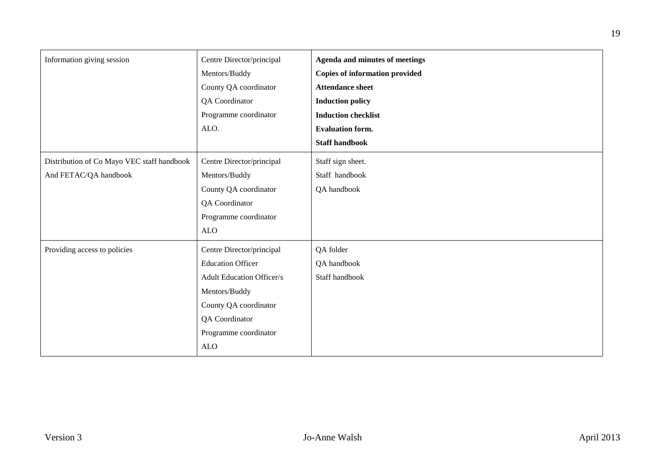| Information giving session                                          | Centre Director/principal<br>Mentors/Buddy<br>County QA coordinator<br>QA Coordinator<br>Programme coordinator<br>ALO.                                                                       | Agenda and minutes of meetings<br>Copies of information provided<br><b>Attendance sheet</b><br><b>Induction policy</b><br><b>Induction checklist</b><br><b>Evaluation form.</b><br><b>Staff handbook</b> |
|---------------------------------------------------------------------|----------------------------------------------------------------------------------------------------------------------------------------------------------------------------------------------|----------------------------------------------------------------------------------------------------------------------------------------------------------------------------------------------------------|
| Distribution of Co Mayo VEC staff handbook<br>And FETAC/QA handbook | Centre Director/principal<br>Mentors/Buddy<br>County QA coordinator<br>QA Coordinator<br>Programme coordinator<br><b>ALO</b>                                                                 | Staff sign sheet.<br>Staff handbook<br>QA handbook                                                                                                                                                       |
| Providing access to policies                                        | Centre Director/principal<br><b>Education Officer</b><br><b>Adult Education Officer/s</b><br>Mentors/Buddy<br>County QA coordinator<br>QA Coordinator<br>Programme coordinator<br><b>ALO</b> | QA folder<br>QA handbook<br>Staff handbook                                                                                                                                                               |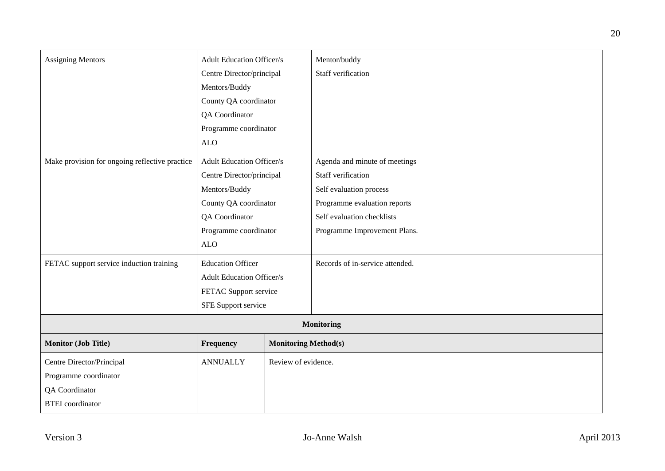| <b>Assigning Mentors</b>                       | <b>Adult Education Officer/s</b>         |                     | Mentor/buddy                    |
|------------------------------------------------|------------------------------------------|---------------------|---------------------------------|
|                                                | Centre Director/principal                |                     | Staff verification              |
|                                                | Mentors/Buddy                            |                     |                                 |
|                                                | County QA coordinator                    |                     |                                 |
|                                                | QA Coordinator                           |                     |                                 |
|                                                | Programme coordinator                    |                     |                                 |
|                                                | <b>ALO</b>                               |                     |                                 |
| Make provision for ongoing reflective practice | <b>Adult Education Officer/s</b>         |                     | Agenda and minute of meetings   |
|                                                | Centre Director/principal                |                     | Staff verification              |
|                                                | Mentors/Buddy                            |                     | Self evaluation process         |
|                                                | County QA coordinator                    |                     | Programme evaluation reports    |
|                                                | QA Coordinator                           |                     | Self evaluation checklists      |
|                                                | Programme coordinator                    |                     | Programme Improvement Plans.    |
|                                                | <b>ALO</b>                               |                     |                                 |
| FETAC support service induction training       | <b>Education Officer</b>                 |                     | Records of in-service attended. |
|                                                | <b>Adult Education Officer/s</b>         |                     |                                 |
|                                                | FETAC Support service                    |                     |                                 |
|                                                | SFE Support service                      |                     |                                 |
|                                                |                                          |                     | <b>Monitoring</b>               |
| <b>Monitor (Job Title)</b>                     | <b>Monitoring Method(s)</b><br>Frequency |                     |                                 |
| Centre Director/Principal                      | <b>ANNUALLY</b>                          | Review of evidence. |                                 |
| Programme coordinator                          |                                          |                     |                                 |
| QA Coordinator                                 |                                          |                     |                                 |
| <b>BTEI</b> coordinator                        |                                          |                     |                                 |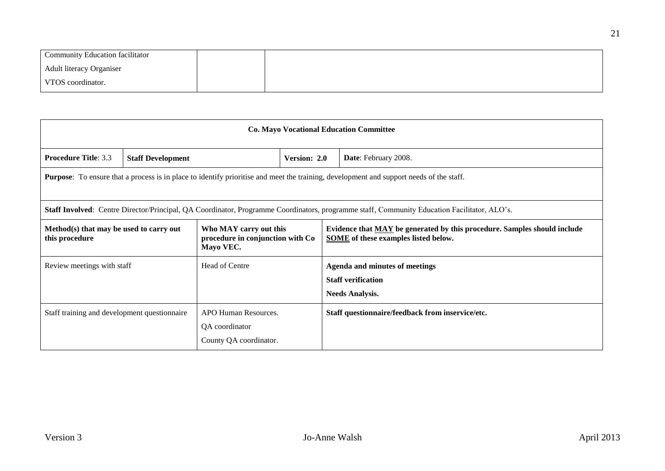| Community Education facilitator |  |
|---------------------------------|--|
| <b>Adult literacy Organiser</b> |  |
| VTOS coordinator.               |  |

| <b>Co. Mayo Vocational Education Committee</b>                                                                                       |                                                                                                                                                |                                                                  |              |                                                                                                                         |                                                                                                                                             |
|--------------------------------------------------------------------------------------------------------------------------------------|------------------------------------------------------------------------------------------------------------------------------------------------|------------------------------------------------------------------|--------------|-------------------------------------------------------------------------------------------------------------------------|---------------------------------------------------------------------------------------------------------------------------------------------|
| <b>Procedure Title: 3.3</b>                                                                                                          | <b>Staff Development</b>                                                                                                                       |                                                                  | Version: 2.0 |                                                                                                                         | Date: February 2008.                                                                                                                        |
|                                                                                                                                      | <b>Purpose:</b> To ensure that a process is in place to identify prioritise and meet the training, development and support needs of the staff. |                                                                  |              |                                                                                                                         |                                                                                                                                             |
|                                                                                                                                      |                                                                                                                                                |                                                                  |              |                                                                                                                         | Staff Involved: Centre Director/Principal, QA Coordinator, Programme Coordinators, programme staff, Community Education Facilitator, ALO's. |
| Who MAY carry out this<br>Method(s) that may be used to carry out<br>procedure in conjunction with Co<br>this procedure<br>Mayo VEC. |                                                                                                                                                |                                                                  |              | Evidence that MAY be generated by this procedure. Samples should include<br><b>SOME</b> of these examples listed below. |                                                                                                                                             |
| Review meetings with staff                                                                                                           |                                                                                                                                                | Head of Centre                                                   |              |                                                                                                                         | <b>Agenda and minutes of meetings</b><br><b>Staff verification</b><br><b>Needs Analysis.</b>                                                |
| Staff training and development questionnaire                                                                                         |                                                                                                                                                | APO Human Resources.<br>QA coordinator<br>County QA coordinator. |              |                                                                                                                         | Staff questionnaire/feedback from inservice/etc.                                                                                            |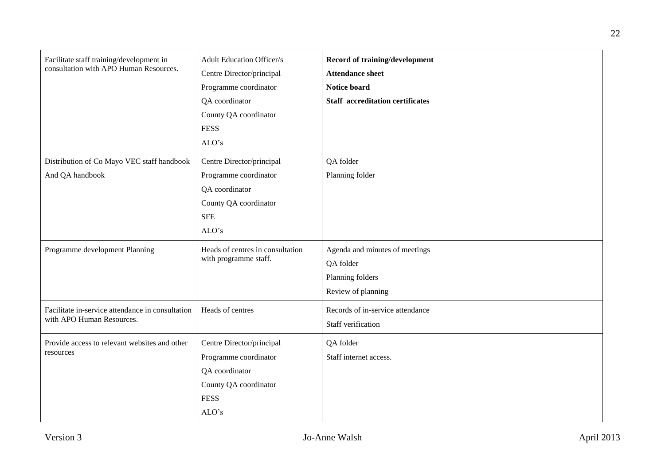| Facilitate staff training/development in<br>consultation with APO Human Resources. | <b>Adult Education Officer/s</b><br>Centre Director/principal<br>Programme coordinator<br>QA coordinator<br>County QA coordinator<br><b>FESS</b><br>ALO's | Record of training/development<br><b>Attendance sheet</b><br><b>Notice board</b><br><b>Staff</b> accreditation certificates |
|------------------------------------------------------------------------------------|-----------------------------------------------------------------------------------------------------------------------------------------------------------|-----------------------------------------------------------------------------------------------------------------------------|
| Distribution of Co Mayo VEC staff handbook<br>And QA handbook                      | Centre Director/principal<br>Programme coordinator<br>QA coordinator<br>County QA coordinator<br><b>SFE</b><br>ALO's                                      | QA folder<br>Planning folder                                                                                                |
| Programme development Planning                                                     | Heads of centres in consultation<br>with programme staff.                                                                                                 | Agenda and minutes of meetings<br>QA folder<br>Planning folders<br>Review of planning                                       |
| Facilitate in-service attendance in consultation<br>with APO Human Resources.      | Heads of centres                                                                                                                                          | Records of in-service attendance<br>Staff verification                                                                      |
| Provide access to relevant websites and other<br>resources                         | Centre Director/principal<br>Programme coordinator<br>QA coordinator<br>County QA coordinator<br><b>FESS</b><br>ALO's                                     | QA folder<br>Staff internet access.                                                                                         |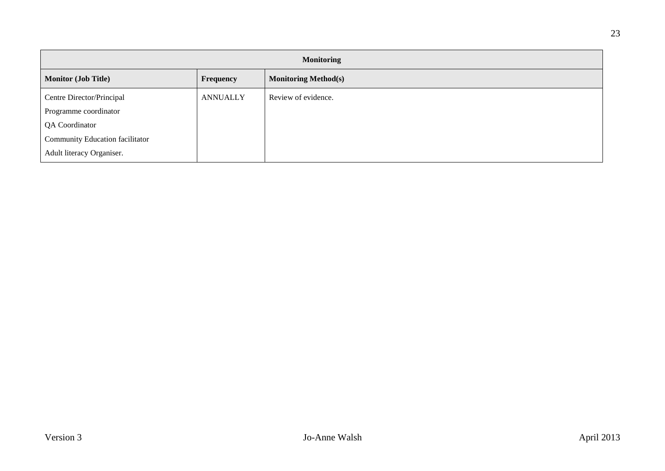| <b>Monitoring</b>               |                  |                             |  |  |
|---------------------------------|------------------|-----------------------------|--|--|
| <b>Monitor (Job Title)</b>      | <b>Frequency</b> | <b>Monitoring Method(s)</b> |  |  |
| Centre Director/Principal       | <b>ANNUALLY</b>  | Review of evidence.         |  |  |
| Programme coordinator           |                  |                             |  |  |
| QA Coordinator                  |                  |                             |  |  |
| Community Education facilitator |                  |                             |  |  |
| Adult literacy Organiser.       |                  |                             |  |  |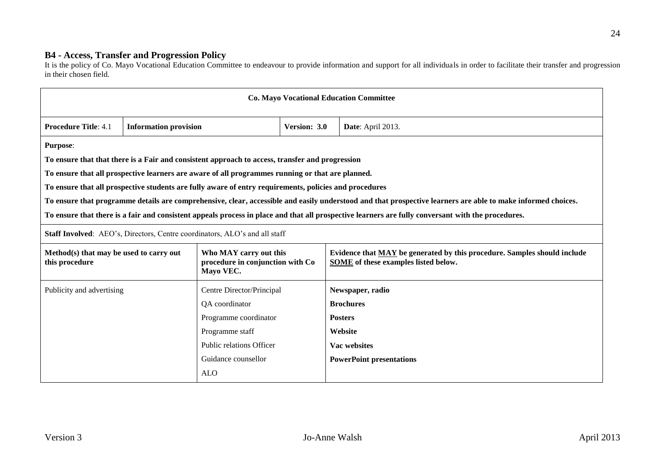## **B4 - Access, Transfer and Progression Policy**

It is the policy of Co. Mayo Vocational Education Committee to endeavour to provide information and support for all individuals in order to facilitate their transfer and progression in their chosen field.

| <b>Co. Mayo Vocational Education Committee</b>                                                                                       |                              |                                                                                                        |              |                                                                                                                                                              |  |  |  |  |  |
|--------------------------------------------------------------------------------------------------------------------------------------|------------------------------|--------------------------------------------------------------------------------------------------------|--------------|--------------------------------------------------------------------------------------------------------------------------------------------------------------|--|--|--|--|--|
| <b>Procedure Title: 4.1</b>                                                                                                          | <b>Information provision</b> |                                                                                                        | Version: 3.0 | Date: April 2013.                                                                                                                                            |  |  |  |  |  |
| <b>Purpose:</b>                                                                                                                      |                              |                                                                                                        |              |                                                                                                                                                              |  |  |  |  |  |
|                                                                                                                                      |                              | To ensure that that there is a Fair and consistent approach to access, transfer and progression        |              |                                                                                                                                                              |  |  |  |  |  |
|                                                                                                                                      |                              | To ensure that all prospective learners are aware of all programmes running or that are planned.       |              |                                                                                                                                                              |  |  |  |  |  |
|                                                                                                                                      |                              | To ensure that all prospective students are fully aware of entry requirements, policies and procedures |              |                                                                                                                                                              |  |  |  |  |  |
|                                                                                                                                      |                              |                                                                                                        |              | To ensure that programme details are comprehensive, clear, accessible and easily understood and that prospective learners are able to make informed choices. |  |  |  |  |  |
|                                                                                                                                      |                              |                                                                                                        |              | To ensure that there is a fair and consistent appeals process in place and that all prospective learners are fully conversant with the procedures.           |  |  |  |  |  |
|                                                                                                                                      |                              | Staff Involved: AEO's, Directors, Centre coordinators, ALO's and all staff                             |              |                                                                                                                                                              |  |  |  |  |  |
| Method(s) that may be used to carry out<br>Who MAY carry out this<br>procedure in conjunction with Co<br>this procedure<br>Mayo VEC. |                              |                                                                                                        |              | Evidence that MAY be generated by this procedure. Samples should include<br><b>SOME</b> of these examples listed below.                                      |  |  |  |  |  |
| Publicity and advertising                                                                                                            |                              | Centre Director/Principal                                                                              |              | Newspaper, radio                                                                                                                                             |  |  |  |  |  |
|                                                                                                                                      |                              | QA coordinator                                                                                         |              | <b>Brochures</b>                                                                                                                                             |  |  |  |  |  |
|                                                                                                                                      |                              | Programme coordinator                                                                                  |              | <b>Posters</b>                                                                                                                                               |  |  |  |  |  |
| Programme staff                                                                                                                      |                              |                                                                                                        |              | Website                                                                                                                                                      |  |  |  |  |  |
|                                                                                                                                      |                              | Public relations Officer                                                                               |              | Vac websites                                                                                                                                                 |  |  |  |  |  |
|                                                                                                                                      |                              | Guidance counsellor                                                                                    |              | <b>PowerPoint presentations</b>                                                                                                                              |  |  |  |  |  |
|                                                                                                                                      |                              | <b>ALO</b>                                                                                             |              |                                                                                                                                                              |  |  |  |  |  |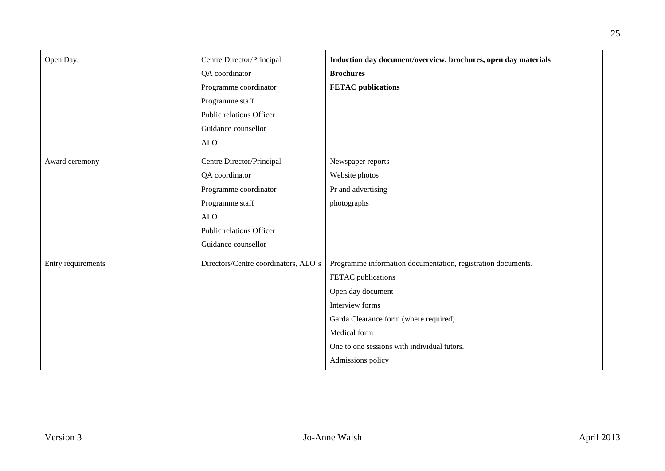| Open Day.          | Centre Director/Principal            | Induction day document/overview, brochures, open day materials |
|--------------------|--------------------------------------|----------------------------------------------------------------|
|                    | QA coordinator                       | <b>Brochures</b>                                               |
|                    | Programme coordinator                | <b>FETAC</b> publications                                      |
|                    | Programme staff                      |                                                                |
|                    | Public relations Officer             |                                                                |
|                    | Guidance counsellor                  |                                                                |
|                    | <b>ALO</b>                           |                                                                |
| Award ceremony     | Centre Director/Principal            | Newspaper reports                                              |
|                    | QA coordinator                       | Website photos                                                 |
|                    | Programme coordinator                | Pr and advertising                                             |
|                    | Programme staff                      | photographs                                                    |
|                    | <b>ALO</b>                           |                                                                |
|                    | Public relations Officer             |                                                                |
|                    | Guidance counsellor                  |                                                                |
| Entry requirements | Directors/Centre coordinators, ALO's | Programme information documentation, registration documents.   |
|                    |                                      | FETAC publications                                             |
|                    |                                      | Open day document                                              |
|                    |                                      | Interview forms                                                |
|                    |                                      | Garda Clearance form (where required)                          |
|                    |                                      | Medical form                                                   |
|                    |                                      | One to one sessions with individual tutors.                    |
|                    |                                      | Admissions policy                                              |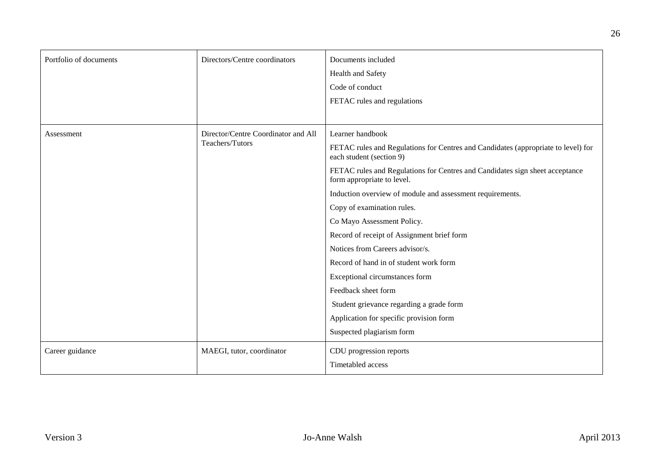| Portfolio of documents | Directors/Centre coordinators                          | Documents included<br>Health and Safety<br>Code of conduct<br>FETAC rules and regulations                                                                                                                                                                                                                                                                                                                                                                                                                                                                                                                                                                                        |
|------------------------|--------------------------------------------------------|----------------------------------------------------------------------------------------------------------------------------------------------------------------------------------------------------------------------------------------------------------------------------------------------------------------------------------------------------------------------------------------------------------------------------------------------------------------------------------------------------------------------------------------------------------------------------------------------------------------------------------------------------------------------------------|
| Assessment             | Director/Centre Coordinator and All<br>Teachers/Tutors | Learner handbook<br>FETAC rules and Regulations for Centres and Candidates (appropriate to level) for<br>each student (section 9)<br>FETAC rules and Regulations for Centres and Candidates sign sheet acceptance<br>form appropriate to level.<br>Induction overview of module and assessment requirements.<br>Copy of examination rules.<br>Co Mayo Assessment Policy.<br>Record of receipt of Assignment brief form<br>Notices from Careers advisor/s.<br>Record of hand in of student work form<br>Exceptional circumstances form<br>Feedback sheet form<br>Student grievance regarding a grade form<br>Application for specific provision form<br>Suspected plagiarism form |
| Career guidance        | MAEGI, tutor, coordinator                              | CDU progression reports<br>Timetabled access                                                                                                                                                                                                                                                                                                                                                                                                                                                                                                                                                                                                                                     |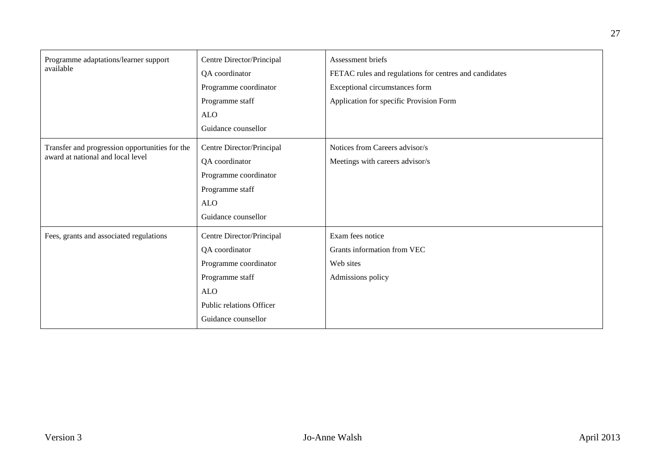| Programme adaptations/learner support<br>available                                  | Centre Director/Principal<br>QA coordinator<br>Programme coordinator<br>Programme staff<br><b>ALO</b><br>Guidance counsellor                             | Assessment briefs<br>FETAC rules and regulations for centres and candidates<br>Exceptional circumstances form<br>Application for specific Provision Form |
|-------------------------------------------------------------------------------------|----------------------------------------------------------------------------------------------------------------------------------------------------------|----------------------------------------------------------------------------------------------------------------------------------------------------------|
| Transfer and progression opportunities for the<br>award at national and local level | Centre Director/Principal<br>QA coordinator<br>Programme coordinator<br>Programme staff<br><b>ALO</b><br>Guidance counsellor                             | Notices from Careers advisor/s<br>Meetings with careers advisor/s                                                                                        |
| Fees, grants and associated regulations                                             | Centre Director/Principal<br>QA coordinator<br>Programme coordinator<br>Programme staff<br><b>ALO</b><br>Public relations Officer<br>Guidance counsellor | Exam fees notice<br>Grants information from VEC<br>Web sites<br>Admissions policy                                                                        |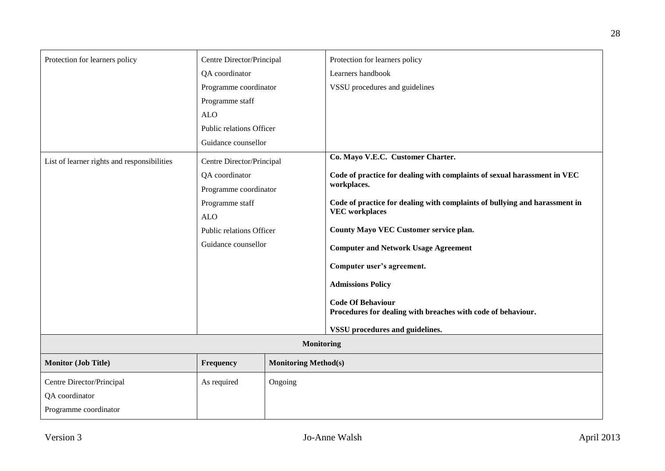| Protection for learners policy              | Centre Director/Principal |                                                                    | Protection for learners policy                                             |  |  |
|---------------------------------------------|---------------------------|--------------------------------------------------------------------|----------------------------------------------------------------------------|--|--|
|                                             | QA coordinator            |                                                                    | Learners handbook                                                          |  |  |
|                                             | Programme coordinator     |                                                                    | VSSU procedures and guidelines                                             |  |  |
|                                             | Programme staff           |                                                                    |                                                                            |  |  |
|                                             | <b>ALO</b>                |                                                                    |                                                                            |  |  |
|                                             | Public relations Officer  |                                                                    |                                                                            |  |  |
|                                             | Guidance counsellor       |                                                                    |                                                                            |  |  |
| List of learner rights and responsibilities | Centre Director/Principal |                                                                    | Co. Mayo V.E.C. Customer Charter.                                          |  |  |
|                                             | QA coordinator            |                                                                    | Code of practice for dealing with complaints of sexual harassment in VEC   |  |  |
|                                             | Programme coordinator     |                                                                    | workplaces.                                                                |  |  |
|                                             | Programme staff           |                                                                    | Code of practice for dealing with complaints of bullying and harassment in |  |  |
|                                             | <b>ALO</b>                |                                                                    | <b>VEC</b> workplaces                                                      |  |  |
|                                             |                           | County Mayo VEC Customer service plan.<br>Public relations Officer |                                                                            |  |  |
|                                             | Guidance counsellor       |                                                                    | <b>Computer and Network Usage Agreement</b>                                |  |  |
|                                             |                           |                                                                    | Computer user's agreement.                                                 |  |  |
|                                             |                           |                                                                    | <b>Admissions Policy</b>                                                   |  |  |
|                                             |                           |                                                                    | <b>Code Of Behaviour</b>                                                   |  |  |
|                                             |                           |                                                                    | Procedures for dealing with breaches with code of behaviour.               |  |  |
|                                             |                           |                                                                    | VSSU procedures and guidelines.                                            |  |  |
|                                             |                           | <b>Monitoring</b>                                                  |                                                                            |  |  |
| <b>Monitor (Job Title)</b>                  | Frequency                 | <b>Monitoring Method(s)</b>                                        |                                                                            |  |  |
| Centre Director/Principal                   | As required               | Ongoing                                                            |                                                                            |  |  |
| QA coordinator                              |                           |                                                                    |                                                                            |  |  |
| Programme coordinator                       |                           |                                                                    |                                                                            |  |  |
|                                             |                           |                                                                    |                                                                            |  |  |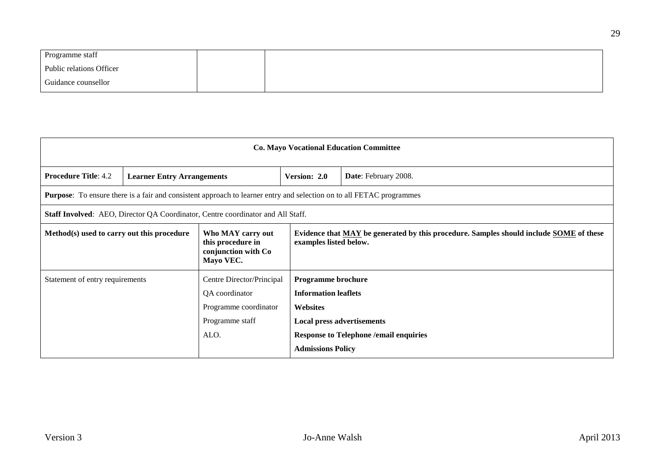| Programme staff          |  |  |
|--------------------------|--|--|
| Public relations Officer |  |  |
| Guidance counsellor      |  |  |

| <b>Co. Mayo Vocational Education Committee</b>                                                                           |                                   |                                                                                                                             |                                               |                      |  |  |
|--------------------------------------------------------------------------------------------------------------------------|-----------------------------------|-----------------------------------------------------------------------------------------------------------------------------|-----------------------------------------------|----------------------|--|--|
| <b>Procedure Title: 4.2</b>                                                                                              | <b>Learner Entry Arrangements</b> |                                                                                                                             | Version: 2.0                                  | Date: February 2008. |  |  |
|                                                                                                                          |                                   | <b>Purpose:</b> To ensure there is a fair and consistent approach to learner entry and selection on to all FETAC programmes |                                               |                      |  |  |
|                                                                                                                          |                                   | <b>Staff Involved:</b> AEO, Director QA Coordinator, Centre coordinator and All Staff.                                      |                                               |                      |  |  |
| Method(s) used to carry out this procedure<br>Who MAY carry out<br>this procedure in<br>conjunction with Co<br>Mayo VEC. |                                   | Evidence that MAY be generated by this procedure. Samples should include SOME of these<br>examples listed below.            |                                               |                      |  |  |
| Statement of entry requirements                                                                                          |                                   | Centre Director/Principal                                                                                                   | Programme brochure                            |                      |  |  |
|                                                                                                                          |                                   | QA coordinator                                                                                                              | <b>Information leaflets</b>                   |                      |  |  |
|                                                                                                                          |                                   | Programme coordinator                                                                                                       | <b>Websites</b>                               |                      |  |  |
|                                                                                                                          |                                   | Programme staff                                                                                                             | <b>Local press advertisements</b>             |                      |  |  |
| ALO.                                                                                                                     |                                   |                                                                                                                             | <b>Response to Telephone /email enquiries</b> |                      |  |  |
|                                                                                                                          |                                   |                                                                                                                             | <b>Admissions Policy</b>                      |                      |  |  |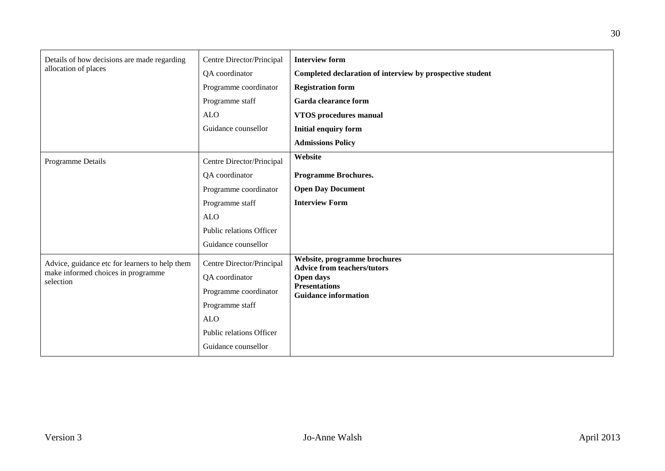| Details of how decisions are made regarding     | Centre Director/Principal | <b>Interview form</b>                                              |
|-------------------------------------------------|---------------------------|--------------------------------------------------------------------|
| allocation of places                            | QA coordinator            | Completed declaration of interview by prospective student          |
|                                                 | Programme coordinator     | <b>Registration form</b>                                           |
|                                                 | Programme staff           | <b>Garda clearance form</b>                                        |
|                                                 | <b>ALO</b>                | <b>VTOS</b> procedures manual                                      |
|                                                 | Guidance counsellor       | <b>Initial enquiry form</b>                                        |
|                                                 |                           | <b>Admissions Policy</b>                                           |
| Programme Details                               | Centre Director/Principal | Website                                                            |
|                                                 | QA coordinator            | <b>Programme Brochures.</b>                                        |
|                                                 | Programme coordinator     | <b>Open Day Document</b>                                           |
|                                                 | Programme staff           | <b>Interview Form</b>                                              |
|                                                 | <b>ALO</b>                |                                                                    |
|                                                 | Public relations Officer  |                                                                    |
|                                                 | Guidance counsellor       |                                                                    |
| Advice, guidance etc for learners to help them  | Centre Director/Principal | Website, programme brochures<br><b>Advice from teachers/tutors</b> |
| make informed choices in programme<br>selection | QA coordinator            | Open days                                                          |
|                                                 | Programme coordinator     | <b>Presentations</b><br><b>Guidance information</b>                |
|                                                 | Programme staff           |                                                                    |
|                                                 | <b>ALO</b>                |                                                                    |
|                                                 | Public relations Officer  |                                                                    |
|                                                 | Guidance counsellor       |                                                                    |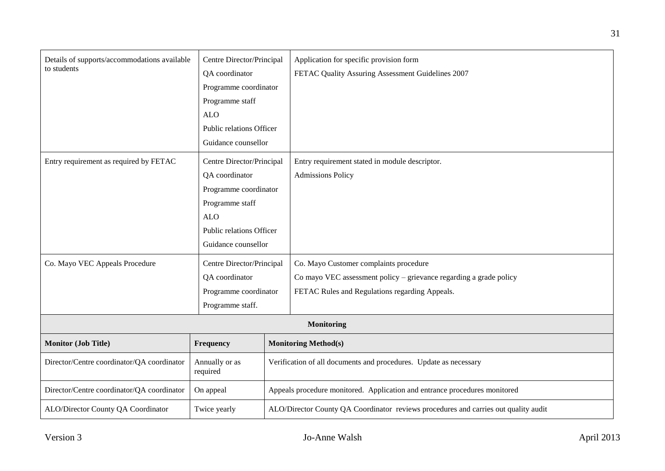| Details of supports/accommodations available<br>to students                                                                | Centre Director/Principal<br>QA coordinator<br>Programme coordinator<br>Programme staff<br><b>ALO</b>                                                    |                                                                            | Application for specific provision form<br>FETAC Quality Assuring Assessment Guidelines 2007                                                                   |  |  |
|----------------------------------------------------------------------------------------------------------------------------|----------------------------------------------------------------------------------------------------------------------------------------------------------|----------------------------------------------------------------------------|----------------------------------------------------------------------------------------------------------------------------------------------------------------|--|--|
|                                                                                                                            | Public relations Officer<br>Guidance counsellor                                                                                                          |                                                                            |                                                                                                                                                                |  |  |
| Entry requirement as required by FETAC                                                                                     | Centre Director/Principal<br>QA coordinator<br>Programme coordinator<br>Programme staff<br><b>ALO</b><br>Public relations Officer<br>Guidance counsellor |                                                                            | Entry requirement stated in module descriptor.<br><b>Admissions Policy</b>                                                                                     |  |  |
| Co. Mayo VEC Appeals Procedure<br>Centre Director/Principal<br>QA coordinator<br>Programme coordinator<br>Programme staff. |                                                                                                                                                          |                                                                            | Co. Mayo Customer complaints procedure<br>Co mayo VEC assessment policy – grievance regarding a grade policy<br>FETAC Rules and Regulations regarding Appeals. |  |  |
|                                                                                                                            |                                                                                                                                                          |                                                                            | <b>Monitoring</b>                                                                                                                                              |  |  |
| <b>Monitor (Job Title)</b>                                                                                                 | Frequency                                                                                                                                                |                                                                            | <b>Monitoring Method(s)</b>                                                                                                                                    |  |  |
| Director/Centre coordinator/QA coordinator                                                                                 | Annually or as<br>required                                                                                                                               |                                                                            | Verification of all documents and procedures. Update as necessary                                                                                              |  |  |
| Director/Centre coordinator/QA coordinator                                                                                 | On appeal                                                                                                                                                | Appeals procedure monitored. Application and entrance procedures monitored |                                                                                                                                                                |  |  |
| ALO/Director County QA Coordinator                                                                                         | Twice yearly                                                                                                                                             |                                                                            | ALO/Director County QA Coordinator reviews procedures and carries out quality audit                                                                            |  |  |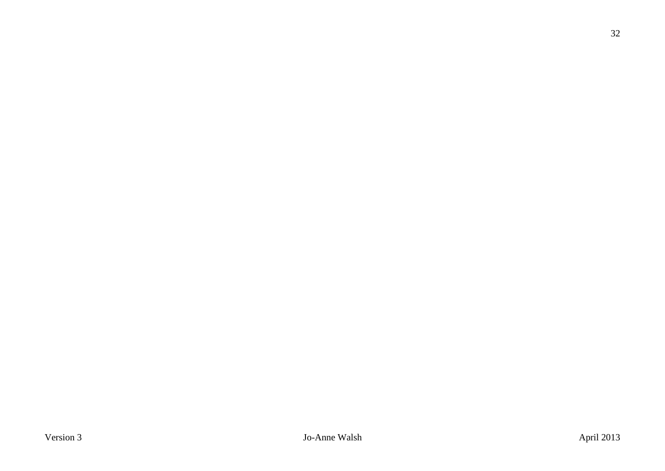32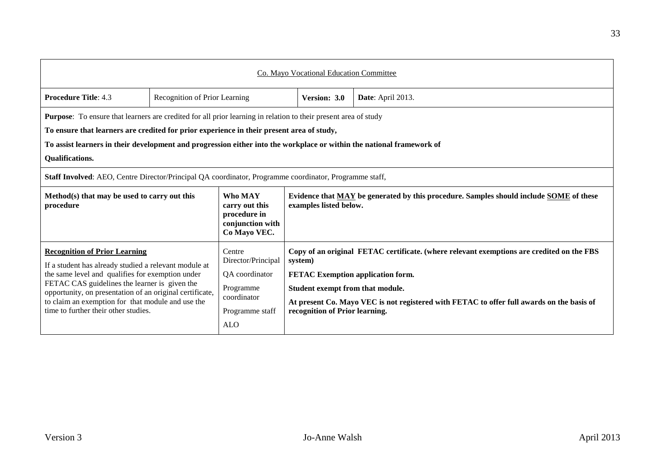| Co. Mayo Vocational Education Committee                                                                                                                                                                                                                                                                                                                     |                                                                                                                                                                                                                                                                                                                                       |                                                                                                             |                                                                                                                           |                                                                                                                                                                                        |  |  |  |
|-------------------------------------------------------------------------------------------------------------------------------------------------------------------------------------------------------------------------------------------------------------------------------------------------------------------------------------------------------------|---------------------------------------------------------------------------------------------------------------------------------------------------------------------------------------------------------------------------------------------------------------------------------------------------------------------------------------|-------------------------------------------------------------------------------------------------------------|---------------------------------------------------------------------------------------------------------------------------|----------------------------------------------------------------------------------------------------------------------------------------------------------------------------------------|--|--|--|
| <b>Procedure Title: 4.3</b>                                                                                                                                                                                                                                                                                                                                 |                                                                                                                                                                                                                                                                                                                                       | Recognition of Prior Learning<br>Version: 3.0<br>Date: April 2013.                                          |                                                                                                                           |                                                                                                                                                                                        |  |  |  |
| Qualifications.                                                                                                                                                                                                                                                                                                                                             | Purpose: To ensure that learners are credited for all prior learning in relation to their present area of study<br>To ensure that learners are credited for prior experience in their present area of study,<br>To assist learners in their development and progression either into the workplace or within the national framework of |                                                                                                             |                                                                                                                           |                                                                                                                                                                                        |  |  |  |
| Staff Involved: AEO, Centre Director/Principal QA coordinator, Programme coordinator, Programme staff,                                                                                                                                                                                                                                                      |                                                                                                                                                                                                                                                                                                                                       |                                                                                                             |                                                                                                                           |                                                                                                                                                                                        |  |  |  |
| Method(s) that may be used to carry out this<br>Who MAY<br>carry out this<br>procedure<br>procedure in<br>conjunction with<br>Co Mayo VEC.                                                                                                                                                                                                                  |                                                                                                                                                                                                                                                                                                                                       |                                                                                                             | Evidence that MAY be generated by this procedure. Samples should include SOME of these<br>examples listed below.          |                                                                                                                                                                                        |  |  |  |
| <b>Recognition of Prior Learning</b><br>If a student has already studied a relevant module at<br>the same level and qualifies for exemption under<br>FETAC CAS guidelines the learner is given the<br>opportunity, on presentation of an original certificate,<br>to claim an exemption for that module and use the<br>time to further their other studies. |                                                                                                                                                                                                                                                                                                                                       | Centre<br>Director/Principal<br>QA coordinator<br>Programme<br>coordinator<br>Programme staff<br><b>ALO</b> | system)<br><b>FETAC</b> Exemption application form.<br>Student exempt from that module.<br>recognition of Prior learning. | Copy of an original FETAC certificate. (where relevant exemptions are credited on the FBS<br>At present Co. Mayo VEC is not registered with FETAC to offer full awards on the basis of |  |  |  |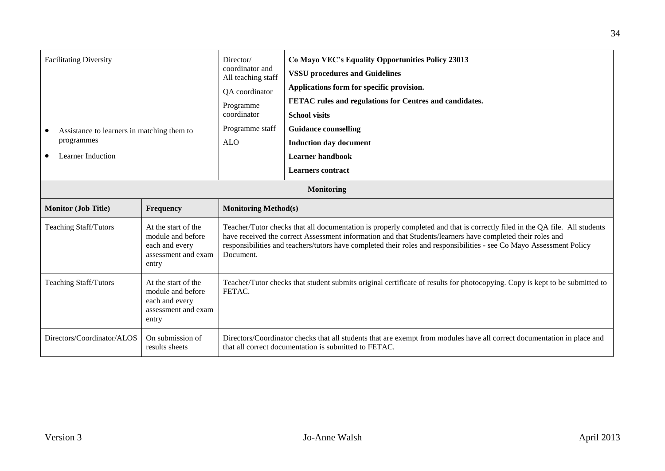| <b>Facilitating Diversity</b><br>Assistance to learners in matching them to<br>programmes<br><b>Learner Induction</b> |                                                                                            | Director/<br>coordinator and<br>All teaching staff<br>QA coordinator<br>Programme<br>coordinator<br>Programme staff<br><b>ALO</b>                                                                                                                                                                                                                                             | Co Mayo VEC's Equality Opportunities Policy 23013<br><b>VSSU</b> procedures and Guidelines<br>Applications form for specific provision.<br>FETAC rules and regulations for Centres and candidates.<br><b>School visits</b><br><b>Guidance counselling</b><br><b>Induction day document</b><br><b>Learner handbook</b><br><b>Learners</b> contract |  |  |
|-----------------------------------------------------------------------------------------------------------------------|--------------------------------------------------------------------------------------------|-------------------------------------------------------------------------------------------------------------------------------------------------------------------------------------------------------------------------------------------------------------------------------------------------------------------------------------------------------------------------------|---------------------------------------------------------------------------------------------------------------------------------------------------------------------------------------------------------------------------------------------------------------------------------------------------------------------------------------------------|--|--|
|                                                                                                                       |                                                                                            |                                                                                                                                                                                                                                                                                                                                                                               | <b>Monitoring</b>                                                                                                                                                                                                                                                                                                                                 |  |  |
| <b>Monitor (Job Title)</b>                                                                                            | Frequency                                                                                  | <b>Monitoring Method(s)</b>                                                                                                                                                                                                                                                                                                                                                   |                                                                                                                                                                                                                                                                                                                                                   |  |  |
| <b>Teaching Staff/Tutors</b>                                                                                          | At the start of the<br>module and before<br>each and every<br>assessment and exam<br>entry | Teacher/Tutor checks that all documentation is properly completed and that is correctly filed in the QA file. All students<br>have received the correct Assessment information and that Students/learners have completed their roles and<br>responsibilities and teachers/tutors have completed their roles and responsibilities - see Co Mayo Assessment Policy<br>Document. |                                                                                                                                                                                                                                                                                                                                                   |  |  |
| <b>Teaching Staff/Tutors</b>                                                                                          | At the start of the<br>module and before<br>each and every<br>assessment and exam<br>entry | Teacher/Tutor checks that student submits original certificate of results for photocopying. Copy is kept to be submitted to<br>FETAC.                                                                                                                                                                                                                                         |                                                                                                                                                                                                                                                                                                                                                   |  |  |
| Directors/Coordinator/ALOS                                                                                            | On submission of<br>results sheets                                                         | Directors/Coordinator checks that all students that are exempt from modules have all correct documentation in place and<br>that all correct documentation is submitted to FETAC.                                                                                                                                                                                              |                                                                                                                                                                                                                                                                                                                                                   |  |  |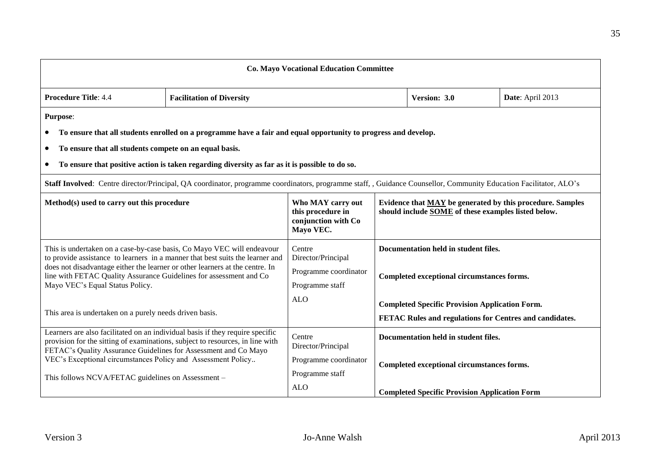| <b>Co. Mayo Vocational Education Committee</b>                                                                                                                                                                                                                         |                                                                                                                                                                   |                                            |                                                         |                                                      |  |  |  |
|------------------------------------------------------------------------------------------------------------------------------------------------------------------------------------------------------------------------------------------------------------------------|-------------------------------------------------------------------------------------------------------------------------------------------------------------------|--------------------------------------------|---------------------------------------------------------|------------------------------------------------------|--|--|--|
| <b>Procedure Title: 4.4</b><br><b>Facilitation of Diversity</b><br>Version: 3.0<br>Date: April 2013                                                                                                                                                                    |                                                                                                                                                                   |                                            |                                                         |                                                      |  |  |  |
| <b>Purpose:</b>                                                                                                                                                                                                                                                        |                                                                                                                                                                   |                                            |                                                         |                                                      |  |  |  |
| $\bullet$                                                                                                                                                                                                                                                              | To ensure that all students enrolled on a programme have a fair and equal opportunity to progress and develop.                                                    |                                            |                                                         |                                                      |  |  |  |
| To ensure that all students compete on an equal basis.<br>$\bullet$                                                                                                                                                                                                    |                                                                                                                                                                   |                                            |                                                         |                                                      |  |  |  |
| $\bullet$                                                                                                                                                                                                                                                              | To ensure that positive action is taken regarding diversity as far as it is possible to do so.                                                                    |                                            |                                                         |                                                      |  |  |  |
|                                                                                                                                                                                                                                                                        | Staff Involved: Centre director/Principal, QA coordinator, programme coordinators, programme staff, , Guidance Counsellor, Community Education Facilitator, ALO's |                                            |                                                         |                                                      |  |  |  |
| Method(s) used to carry out this procedure<br>Who MAY carry out<br>Evidence that <b>MAY</b> be generated by this procedure. Samples<br>should include SOME of these examples listed below.<br>this procedure in<br>conjunction with Co<br>Mayo VEC.                    |                                                                                                                                                                   |                                            |                                                         |                                                      |  |  |  |
| This is undertaken on a case-by-case basis, Co Mayo VEC will endeavour                                                                                                                                                                                                 |                                                                                                                                                                   | Centre                                     | Documentation held in student files.                    |                                                      |  |  |  |
| to provide assistance to learners in a manner that best suits the learner and<br>does not disadvantage either the learner or other learners at the centre. In<br>line with FETAC Quality Assurance Guidelines for assessment and Co<br>Mayo VEC's Equal Status Policy. | Director/Principal<br>Programme coordinator<br>Programme staff                                                                                                    | Completed exceptional circumstances forms. |                                                         |                                                      |  |  |  |
|                                                                                                                                                                                                                                                                        |                                                                                                                                                                   | <b>ALO</b>                                 | <b>Completed Specific Provision Application Form.</b>   |                                                      |  |  |  |
| This area is undertaken on a purely needs driven basis.                                                                                                                                                                                                                |                                                                                                                                                                   |                                            | FETAC Rules and regulations for Centres and candidates. |                                                      |  |  |  |
| Learners are also facilitated on an individual basis if they require specific<br>provision for the sitting of examinations, subject to resources, in line with<br>FETAC's Quality Assurance Guidelines for Assessment and Co Mayo                                      | Centre<br>Director/Principal                                                                                                                                      | Documentation held in student files.       |                                                         |                                                      |  |  |  |
| VEC's Exceptional circumstances Policy and Assessment Policy                                                                                                                                                                                                           | Programme coordinator                                                                                                                                             | Completed exceptional circumstances forms. |                                                         |                                                      |  |  |  |
| This follows NCVA/FETAC guidelines on Assessment -                                                                                                                                                                                                                     |                                                                                                                                                                   | Programme staff                            |                                                         |                                                      |  |  |  |
|                                                                                                                                                                                                                                                                        |                                                                                                                                                                   | <b>ALO</b>                                 |                                                         | <b>Completed Specific Provision Application Form</b> |  |  |  |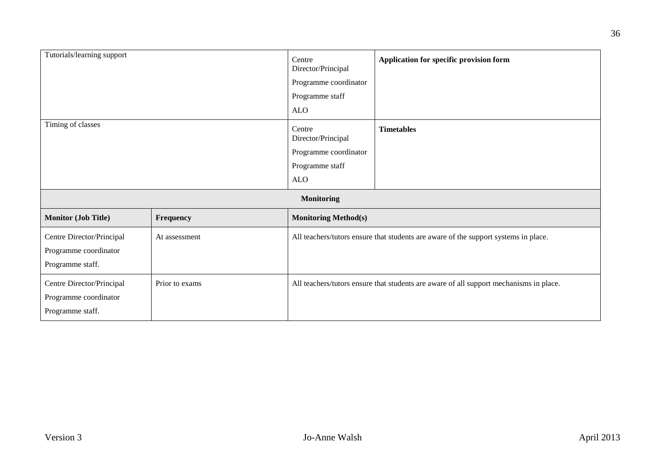| Tutorials/learning support                                             |                | Centre<br>Director/Principal<br>Programme coordinator<br>Programme staff<br><b>ALO</b> | Application for specific provision form |
|------------------------------------------------------------------------|----------------|----------------------------------------------------------------------------------------|-----------------------------------------|
| Timing of classes                                                      |                | Centre<br>Director/Principal<br>Programme coordinator<br>Programme staff<br><b>ALO</b> | <b>Timetables</b>                       |
| <b>Monitoring</b>                                                      |                |                                                                                        |                                         |
| <b>Monitor (Job Title)</b>                                             | Frequency      | <b>Monitoring Method(s)</b>                                                            |                                         |
| Centre Director/Principal<br>Programme coordinator<br>Programme staff. | At assessment  | All teachers/tutors ensure that students are aware of the support systems in place.    |                                         |
| Centre Director/Principal<br>Programme coordinator<br>Programme staff. | Prior to exams | All teachers/tutors ensure that students are aware of all support mechanisms in place. |                                         |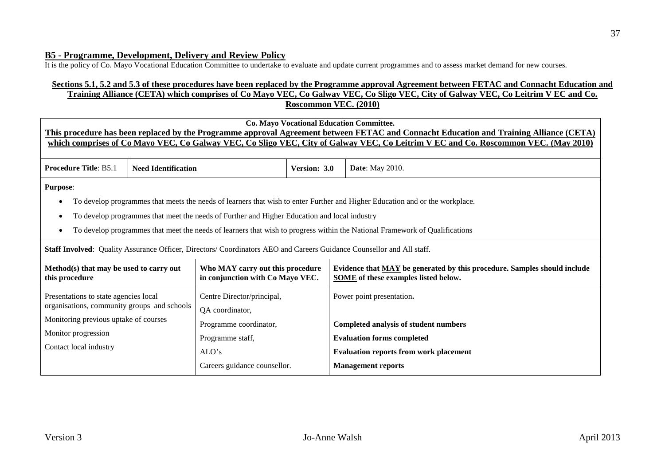## **B5 - Programme, Development, Delivery and Review Policy**

It is the policy of Co. Mayo Vocational Education Committee to undertake to evaluate and update current programmes and to assess market demand for new courses.

## **Sections 5.1, 5.2 and 5.3 of these procedures have been replaced by the Programme approval Agreement between FETAC and Connacht Education and Training Alliance (CETA) which comprises of Co Mayo VEC, Co Galway VEC, Co Sligo VEC, City of Galway VEC, Co Leitrim V EC and Co. Roscommon VEC. (2010)**

| Co. Mayo Vocational Education Committee.<br>This procedure has been replaced by the Programme approval Agreement between FETAC and Connacht Education and Training Alliance (CETA)<br>which comprises of Co Mayo VEC, Co Galway VEC, Co Sligo VEC, City of Galway VEC, Co Leitrim V EC and Co. Roscommon VEC. (May 2010)                                                                                                                                                                               |                            |                                                                                                                                      |              |                                                                                                                                                                                              |  |
|--------------------------------------------------------------------------------------------------------------------------------------------------------------------------------------------------------------------------------------------------------------------------------------------------------------------------------------------------------------------------------------------------------------------------------------------------------------------------------------------------------|----------------------------|--------------------------------------------------------------------------------------------------------------------------------------|--------------|----------------------------------------------------------------------------------------------------------------------------------------------------------------------------------------------|--|
| <b>Procedure Title: B5.1</b>                                                                                                                                                                                                                                                                                                                                                                                                                                                                           | <b>Need Identification</b> |                                                                                                                                      | Version: 3.0 | <b>Date:</b> May 2010.                                                                                                                                                                       |  |
| <b>Purpose:</b><br>To develop programmes that meets the needs of learners that wish to enter Further and Higher Education and or the workplace.<br>To develop programmes that meet the needs of Further and Higher Education and local industry<br>To develop programmes that meet the needs of learners that wish to progress within the National Framework of Qualifications<br>Staff Involved: Quality Assurance Officer, Directors/Coordinators AEO and Careers Guidance Counsellor and All staff. |                            |                                                                                                                                      |              |                                                                                                                                                                                              |  |
| Who MAY carry out this procedure<br>Method(s) that may be used to carry out<br>SOME of these examples listed below.<br>this procedure<br>in conjunction with Co Mayo VEC.                                                                                                                                                                                                                                                                                                                              |                            |                                                                                                                                      |              | Evidence that MAY be generated by this procedure. Samples should include                                                                                                                     |  |
| Presentations to state agencies local<br>organisations, community groups and schools<br>Monitoring previous uptake of courses<br>Monitor progression<br>Contact local industry                                                                                                                                                                                                                                                                                                                         |                            | Centre Director/principal,<br>QA coordinator,<br>Programme coordinator,<br>Programme staff,<br>ALO's<br>Careers guidance counsellor. |              | Power point presentation.<br><b>Completed analysis of student numbers</b><br><b>Evaluation forms completed</b><br><b>Evaluation reports from work placement</b><br><b>Management reports</b> |  |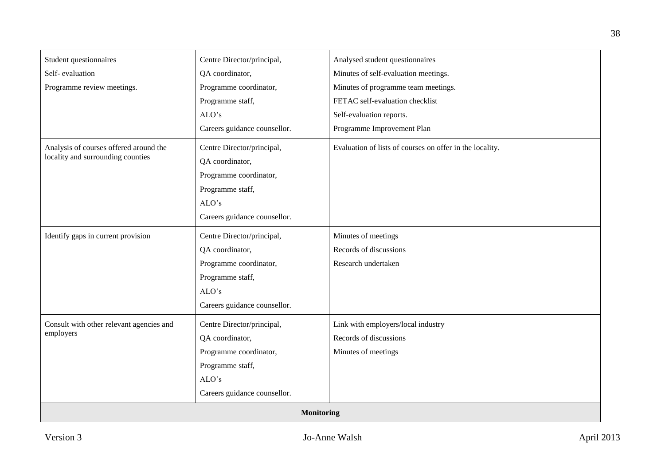| Student questionnaires                   | Centre Director/principal,   | Analysed student questionnaires                          |  |  |  |
|------------------------------------------|------------------------------|----------------------------------------------------------|--|--|--|
| Self-evaluation                          | QA coordinator,              | Minutes of self-evaluation meetings.                     |  |  |  |
| Programme review meetings.               | Programme coordinator,       | Minutes of programme team meetings.                      |  |  |  |
|                                          | Programme staff,             | FETAC self-evaluation checklist                          |  |  |  |
|                                          | ALO's                        | Self-evaluation reports.                                 |  |  |  |
|                                          | Careers guidance counsellor. | Programme Improvement Plan                               |  |  |  |
| Analysis of courses offered around the   | Centre Director/principal,   | Evaluation of lists of courses on offer in the locality. |  |  |  |
| locality and surrounding counties        | QA coordinator,              |                                                          |  |  |  |
|                                          | Programme coordinator,       |                                                          |  |  |  |
|                                          | Programme staff,             |                                                          |  |  |  |
|                                          | ALO's                        |                                                          |  |  |  |
|                                          | Careers guidance counsellor. |                                                          |  |  |  |
| Identify gaps in current provision       | Centre Director/principal,   | Minutes of meetings                                      |  |  |  |
|                                          | QA coordinator,              | Records of discussions                                   |  |  |  |
|                                          | Programme coordinator,       | Research undertaken                                      |  |  |  |
|                                          | Programme staff,             |                                                          |  |  |  |
|                                          | ALO's                        |                                                          |  |  |  |
|                                          | Careers guidance counsellor. |                                                          |  |  |  |
| Consult with other relevant agencies and | Centre Director/principal,   | Link with employers/local industry                       |  |  |  |
| employers                                | QA coordinator,              | Records of discussions                                   |  |  |  |
|                                          | Programme coordinator,       | Minutes of meetings                                      |  |  |  |
|                                          | Programme staff,             |                                                          |  |  |  |
|                                          | ALO's                        |                                                          |  |  |  |
|                                          | Careers guidance counsellor. |                                                          |  |  |  |
| <b>Monitoring</b>                        |                              |                                                          |  |  |  |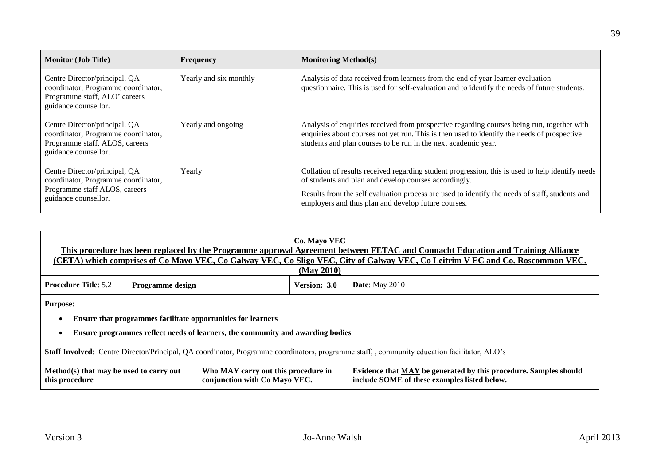| <b>Monitor (Job Title)</b>                                                                                                     | <b>Frequency</b>       | <b>Monitoring Method(s)</b>                                                                                                                                                                                                                                                                                        |
|--------------------------------------------------------------------------------------------------------------------------------|------------------------|--------------------------------------------------------------------------------------------------------------------------------------------------------------------------------------------------------------------------------------------------------------------------------------------------------------------|
| Centre Director/principal, QA<br>coordinator, Programme coordinator,<br>Programme staff, ALO' careers<br>guidance counsellor.  | Yearly and six monthly | Analysis of data received from learners from the end of year learner evaluation<br>questionnaire. This is used for self-evaluation and to identify the needs of future students.                                                                                                                                   |
| Centre Director/principal, QA<br>coordinator, Programme coordinator,<br>Programme staff, ALOS, careers<br>guidance counsellor. | Yearly and ongoing     | Analysis of enquiries received from prospective regarding courses being run, together with<br>enquiries about courses not yet run. This is then used to identify the needs of prospective<br>students and plan courses to be run in the next academic year.                                                        |
| Centre Director/principal, QA<br>coordinator, Programme coordinator,<br>Programme staff ALOS, careers<br>guidance counsellor.  | Yearly                 | Collation of results received regarding student progression, this is used to help identify needs<br>of students and plan and develop courses accordingly.<br>Results from the self evaluation process are used to identify the needs of staff, students and<br>employers and thus plan and develop future courses. |

| <b>Co. Mayo VEC</b><br>This procedure has been replaced by the Programme approval Agreement between FETAC and Connacht Education and Training Alliance<br>(CETA) which comprises of Co Mayo VEC, Co Galway VEC, Co Sligo VEC, City of Galway VEC, Co Leitrim V EC and Co. Roscommon VEC.<br>(May 2010) |                                                                    |  |  |  |  |  |
|--------------------------------------------------------------------------------------------------------------------------------------------------------------------------------------------------------------------------------------------------------------------------------------------------------|--------------------------------------------------------------------|--|--|--|--|--|
| <b>Procedure Title: 5.2</b>                                                                                                                                                                                                                                                                            | Version: 3.0<br><b>Programme design</b><br><b>Date:</b> May $2010$ |  |  |  |  |  |
| <b>Purpose:</b><br>Ensure that programmes facilitate opportunities for learners<br>٠<br>Ensure programmes reflect needs of learners, the community and awarding bodies<br>$\bullet$                                                                                                                    |                                                                    |  |  |  |  |  |
| Staff Involved: Centre Director/Principal, QA coordinator, Programme coordinators, programme staff, , community education facilitator, ALO's                                                                                                                                                           |                                                                    |  |  |  |  |  |
| Method(s) that may be used to carry out<br>Who MAY carry out this procedure in<br>Evidence that MAY be generated by this procedure. Samples should<br>include SOME of these examples listed below.<br>conjunction with Co Mayo VEC.<br>this procedure                                                  |                                                                    |  |  |  |  |  |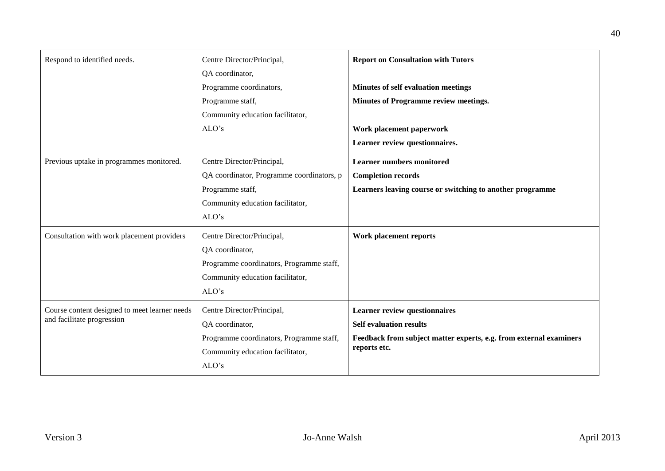| Respond to identified needs.                  | Centre Director/Principal,                | <b>Report on Consultation with Tutors</b>                          |
|-----------------------------------------------|-------------------------------------------|--------------------------------------------------------------------|
|                                               | QA coordinator,                           |                                                                    |
|                                               | Programme coordinators,                   | Minutes of self evaluation meetings                                |
|                                               | Programme staff,                          | Minutes of Programme review meetings.                              |
|                                               | Community education facilitator,          |                                                                    |
|                                               | ALO's                                     | Work placement paperwork                                           |
|                                               |                                           | Learner review questionnaires.                                     |
| Previous uptake in programmes monitored.      | Centre Director/Principal,                | <b>Learner numbers monitored</b>                                   |
|                                               | QA coordinator, Programme coordinators, p | <b>Completion records</b>                                          |
|                                               | Programme staff,                          | Learners leaving course or switching to another programme          |
|                                               | Community education facilitator,          |                                                                    |
|                                               | ALO's                                     |                                                                    |
| Consultation with work placement providers    | Centre Director/Principal,                | Work placement reports                                             |
|                                               | QA coordinator,                           |                                                                    |
|                                               | Programme coordinators, Programme staff,  |                                                                    |
|                                               | Community education facilitator,          |                                                                    |
|                                               | ALO's                                     |                                                                    |
| Course content designed to meet learner needs | Centre Director/Principal,                | <b>Learner review questionnaires</b>                               |
| and facilitate progression                    | QA coordinator,                           | <b>Self evaluation results</b>                                     |
|                                               | Programme coordinators, Programme staff,  | Feedback from subject matter experts, e.g. from external examiners |
|                                               | Community education facilitator,          | reports etc.                                                       |
|                                               | ALO's                                     |                                                                    |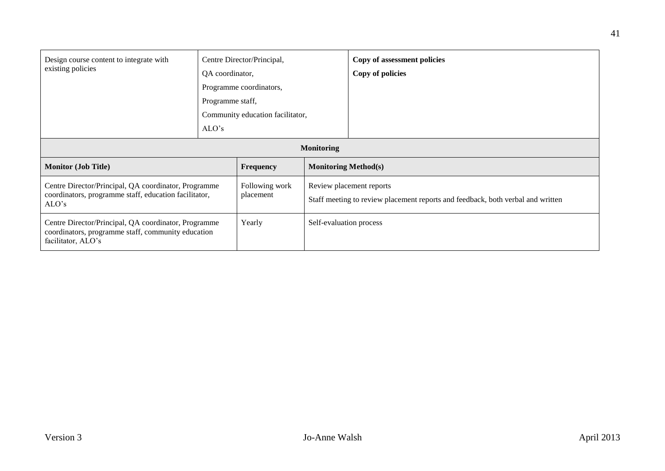| Design course content to integrate with<br>existing policies                                                                     | Centre Director/Principal,<br>QA coordinator,<br>Programme coordinators,<br>Programme staff,<br>Community education facilitator,<br>ALO's |                             |                                                                                                             | Copy of assessment policies<br>Copy of policies |  |
|----------------------------------------------------------------------------------------------------------------------------------|-------------------------------------------------------------------------------------------------------------------------------------------|-----------------------------|-------------------------------------------------------------------------------------------------------------|-------------------------------------------------|--|
| <b>Monitoring</b>                                                                                                                |                                                                                                                                           |                             |                                                                                                             |                                                 |  |
| <b>Monitor (Job Title)</b>                                                                                                       |                                                                                                                                           | <b>Frequency</b>            | <b>Monitoring Method(s)</b>                                                                                 |                                                 |  |
| Centre Director/Principal, QA coordinator, Programme<br>coordinators, programme staff, education facilitator,<br>ALO's           |                                                                                                                                           | Following work<br>placement | Review placement reports<br>Staff meeting to review placement reports and feedback, both verbal and written |                                                 |  |
| Centre Director/Principal, QA coordinator, Programme<br>coordinators, programme staff, community education<br>facilitator, ALO's |                                                                                                                                           | Yearly                      | Self-evaluation process                                                                                     |                                                 |  |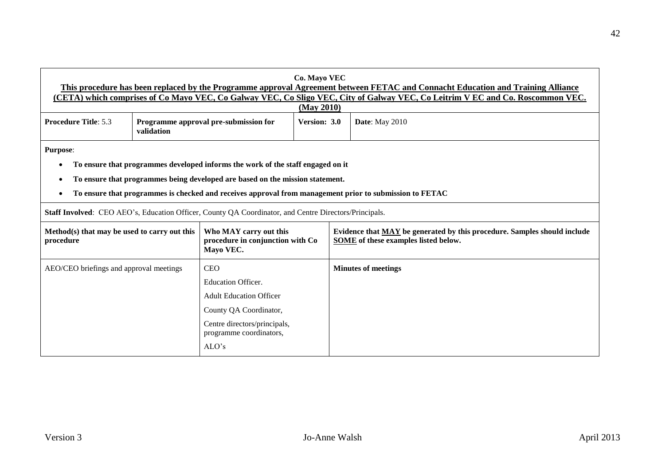| Co. Mayo VEC<br>This procedure has been replaced by the Programme approval Agreement between FETAC and Connacht Education and Training Alliance<br>(CETA) which comprises of Co Mayo VEC, Co Galway VEC, Co Sligo VEC, City of Galway VEC, Co Leitrim V EC and Co. Roscommon VEC. |                                                                                       |                                                                                                       |            |                                                                                                                         |  |  |  |
|-----------------------------------------------------------------------------------------------------------------------------------------------------------------------------------------------------------------------------------------------------------------------------------|---------------------------------------------------------------------------------------|-------------------------------------------------------------------------------------------------------|------------|-------------------------------------------------------------------------------------------------------------------------|--|--|--|
|                                                                                                                                                                                                                                                                                   |                                                                                       |                                                                                                       | (May 2010) |                                                                                                                         |  |  |  |
| <b>Procedure Title: 5.3</b>                                                                                                                                                                                                                                                       | Date: May 2010<br>Programme approval pre-submission for<br>Version: 3.0<br>validation |                                                                                                       |            |                                                                                                                         |  |  |  |
| <b>Purpose:</b>                                                                                                                                                                                                                                                                   |                                                                                       |                                                                                                       |            |                                                                                                                         |  |  |  |
|                                                                                                                                                                                                                                                                                   |                                                                                       | To ensure that programmes developed informs the work of the staff engaged on it                       |            |                                                                                                                         |  |  |  |
|                                                                                                                                                                                                                                                                                   |                                                                                       | To ensure that programmes being developed are based on the mission statement.                         |            |                                                                                                                         |  |  |  |
| $\bullet$                                                                                                                                                                                                                                                                         |                                                                                       |                                                                                                       |            | To ensure that programmes is checked and receives approval from management prior to submission to FETAC                 |  |  |  |
|                                                                                                                                                                                                                                                                                   |                                                                                       | Staff Involved: CEO AEO's, Education Officer, County QA Coordinator, and Centre Directors/Principals. |            |                                                                                                                         |  |  |  |
| Method(s) that may be used to carry out this<br>procedure                                                                                                                                                                                                                         |                                                                                       | Who MAY carry out this<br>procedure in conjunction with Co<br>Mayo VEC.                               |            | Evidence that MAY be generated by this procedure. Samples should include<br><b>SOME</b> of these examples listed below. |  |  |  |
| AEO/CEO briefings and approval meetings                                                                                                                                                                                                                                           |                                                                                       | <b>CEO</b>                                                                                            |            | <b>Minutes of meetings</b>                                                                                              |  |  |  |
|                                                                                                                                                                                                                                                                                   |                                                                                       | <b>Education Officer.</b>                                                                             |            |                                                                                                                         |  |  |  |
|                                                                                                                                                                                                                                                                                   |                                                                                       | <b>Adult Education Officer</b>                                                                        |            |                                                                                                                         |  |  |  |
|                                                                                                                                                                                                                                                                                   |                                                                                       | County QA Coordinator,                                                                                |            |                                                                                                                         |  |  |  |
|                                                                                                                                                                                                                                                                                   |                                                                                       | Centre directors/principals,<br>programme coordinators,                                               |            |                                                                                                                         |  |  |  |
|                                                                                                                                                                                                                                                                                   |                                                                                       | ALO's                                                                                                 |            |                                                                                                                         |  |  |  |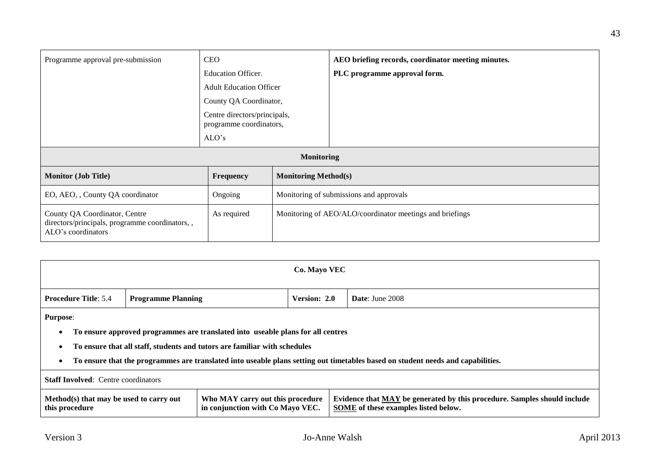| Programme approval pre-submission                                                                      | <b>CEO</b>                                              |                             | AEO briefing records, coordinator meeting minutes.       |
|--------------------------------------------------------------------------------------------------------|---------------------------------------------------------|-----------------------------|----------------------------------------------------------|
|                                                                                                        | <b>Education Officer.</b>                               |                             | PLC programme approval form.                             |
|                                                                                                        | <b>Adult Education Officer</b>                          |                             |                                                          |
|                                                                                                        | County QA Coordinator,                                  |                             |                                                          |
|                                                                                                        | Centre directors/principals,<br>programme coordinators, |                             |                                                          |
|                                                                                                        | ALO's                                                   |                             |                                                          |
|                                                                                                        |                                                         | <b>Monitoring</b>           |                                                          |
| <b>Monitor (Job Title)</b>                                                                             | <b>Frequency</b>                                        | <b>Monitoring Method(s)</b> |                                                          |
| EO, AEO, , County QA coordinator                                                                       | Ongoing                                                 |                             | Monitoring of submissions and approvals                  |
| County QA Coordinator, Centre<br>directors/principals, programme coordinators, ,<br>ALO's coordinators | As required                                             |                             | Monitoring of AEO/ALO/coordinator meetings and briefings |

| Co. Mayo VEC                                                                                                                                 |                                                                                                                                                                                                                                     |                                                                                 |              |  |                 |  |
|----------------------------------------------------------------------------------------------------------------------------------------------|-------------------------------------------------------------------------------------------------------------------------------------------------------------------------------------------------------------------------------------|---------------------------------------------------------------------------------|--------------|--|-----------------|--|
| <b>Procedure Title: 5.4</b>                                                                                                                  | <b>Programme Planning</b>                                                                                                                                                                                                           |                                                                                 | Version: 2.0 |  | Date: June 2008 |  |
| <b>Purpose:</b>                                                                                                                              |                                                                                                                                                                                                                                     |                                                                                 |              |  |                 |  |
| $\bullet$                                                                                                                                    |                                                                                                                                                                                                                                     | To ensure approved programmes are translated into useable plans for all centres |              |  |                 |  |
| $\bullet$                                                                                                                                    |                                                                                                                                                                                                                                     | To ensure that all staff, students and tutors are familiar with schedules       |              |  |                 |  |
| To ensure that the programmes are translated into useable plans setting out timetables based on student needs and capabilities.<br>$\bullet$ |                                                                                                                                                                                                                                     |                                                                                 |              |  |                 |  |
| <b>Staff Involved:</b> Centre coordinators                                                                                                   |                                                                                                                                                                                                                                     |                                                                                 |              |  |                 |  |
| this procedure                                                                                                                               | Method(s) that may be used to carry out<br>Who MAY carry out this procedure<br>Evidence that MAY be generated by this procedure. Samples should include<br>in conjunction with Co Mayo VEC.<br>SOME of these examples listed below. |                                                                                 |              |  |                 |  |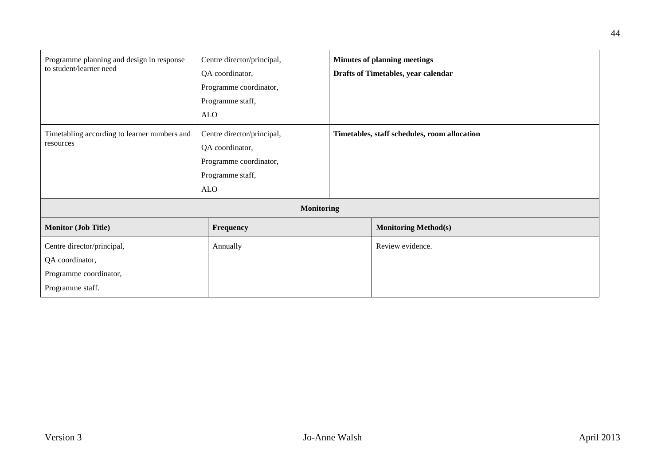| Programme planning and design in response<br>to student/learner need                        | Centre director/principal,<br>QA coordinator,<br>Programme coordinator,<br>Programme staff,<br><b>ALO</b> |                                              | <b>Minutes of planning meetings</b><br>Drafts of Timetables, year calendar |
|---------------------------------------------------------------------------------------------|-----------------------------------------------------------------------------------------------------------|----------------------------------------------|----------------------------------------------------------------------------|
| Timetabling according to learner numbers and<br>resources                                   | Centre director/principal,<br>QA coordinator,<br>Programme coordinator,<br>Programme staff,<br><b>ALO</b> | Timetables, staff schedules, room allocation |                                                                            |
|                                                                                             | <b>Monitoring</b>                                                                                         |                                              |                                                                            |
| <b>Monitor (Job Title)</b>                                                                  | Frequency                                                                                                 |                                              | <b>Monitoring Method(s)</b>                                                |
| Centre director/principal,<br>QA coordinator,<br>Programme coordinator,<br>Programme staff. | Annually                                                                                                  |                                              | Review evidence.                                                           |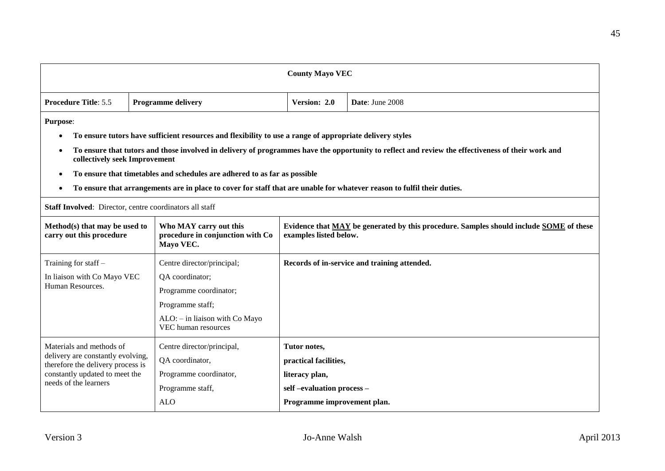|                                                                                                                                      | <b>County Mayo VEC</b>                                                                                                  |                                                                                                                  |                                                                                                                                                   |  |  |  |  |
|--------------------------------------------------------------------------------------------------------------------------------------|-------------------------------------------------------------------------------------------------------------------------|------------------------------------------------------------------------------------------------------------------|---------------------------------------------------------------------------------------------------------------------------------------------------|--|--|--|--|
| <b>Procedure Title: 5.5</b>                                                                                                          | <b>Programme delivery</b>                                                                                               | Version: 2.0                                                                                                     | Date: June 2008                                                                                                                                   |  |  |  |  |
| <b>Purpose:</b>                                                                                                                      |                                                                                                                         |                                                                                                                  |                                                                                                                                                   |  |  |  |  |
| $\bullet$                                                                                                                            | To ensure tutors have sufficient resources and flexibility to use a range of appropriate delivery styles                |                                                                                                                  | To ensure that tutors and those involved in delivery of programmes have the opportunity to reflect and review the effectiveness of their work and |  |  |  |  |
| collectively seek Improvement<br>٠                                                                                                   | To ensure that timetables and schedules are adhered to as far as possible                                               |                                                                                                                  |                                                                                                                                                   |  |  |  |  |
| $\bullet$                                                                                                                            | To ensure that arrangements are in place to cover for staff that are unable for whatever reason to fulfil their duties. |                                                                                                                  |                                                                                                                                                   |  |  |  |  |
| <b>Staff Involved:</b> Director, centre coordinators all staff                                                                       |                                                                                                                         |                                                                                                                  |                                                                                                                                                   |  |  |  |  |
| Method(s) that may be used to<br>Who MAY carry out this<br>carry out this procedure<br>procedure in conjunction with Co<br>Mayo VEC. |                                                                                                                         | Evidence that MAY be generated by this procedure. Samples should include SOME of these<br>examples listed below. |                                                                                                                                                   |  |  |  |  |
| Training for staff -                                                                                                                 | Centre director/principal;                                                                                              | Records of in-service and training attended.                                                                     |                                                                                                                                                   |  |  |  |  |
| In liaison with Co Mayo VEC                                                                                                          | QA coordinator;                                                                                                         |                                                                                                                  |                                                                                                                                                   |  |  |  |  |
| Human Resources.                                                                                                                     | Programme coordinator;                                                                                                  |                                                                                                                  |                                                                                                                                                   |  |  |  |  |
|                                                                                                                                      | Programme staff;                                                                                                        |                                                                                                                  |                                                                                                                                                   |  |  |  |  |
|                                                                                                                                      | $ALO: -$ in liaison with $Co$ Mayo<br>VEC human resources                                                               |                                                                                                                  |                                                                                                                                                   |  |  |  |  |
| Materials and methods of                                                                                                             | Centre director/principal,                                                                                              | Tutor notes,                                                                                                     |                                                                                                                                                   |  |  |  |  |
| delivery are constantly evolving,<br>therefore the delivery process is                                                               | QA coordinator,                                                                                                         | practical facilities,                                                                                            |                                                                                                                                                   |  |  |  |  |
| constantly updated to meet the                                                                                                       | Programme coordinator,                                                                                                  | literacy plan,                                                                                                   |                                                                                                                                                   |  |  |  |  |
| needs of the learners                                                                                                                | Programme staff,                                                                                                        | self-evaluation process-                                                                                         |                                                                                                                                                   |  |  |  |  |
|                                                                                                                                      | <b>ALO</b>                                                                                                              | Programme improvement plan.                                                                                      |                                                                                                                                                   |  |  |  |  |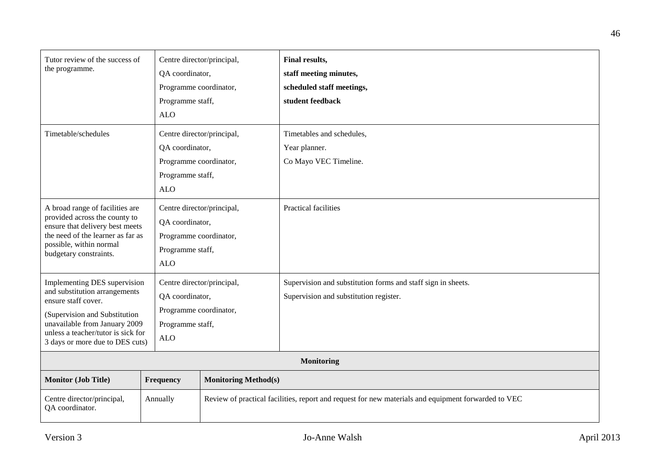| Tutor review of the success of<br>the programme.                                                                                                                                                                                | Centre director/principal,<br>QA coordinator,<br>Programme coordinator,<br>Programme staff,<br><b>ALO</b> |                            | Final results,<br>staff meeting minutes,<br>scheduled staff meetings,<br>student feedback              |  |  |  |
|---------------------------------------------------------------------------------------------------------------------------------------------------------------------------------------------------------------------------------|-----------------------------------------------------------------------------------------------------------|----------------------------|--------------------------------------------------------------------------------------------------------|--|--|--|
| Timetable/schedules<br>Centre director/principal,<br>QA coordinator,<br>Programme coordinator,<br>Programme staff,<br><b>ALO</b>                                                                                                |                                                                                                           |                            | Timetables and schedules,<br>Year planner.<br>Co Mayo VEC Timeline.                                    |  |  |  |
| A broad range of facilities are<br>provided across the county to<br>ensure that delivery best meets<br>the need of the learner as far as<br>possible, within normal<br>budgetary constraints.                                   | QA coordinator,<br>Programme coordinator,<br>Programme staff,<br><b>ALO</b>                               | Centre director/principal, | Practical facilities                                                                                   |  |  |  |
| Implementing DES supervision<br>and substitution arrangements<br>ensure staff cover.<br>(Supervision and Substitution<br>unavailable from January 2009<br>unless a teacher/tutor is sick for<br>3 days or more due to DES cuts) | QA coordinator,<br>Programme coordinator,<br>Programme staff,<br><b>ALO</b>                               | Centre director/principal, | Supervision and substitution forms and staff sign in sheets.<br>Supervision and substitution register. |  |  |  |
|                                                                                                                                                                                                                                 | <b>Monitoring</b>                                                                                         |                            |                                                                                                        |  |  |  |
| <b>Monitor (Job Title)</b><br><b>Monitoring Method(s)</b><br>Frequency                                                                                                                                                          |                                                                                                           |                            |                                                                                                        |  |  |  |
| Centre director/principal,<br>Annually<br>QA coordinator.                                                                                                                                                                       |                                                                                                           |                            | Review of practical facilities, report and request for new materials and equipment forwarded to VEC    |  |  |  |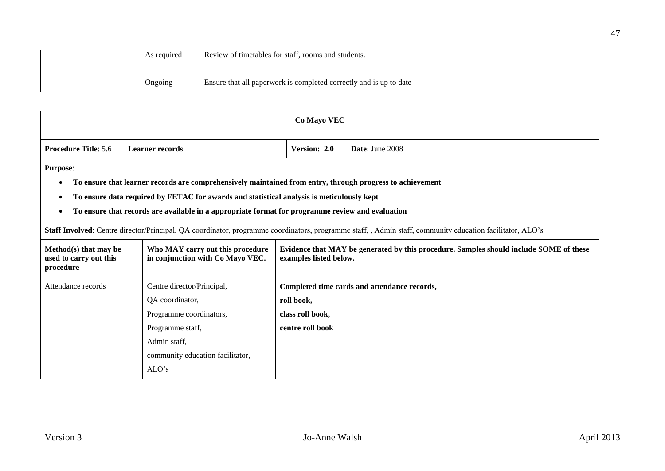| As required | Review of timetables for staff, rooms and students.                |  |
|-------------|--------------------------------------------------------------------|--|
|             |                                                                    |  |
| Ongoing     | Ensure that all paperwork is completed correctly and is up to date |  |

| Co Mayo VEC                                                                                                                          |                                                                                                           |                                                                                                                  |                                                                                                                                                           |  |  |
|--------------------------------------------------------------------------------------------------------------------------------------|-----------------------------------------------------------------------------------------------------------|------------------------------------------------------------------------------------------------------------------|-----------------------------------------------------------------------------------------------------------------------------------------------------------|--|--|
| <b>Procedure Title: 5.6</b>                                                                                                          | <b>Learner</b> records                                                                                    | Version: 2.0                                                                                                     | Date: June 2008                                                                                                                                           |  |  |
| <b>Purpose:</b>                                                                                                                      |                                                                                                           |                                                                                                                  |                                                                                                                                                           |  |  |
| $\bullet$                                                                                                                            | To ensure that learner records are comprehensively maintained from entry, through progress to achievement |                                                                                                                  |                                                                                                                                                           |  |  |
| ٠                                                                                                                                    | To ensure data required by FETAC for awards and statistical analysis is meticulously kept                 |                                                                                                                  |                                                                                                                                                           |  |  |
|                                                                                                                                      | To ensure that records are available in a appropriate format for programme review and evaluation          |                                                                                                                  |                                                                                                                                                           |  |  |
|                                                                                                                                      |                                                                                                           |                                                                                                                  | Staff Involved: Centre director/Principal, QA coordinator, programme coordinators, programme staff, , Admin staff, community education facilitator, ALO's |  |  |
| Who MAY carry out this procedure<br>Method(s) that may be<br>in conjunction with Co Mayo VEC.<br>used to carry out this<br>procedure |                                                                                                           | Evidence that MAY be generated by this procedure. Samples should include SOME of these<br>examples listed below. |                                                                                                                                                           |  |  |
| Attendance records<br>Centre director/Principal,                                                                                     |                                                                                                           |                                                                                                                  | Completed time cards and attendance records,                                                                                                              |  |  |
|                                                                                                                                      | QA coordinator,                                                                                           | roll book,                                                                                                       |                                                                                                                                                           |  |  |
|                                                                                                                                      | Programme coordinators,                                                                                   | class roll book,                                                                                                 |                                                                                                                                                           |  |  |
| Programme staff,                                                                                                                     |                                                                                                           | centre roll book                                                                                                 |                                                                                                                                                           |  |  |
| Admin staff,                                                                                                                         |                                                                                                           |                                                                                                                  |                                                                                                                                                           |  |  |
|                                                                                                                                      | community education facilitator,                                                                          |                                                                                                                  |                                                                                                                                                           |  |  |
|                                                                                                                                      | ALO's                                                                                                     |                                                                                                                  |                                                                                                                                                           |  |  |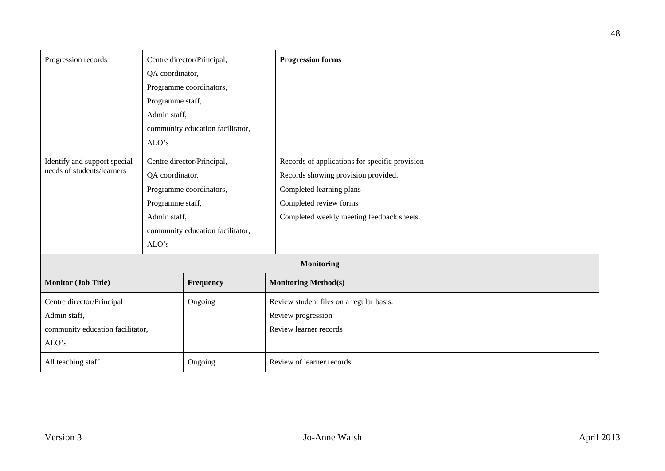| Progression records                  | Centre director/Principal,       |                                  | <b>Progression forms</b>                       |  |
|--------------------------------------|----------------------------------|----------------------------------|------------------------------------------------|--|
|                                      | QA coordinator,                  |                                  |                                                |  |
|                                      | Programme coordinators,          |                                  |                                                |  |
|                                      | Programme staff,                 |                                  |                                                |  |
|                                      | Admin staff,                     |                                  |                                                |  |
|                                      |                                  | community education facilitator, |                                                |  |
|                                      | ALO's                            |                                  |                                                |  |
| Identify and support special         |                                  | Centre director/Principal,       | Records of applications for specific provision |  |
| needs of students/learners           | QA coordinator,                  |                                  | Records showing provision provided.            |  |
|                                      |                                  | Programme coordinators,          | Completed learning plans                       |  |
|                                      | Programme staff,                 |                                  | Completed review forms                         |  |
|                                      | Admin staff,                     |                                  | Completed weekly meeting feedback sheets.      |  |
|                                      | community education facilitator, |                                  |                                                |  |
|                                      | ALO's                            |                                  |                                                |  |
|                                      |                                  |                                  | Monitoring                                     |  |
| <b>Monitor (Job Title)</b>           |                                  | Frequency                        | <b>Monitoring Method(s)</b>                    |  |
| Centre director/Principal<br>Ongoing |                                  |                                  | Review student files on a regular basis.       |  |
| Admin staff,                         |                                  |                                  | Review progression                             |  |
| community education facilitator,     |                                  |                                  | Review learner records                         |  |
| ALO's                                |                                  |                                  |                                                |  |
| All teaching staff<br>Ongoing        |                                  |                                  | Review of learner records                      |  |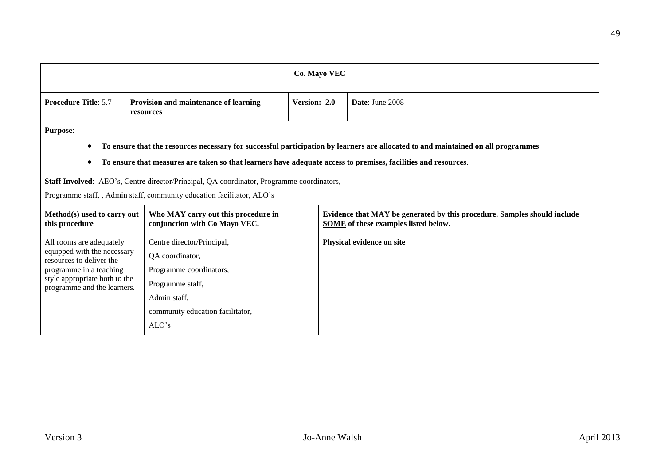| Co. Mayo VEC                                                                                                                                                                                                                                                           |                                                                                                                                                           |              |                                                                                                                         |  |  |  |  |
|------------------------------------------------------------------------------------------------------------------------------------------------------------------------------------------------------------------------------------------------------------------------|-----------------------------------------------------------------------------------------------------------------------------------------------------------|--------------|-------------------------------------------------------------------------------------------------------------------------|--|--|--|--|
| <b>Procedure Title: 5.7</b>                                                                                                                                                                                                                                            | Provision and maintenance of learning<br>resources                                                                                                        | Version: 2.0 | Date: June 2008                                                                                                         |  |  |  |  |
| <b>Purpose:</b><br>To ensure that the resources necessary for successful participation by learners are allocated to and maintained on all programmes<br>To ensure that measures are taken so that learners have adequate access to premises, facilities and resources. |                                                                                                                                                           |              |                                                                                                                         |  |  |  |  |
| Staff Involved: AEO's, Centre director/Principal, QA coordinator, Programme coordinators,<br>Programme staff, , Admin staff, community education facilitator, ALO's                                                                                                    |                                                                                                                                                           |              |                                                                                                                         |  |  |  |  |
| Method(s) used to carry out<br>Who MAY carry out this procedure in<br>conjunction with Co Mayo VEC.<br>this procedure                                                                                                                                                  |                                                                                                                                                           |              | Evidence that MAY be generated by this procedure. Samples should include<br><b>SOME</b> of these examples listed below. |  |  |  |  |
| All rooms are adequately<br>equipped with the necessary<br>resources to deliver the<br>programme in a teaching<br>style appropriate both to the<br>programme and the learners.                                                                                         | Centre director/Principal,<br>QA coordinator,<br>Programme coordinators,<br>Programme staff,<br>Admin staff,<br>community education facilitator,<br>ALO's |              | Physical evidence on site                                                                                               |  |  |  |  |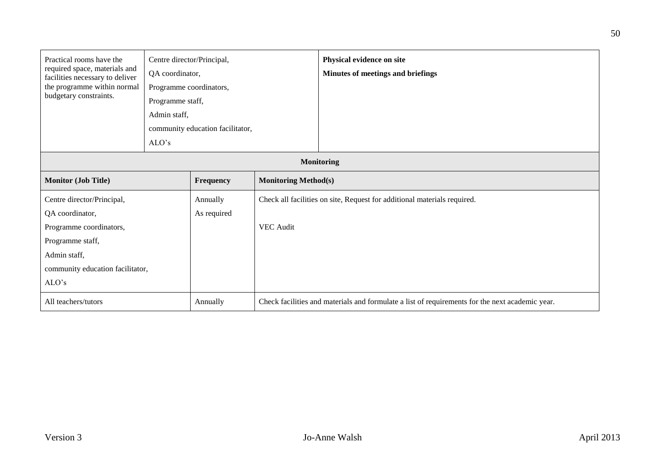| Practical rooms have the<br>required space, materials and<br>facilities necessary to deliver<br>the programme within normal<br>budgetary constraints. | Centre director/Principal,<br>QA coordinator,<br>Programme coordinators,<br>Programme staff,<br>Admin staff,<br>community education facilitator,<br>ALO's |                         |                             | Physical evidence on site<br>Minutes of meetings and briefings                                  |
|-------------------------------------------------------------------------------------------------------------------------------------------------------|-----------------------------------------------------------------------------------------------------------------------------------------------------------|-------------------------|-----------------------------|-------------------------------------------------------------------------------------------------|
|                                                                                                                                                       |                                                                                                                                                           |                         |                             | <b>Monitoring</b>                                                                               |
| <b>Monitor (Job Title)</b>                                                                                                                            | Frequency                                                                                                                                                 |                         | <b>Monitoring Method(s)</b> |                                                                                                 |
| Centre director/Principal,<br>QA coordinator,                                                                                                         |                                                                                                                                                           | Annually<br>As required |                             | Check all facilities on site, Request for additional materials required.                        |
| Programme coordinators,                                                                                                                               |                                                                                                                                                           |                         | <b>VEC</b> Audit            |                                                                                                 |
| Programme staff,                                                                                                                                      |                                                                                                                                                           |                         |                             |                                                                                                 |
| Admin staff,                                                                                                                                          |                                                                                                                                                           |                         |                             |                                                                                                 |
| community education facilitator,                                                                                                                      |                                                                                                                                                           |                         |                             |                                                                                                 |
| ALO's                                                                                                                                                 |                                                                                                                                                           |                         |                             |                                                                                                 |
| All teachers/tutors                                                                                                                                   |                                                                                                                                                           | Annually                |                             | Check facilities and materials and formulate a list of requirements for the next academic year. |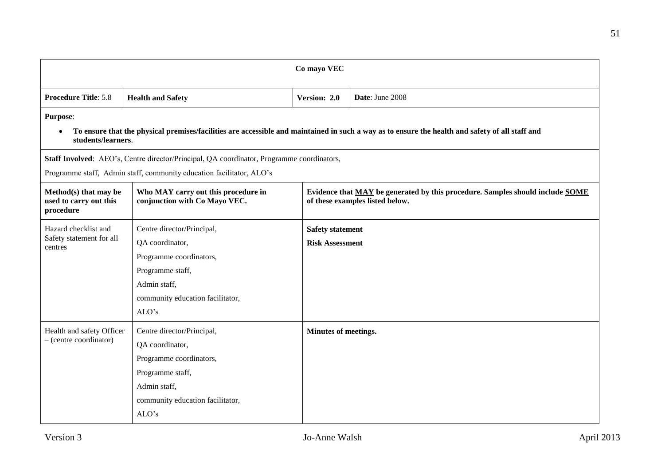|                                                              |                                                                                                                                                                       | Co mayo VEC                                       |                                                                                                                  |  |  |  |  |  |
|--------------------------------------------------------------|-----------------------------------------------------------------------------------------------------------------------------------------------------------------------|---------------------------------------------------|------------------------------------------------------------------------------------------------------------------|--|--|--|--|--|
| <b>Procedure Title: 5.8</b>                                  | <b>Health and Safety</b>                                                                                                                                              | Version: 2.0                                      | Date: June 2008                                                                                                  |  |  |  |  |  |
| <b>Purpose:</b>                                              | To ensure that the physical premises/facilities are accessible and maintained in such a way as to ensure the health and safety of all staff and<br>students/learners. |                                                   |                                                                                                                  |  |  |  |  |  |
|                                                              | Staff Involved: AEO's, Centre director/Principal, QA coordinator, Programme coordinators,                                                                             |                                                   |                                                                                                                  |  |  |  |  |  |
|                                                              | Programme staff, Admin staff, community education facilitator, ALO's                                                                                                  |                                                   |                                                                                                                  |  |  |  |  |  |
| Method(s) that may be<br>used to carry out this<br>procedure | Who MAY carry out this procedure in<br>conjunction with Co Mayo VEC.                                                                                                  |                                                   | Evidence that MAY be generated by this procedure. Samples should include SOME<br>of these examples listed below. |  |  |  |  |  |
| Hazard checklist and<br>Safety statement for all<br>centres  | Centre director/Principal,<br>QA coordinator,<br>Programme coordinators,<br>Programme staff,<br>Admin staff,<br>community education facilitator,<br>ALO's             | <b>Safety statement</b><br><b>Risk Assessment</b> |                                                                                                                  |  |  |  |  |  |
| Health and safety Officer<br>$-(center\,\,conductor)$        | Centre director/Principal,<br>QA coordinator,<br>Programme coordinators,<br>Programme staff,<br>Admin staff,<br>community education facilitator,<br>ALO's             | Minutes of meetings.                              |                                                                                                                  |  |  |  |  |  |

51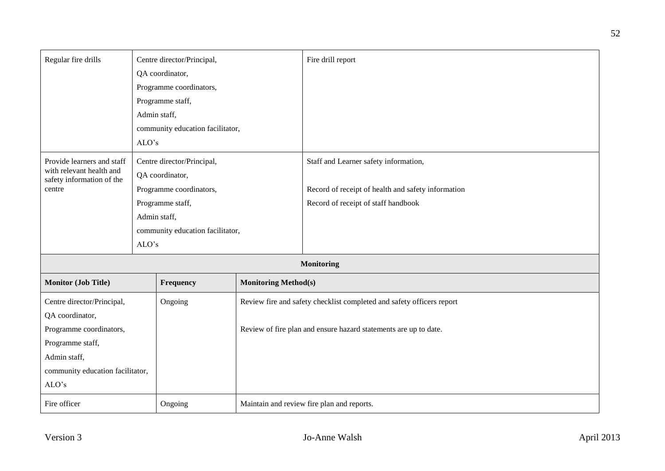| Regular fire drills                                   |       | Centre director/Principal,       |                                                                  | Fire drill report                                                     |
|-------------------------------------------------------|-------|----------------------------------|------------------------------------------------------------------|-----------------------------------------------------------------------|
|                                                       |       | QA coordinator,                  |                                                                  |                                                                       |
|                                                       |       | Programme coordinators,          |                                                                  |                                                                       |
|                                                       |       | Programme staff,                 |                                                                  |                                                                       |
|                                                       |       | Admin staff,                     |                                                                  |                                                                       |
|                                                       |       | community education facilitator, |                                                                  |                                                                       |
|                                                       | ALO's |                                  |                                                                  |                                                                       |
| Provide learners and staff                            |       | Centre director/Principal,       |                                                                  | Staff and Learner safety information,                                 |
| with relevant health and<br>safety information of the |       | QA coordinator,                  |                                                                  |                                                                       |
| centre                                                |       | Programme coordinators,          |                                                                  | Record of receipt of health and safety information                    |
|                                                       |       | Programme staff,                 |                                                                  | Record of receipt of staff handbook                                   |
|                                                       |       | Admin staff,                     |                                                                  |                                                                       |
|                                                       |       | community education facilitator, |                                                                  |                                                                       |
|                                                       | ALO's |                                  |                                                                  |                                                                       |
|                                                       |       |                                  |                                                                  | <b>Monitoring</b>                                                     |
| <b>Monitor (Job Title)</b>                            |       | Frequency                        | <b>Monitoring Method(s)</b>                                      |                                                                       |
| Centre director/Principal,                            |       | Ongoing                          |                                                                  | Review fire and safety checklist completed and safety officers report |
| QA coordinator,                                       |       |                                  |                                                                  |                                                                       |
| Programme coordinators,                               |       |                                  | Review of fire plan and ensure hazard statements are up to date. |                                                                       |
| Programme staff,                                      |       |                                  |                                                                  |                                                                       |
| Admin staff,                                          |       |                                  |                                                                  |                                                                       |
| community education facilitator,                      |       |                                  |                                                                  |                                                                       |
| ALO's                                                 |       |                                  |                                                                  |                                                                       |
| Fire officer                                          |       | Ongoing                          |                                                                  | Maintain and review fire plan and reports.                            |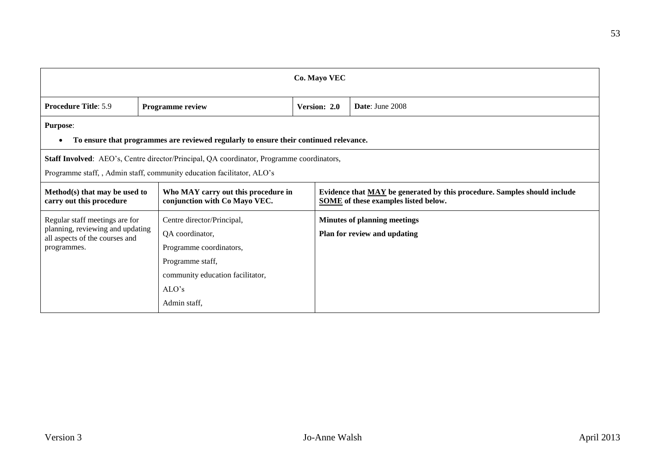| Co. Mayo VEC                                                                                                                                                               |  |                                                                                                                                                           |  |              |                                                                     |  |
|----------------------------------------------------------------------------------------------------------------------------------------------------------------------------|--|-----------------------------------------------------------------------------------------------------------------------------------------------------------|--|--------------|---------------------------------------------------------------------|--|
| <b>Procedure Title: 5.9</b>                                                                                                                                                |  | <b>Programme</b> review                                                                                                                                   |  | Version: 2.0 | Date: June 2008                                                     |  |
| <b>Purpose:</b><br>To ensure that programmes are reviewed regularly to ensure their continued relevance.                                                                   |  |                                                                                                                                                           |  |              |                                                                     |  |
| <b>Staff Involved:</b> AEO's, Centre director/Principal, QA coordinator, Programme coordinators,<br>Programme staff, , Admin staff, community education facilitator, ALO's |  |                                                                                                                                                           |  |              |                                                                     |  |
| Method(s) that may be used to<br>Who MAY carry out this procedure in<br>carry out this procedure<br>conjunction with Co Mayo VEC.                                          |  | Evidence that MAY be generated by this procedure. Samples should include<br>SOME of these examples listed below.                                          |  |              |                                                                     |  |
| Regular staff meetings are for<br>planning, reviewing and updating<br>all aspects of the courses and<br>programmes.                                                        |  | Centre director/Principal,<br>QA coordinator,<br>Programme coordinators,<br>Programme staff,<br>community education facilitator,<br>ALO's<br>Admin staff, |  |              | <b>Minutes of planning meetings</b><br>Plan for review and updating |  |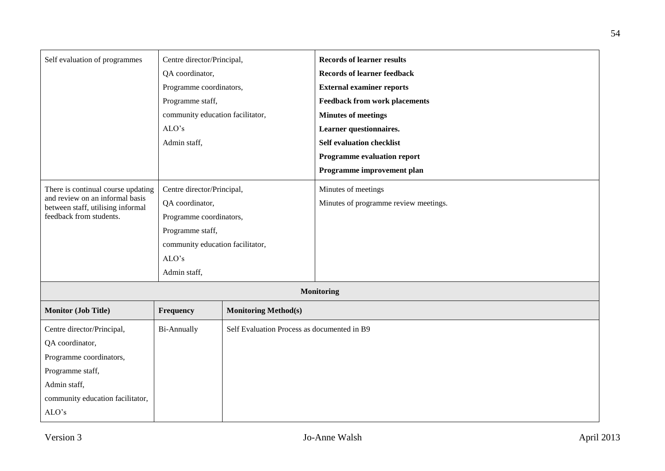| Self evaluation of programmes                                        | Centre director/Principal,       |                                             | <b>Records of learner results</b>     |  |  |
|----------------------------------------------------------------------|----------------------------------|---------------------------------------------|---------------------------------------|--|--|
|                                                                      | QA coordinator,                  |                                             | <b>Records of learner feedback</b>    |  |  |
|                                                                      | Programme coordinators,          |                                             | <b>External examiner reports</b>      |  |  |
|                                                                      | Programme staff,                 |                                             | <b>Feedback from work placements</b>  |  |  |
|                                                                      | community education facilitator, |                                             | <b>Minutes of meetings</b>            |  |  |
|                                                                      | ALO's                            |                                             | Learner questionnaires.               |  |  |
|                                                                      | Admin staff,                     |                                             | Self evaluation checklist             |  |  |
|                                                                      |                                  |                                             | Programme evaluation report           |  |  |
|                                                                      |                                  |                                             | Programme improvement plan            |  |  |
| There is continual course updating                                   | Centre director/Principal,       |                                             | Minutes of meetings                   |  |  |
| and review on an informal basis<br>between staff, utilising informal | QA coordinator,                  |                                             | Minutes of programme review meetings. |  |  |
| feedback from students.                                              | Programme coordinators,          |                                             |                                       |  |  |
|                                                                      | Programme staff,                 |                                             |                                       |  |  |
|                                                                      | community education facilitator, |                                             |                                       |  |  |
|                                                                      | ALO's                            |                                             |                                       |  |  |
|                                                                      | Admin staff,                     |                                             |                                       |  |  |
|                                                                      |                                  |                                             | <b>Monitoring</b>                     |  |  |
| <b>Monitor (Job Title)</b>                                           | Frequency                        | <b>Monitoring Method(s)</b>                 |                                       |  |  |
| Centre director/Principal,                                           | <b>Bi-Annually</b>               | Self Evaluation Process as documented in B9 |                                       |  |  |
| QA coordinator,                                                      |                                  |                                             |                                       |  |  |
| Programme coordinators,                                              |                                  |                                             |                                       |  |  |
| Programme staff,                                                     |                                  |                                             |                                       |  |  |
| Admin staff,                                                         |                                  |                                             |                                       |  |  |
| community education facilitator,                                     |                                  |                                             |                                       |  |  |
| ALO's                                                                |                                  |                                             |                                       |  |  |
|                                                                      |                                  |                                             |                                       |  |  |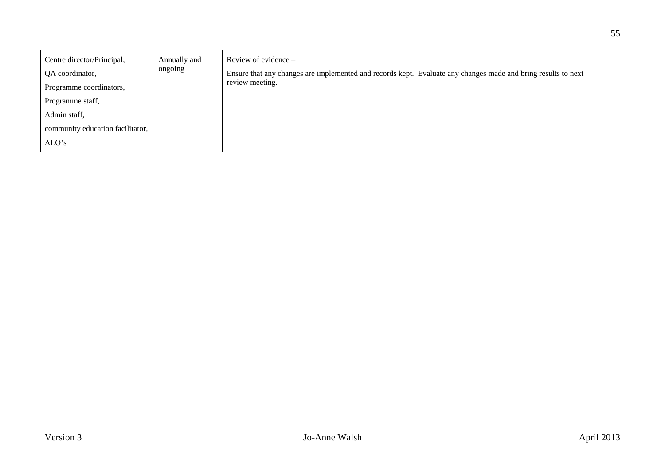| Centre director/Principal,       | Annually and | Review of evidence $-$                                                                                        |
|----------------------------------|--------------|---------------------------------------------------------------------------------------------------------------|
| QA coordinator,                  | ongoing      | Ensure that any changes are implemented and records kept. Evaluate any changes made and bring results to next |
| Programme coordinators,          |              | review meeting.                                                                                               |
| Programme staff,                 |              |                                                                                                               |
| Admin staff,                     |              |                                                                                                               |
| community education facilitator, |              |                                                                                                               |
| ALO's                            |              |                                                                                                               |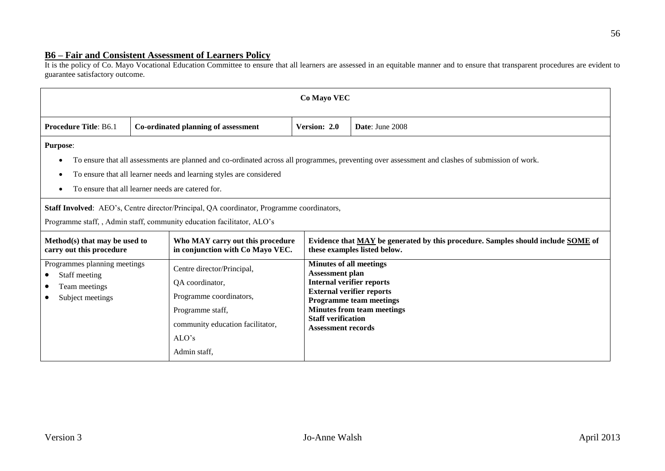## **B6 – Fair and Consistent Assessment of Learners Policy**

It is the policy of Co. Mayo Vocational Education Committee to ensure that all learners are assessed in an equitable manner and to ensure that transparent procedures are evident to guarantee satisfactory outcome.

| Co Mayo VEC                                                                                                                                                                                                                                                                                                            |                                                                                                                                                                                                                                                                                                                                                              |                                                                                                                    |                                                                                                                                             |  |  |  |
|------------------------------------------------------------------------------------------------------------------------------------------------------------------------------------------------------------------------------------------------------------------------------------------------------------------------|--------------------------------------------------------------------------------------------------------------------------------------------------------------------------------------------------------------------------------------------------------------------------------------------------------------------------------------------------------------|--------------------------------------------------------------------------------------------------------------------|---------------------------------------------------------------------------------------------------------------------------------------------|--|--|--|
| <b>Procedure Title: B6.1</b>                                                                                                                                                                                                                                                                                           | Co-ordinated planning of assessment                                                                                                                                                                                                                                                                                                                          | Version: 2.0                                                                                                       | Date: June 2008                                                                                                                             |  |  |  |
| <b>Purpose:</b><br>To ensure that all assessments are planned and co-ordinated across all programmes, preventing over assessment and clashes of submission of work.<br>٠<br>To ensure that all learner needs and learning styles are considered<br>٠<br>To ensure that all learner needs are catered for.<br>$\bullet$ |                                                                                                                                                                                                                                                                                                                                                              |                                                                                                                    |                                                                                                                                             |  |  |  |
| carry out this procedure                                                                                                                                                                                                                                                                                               | Staff Involved: AEO's, Centre director/Principal, QA coordinator, Programme coordinators,<br>Programme staff, , Admin staff, community education facilitator, ALO's<br>Method(s) that may be used to<br>Who MAY carry out this procedure<br>Evidence that MAY be generated by this procedure. Samples should include SOME of<br>these examples listed below. |                                                                                                                    |                                                                                                                                             |  |  |  |
| in conjunction with Co Mayo VEC.<br>Programmes planning meetings<br>Centre director/Principal,<br>Staff meeting<br>QA coordinator,<br>Team meetings<br>Programme coordinators,<br>Subject meetings<br>Programme staff,<br>community education facilitator,<br>ALO's<br>Admin staff,                                    |                                                                                                                                                                                                                                                                                                                                                              | <b>Minutes of all meetings</b><br><b>Assessment plan</b><br><b>Staff verification</b><br><b>Assessment records</b> | <b>Internal verifier reports</b><br><b>External verifier reports</b><br><b>Programme team meetings</b><br><b>Minutes from team meetings</b> |  |  |  |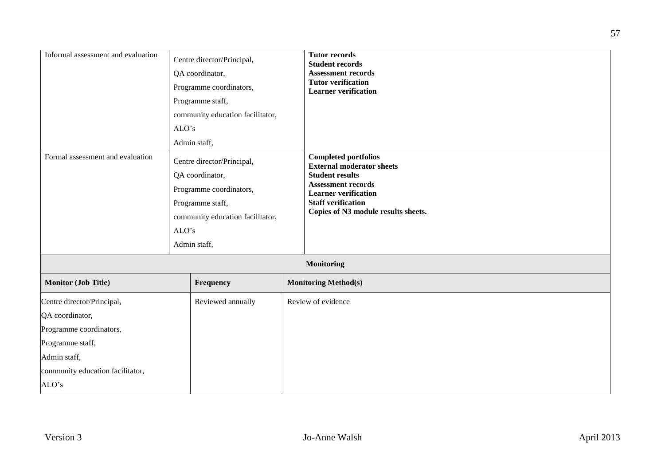| Informal assessment and evaluation                                                                                                                                             | Centre director/Principal,<br>QA coordinator,<br>Programme coordinators,<br>Programme staff,<br>community education facilitator,<br>ALO's<br>Admin staff, | <b>Tutor records</b><br><b>Student records</b><br><b>Assessment records</b><br><b>Tutor verification</b><br><b>Learner verification</b>                                                                                   |
|--------------------------------------------------------------------------------------------------------------------------------------------------------------------------------|-----------------------------------------------------------------------------------------------------------------------------------------------------------|---------------------------------------------------------------------------------------------------------------------------------------------------------------------------------------------------------------------------|
| Formal assessment and evaluation                                                                                                                                               | Centre director/Principal,<br>QA coordinator,<br>Programme coordinators,<br>Programme staff,<br>community education facilitator,<br>ALO's<br>Admin staff, | <b>Completed portfolios</b><br><b>External moderator sheets</b><br><b>Student results</b><br><b>Assessment records</b><br><b>Learner verification</b><br><b>Staff verification</b><br>Copies of N3 module results sheets. |
|                                                                                                                                                                                |                                                                                                                                                           | <b>Monitoring</b>                                                                                                                                                                                                         |
| <b>Monitor (Job Title)</b>                                                                                                                                                     | Frequency                                                                                                                                                 | <b>Monitoring Method(s)</b>                                                                                                                                                                                               |
| Reviewed annually<br>Centre director/Principal,<br>QA coordinator,<br>Programme coordinators,<br>Programme staff,<br>Admin staff,<br>community education facilitator,<br>ALO's |                                                                                                                                                           | Review of evidence                                                                                                                                                                                                        |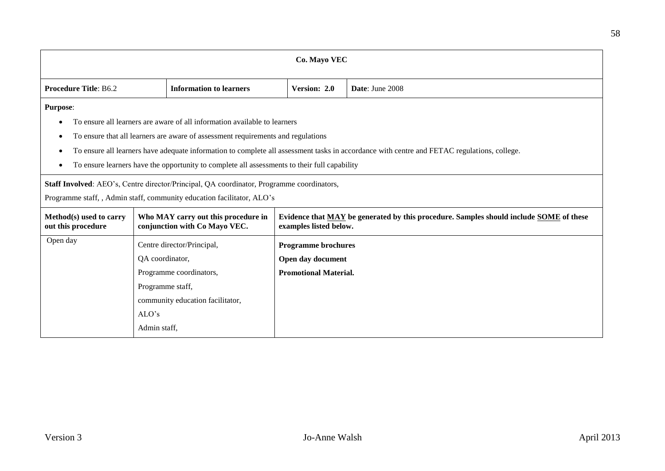| Co. Mayo VEC                                  |                                                                                                  |                              |                                                                                                                                             |  |  |  |  |
|-----------------------------------------------|--------------------------------------------------------------------------------------------------|------------------------------|---------------------------------------------------------------------------------------------------------------------------------------------|--|--|--|--|
| <b>Procedure Title: B6.2</b>                  | Date: June 2008<br><b>Information to learners</b><br>Version: 2.0                                |                              |                                                                                                                                             |  |  |  |  |
| <b>Purpose:</b>                               |                                                                                                  |                              |                                                                                                                                             |  |  |  |  |
|                                               | To ensure all learners are aware of all information available to learners                        |                              |                                                                                                                                             |  |  |  |  |
| $\bullet$                                     | To ensure that all learners are aware of assessment requirements and regulations                 |                              |                                                                                                                                             |  |  |  |  |
| $\bullet$                                     |                                                                                                  |                              | To ensure all learners have adequate information to complete all assessment tasks in accordance with centre and FETAC regulations, college. |  |  |  |  |
|                                               | To ensure learners have the opportunity to complete all assessments to their full capability     |                              |                                                                                                                                             |  |  |  |  |
|                                               | <b>Staff Involved:</b> AEO's, Centre director/Principal, QA coordinator, Programme coordinators, |                              |                                                                                                                                             |  |  |  |  |
|                                               | Programme staff, , Admin staff, community education facilitator, ALO's                           |                              |                                                                                                                                             |  |  |  |  |
| Method(s) used to carry<br>out this procedure | Who MAY carry out this procedure in<br>conjunction with Co Mayo VEC.                             | examples listed below.       | Evidence that MAY be generated by this procedure. Samples should include SOME of these                                                      |  |  |  |  |
| Open day                                      | Centre director/Principal,                                                                       | <b>Programme brochures</b>   |                                                                                                                                             |  |  |  |  |
|                                               | QA coordinator,                                                                                  | Open day document            |                                                                                                                                             |  |  |  |  |
|                                               | Programme coordinators,                                                                          | <b>Promotional Material.</b> |                                                                                                                                             |  |  |  |  |
| Programme staff,                              |                                                                                                  |                              |                                                                                                                                             |  |  |  |  |
| community education facilitator,              |                                                                                                  |                              |                                                                                                                                             |  |  |  |  |
|                                               | ALO's                                                                                            |                              |                                                                                                                                             |  |  |  |  |
|                                               | Admin staff,                                                                                     |                              |                                                                                                                                             |  |  |  |  |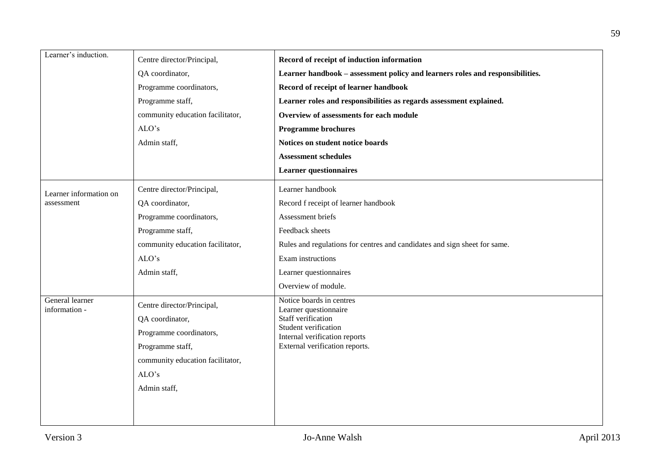| Learner's induction.             | Centre director/Principal,       | Record of receipt of induction information                                    |
|----------------------------------|----------------------------------|-------------------------------------------------------------------------------|
|                                  | QA coordinator,                  | Learner handbook – assessment policy and learners roles and responsibilities. |
|                                  | Programme coordinators,          | Record of receipt of learner handbook                                         |
|                                  | Programme staff,                 | Learner roles and responsibilities as regards assessment explained.           |
|                                  | community education facilitator, | Overview of assessments for each module                                       |
|                                  | ALO's                            | <b>Programme brochures</b>                                                    |
|                                  | Admin staff,                     | Notices on student notice boards                                              |
|                                  |                                  | <b>Assessment schedules</b>                                                   |
|                                  |                                  | <b>Learner questionnaires</b>                                                 |
| Learner information on           | Centre director/Principal,       | Learner handbook                                                              |
| assessment                       | QA coordinator,                  | Record f receipt of learner handbook                                          |
|                                  | Programme coordinators,          | Assessment briefs                                                             |
|                                  | Programme staff,                 | Feedback sheets                                                               |
|                                  | community education facilitator, | Rules and regulations for centres and candidates and sign sheet for same.     |
|                                  | ALO's                            | Exam instructions                                                             |
|                                  | Admin staff,                     | Learner questionnaires                                                        |
|                                  |                                  | Overview of module.                                                           |
| General learner<br>information - | Centre director/Principal,       | Notice boards in centres<br>Learner questionnaire                             |
|                                  | QA coordinator,                  | Staff verification                                                            |
|                                  | Programme coordinators,          | Student verification<br>Internal verification reports                         |
|                                  | Programme staff,                 | External verification reports.                                                |
|                                  | community education facilitator, |                                                                               |
|                                  | ALO's                            |                                                                               |
|                                  | Admin staff,                     |                                                                               |
|                                  |                                  |                                                                               |
|                                  |                                  |                                                                               |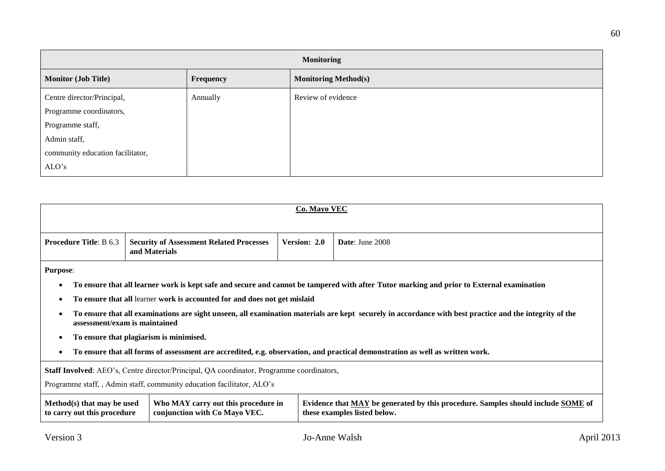| <b>Monitoring</b>                                                                                                                      |           |                             |  |  |
|----------------------------------------------------------------------------------------------------------------------------------------|-----------|-----------------------------|--|--|
| <b>Monitor (Job Title)</b>                                                                                                             | Frequency | <b>Monitoring Method(s)</b> |  |  |
| Centre director/Principal,<br>Programme coordinators,<br>Programme staff,<br>Admin staff,<br>community education facilitator,<br>ALO's | Annually  | Review of evidence          |  |  |

| Co. Mayo VEC                                                                                                                                                                                                                                          |                                                                           |  |                                                                                                                                                         |  |  |
|-------------------------------------------------------------------------------------------------------------------------------------------------------------------------------------------------------------------------------------------------------|---------------------------------------------------------------------------|--|---------------------------------------------------------------------------------------------------------------------------------------------------------|--|--|
| <b>Procedure Title: B 6.3</b><br>Version: 2.0<br><b>Security of Assessment Related Processes</b><br><b>Date:</b> June 2008<br>and Materials                                                                                                           |                                                                           |  |                                                                                                                                                         |  |  |
| <b>Purpose:</b>                                                                                                                                                                                                                                       |                                                                           |  |                                                                                                                                                         |  |  |
|                                                                                                                                                                                                                                                       |                                                                           |  | To ensure that all learner work is kept safe and secure and cannot be tampered with after Tutor marking and prior to External examination               |  |  |
|                                                                                                                                                                                                                                                       | To ensure that all learner work is accounted for and does not get mislaid |  |                                                                                                                                                         |  |  |
| assessment/exam is maintained                                                                                                                                                                                                                         |                                                                           |  | To ensure that all examinations are sight unseen, all examination materials are kept securely in accordance with best practice and the integrity of the |  |  |
|                                                                                                                                                                                                                                                       | To ensure that plagiarism is minimised.                                   |  |                                                                                                                                                         |  |  |
|                                                                                                                                                                                                                                                       |                                                                           |  | To ensure that all forms of assessment are accredited, e.g. observation, and practical demonstration as well as written work.                           |  |  |
| <b>Staff Involved:</b> AEO's, Centre director/Principal, QA coordinator, Programme coordinators,                                                                                                                                                      |                                                                           |  |                                                                                                                                                         |  |  |
| Programme staff, , Admin staff, community education facilitator, ALO's                                                                                                                                                                                |                                                                           |  |                                                                                                                                                         |  |  |
| Method(s) that may be used<br>Who MAY carry out this procedure in<br>Evidence that MAY be generated by this procedure. Samples should include SOME of<br>to carry out this procedure<br>conjunction with Co Mayo VEC.<br>these examples listed below. |                                                                           |  |                                                                                                                                                         |  |  |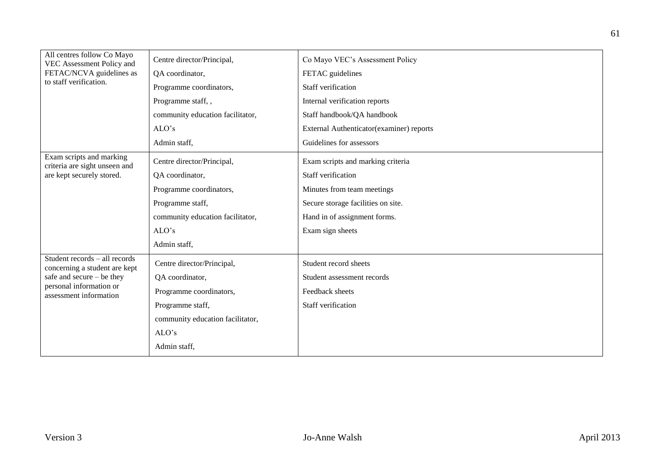| All centres follow Co Mayo<br>VEC Assessment Policy and<br>FETAC/NCVA guidelines as<br>to staff verification. | Centre director/Principal,       | Co Mayo VEC's Assessment Policy          |  |  |
|---------------------------------------------------------------------------------------------------------------|----------------------------------|------------------------------------------|--|--|
|                                                                                                               | QA coordinator,                  | FETAC guidelines                         |  |  |
|                                                                                                               | Programme coordinators,          | Staff verification                       |  |  |
|                                                                                                               | Programme staff,,                | Internal verification reports            |  |  |
|                                                                                                               | community education facilitator, | Staff handbook/QA handbook               |  |  |
|                                                                                                               | ALO's                            | External Authenticator(examiner) reports |  |  |
|                                                                                                               | Admin staff,                     | Guidelines for assessors                 |  |  |
| Exam scripts and marking<br>criteria are sight unseen and                                                     | Centre director/Principal,       | Exam scripts and marking criteria        |  |  |
| are kept securely stored.                                                                                     | QA coordinator,                  | Staff verification                       |  |  |
|                                                                                                               | Programme coordinators,          | Minutes from team meetings               |  |  |
|                                                                                                               | Programme staff,                 | Secure storage facilities on site.       |  |  |
|                                                                                                               | community education facilitator, | Hand in of assignment forms.             |  |  |
|                                                                                                               | ALO's                            | Exam sign sheets                         |  |  |
|                                                                                                               | Admin staff,                     |                                          |  |  |
| Student records - all records<br>concerning a student are kept                                                | Centre director/Principal,       | Student record sheets                    |  |  |
| safe and secure $-$ be they                                                                                   | QA coordinator,                  | Student assessment records               |  |  |
| personal information or<br>assessment information                                                             | Programme coordinators,          | Feedback sheets                          |  |  |
|                                                                                                               | Programme staff,                 | Staff verification                       |  |  |
|                                                                                                               | community education facilitator, |                                          |  |  |
|                                                                                                               | ALO's                            |                                          |  |  |
|                                                                                                               | Admin staff,                     |                                          |  |  |
|                                                                                                               |                                  |                                          |  |  |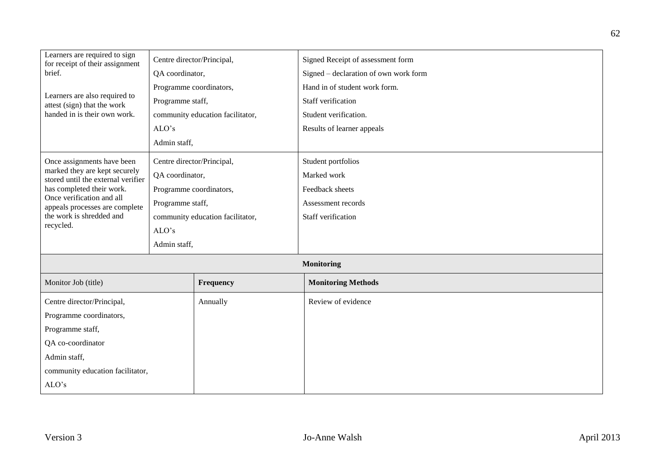| Learners are required to sign<br>for receipt of their assignment    | Centre director/Principal,       |                                  | Signed Receipt of assessment form     |  |
|---------------------------------------------------------------------|----------------------------------|----------------------------------|---------------------------------------|--|
| brief.                                                              | QA coordinator,                  |                                  | Signed – declaration of own work form |  |
|                                                                     |                                  | Programme coordinators,          | Hand in of student work form.         |  |
| Learners are also required to<br>attest (sign) that the work        | Programme staff,                 |                                  | Staff verification                    |  |
| handed in is their own work.                                        |                                  | community education facilitator, | Student verification.                 |  |
|                                                                     | ALO's                            |                                  | Results of learner appeals            |  |
|                                                                     | Admin staff,                     |                                  |                                       |  |
| Once assignments have been                                          |                                  | Centre director/Principal,       | Student portfolios                    |  |
| marked they are kept securely<br>stored until the external verifier | QA coordinator,                  |                                  | Marked work                           |  |
| has completed their work.                                           |                                  | Programme coordinators,          | Feedback sheets                       |  |
| Once verification and all<br>appeals processes are complete         | Programme staff,                 |                                  | Assessment records                    |  |
| the work is shredded and                                            | community education facilitator, |                                  | Staff verification                    |  |
| recycled.                                                           | ALO's                            |                                  |                                       |  |
|                                                                     | Admin staff,                     |                                  |                                       |  |
|                                                                     |                                  |                                  | <b>Monitoring</b>                     |  |
| Monitor Job (title)                                                 |                                  | Frequency                        | <b>Monitoring Methods</b>             |  |
| Centre director/Principal,                                          |                                  | Annually                         | Review of evidence                    |  |
| Programme coordinators,                                             |                                  |                                  |                                       |  |
| Programme staff,                                                    |                                  |                                  |                                       |  |
| QA co-coordinator                                                   |                                  |                                  |                                       |  |
| Admin staff,                                                        |                                  |                                  |                                       |  |
| community education facilitator,                                    |                                  |                                  |                                       |  |
| ALO's                                                               |                                  |                                  |                                       |  |
|                                                                     |                                  |                                  |                                       |  |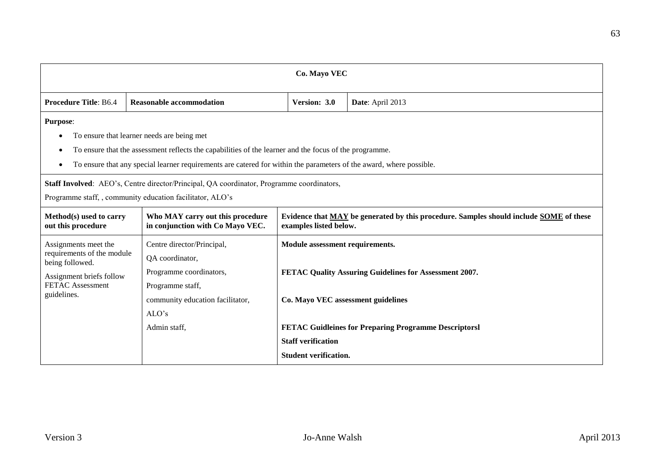| Co. Mayo VEC                                                                                                                                                                                                                              |                                                                                                                                                        |                                                        |                                                              |  |  |  |  |
|-------------------------------------------------------------------------------------------------------------------------------------------------------------------------------------------------------------------------------------------|--------------------------------------------------------------------------------------------------------------------------------------------------------|--------------------------------------------------------|--------------------------------------------------------------|--|--|--|--|
| <b>Procedure Title: B6.4</b>                                                                                                                                                                                                              | <b>Reasonable accommodation</b><br>Version: 3.0<br>Date: April 2013                                                                                    |                                                        |                                                              |  |  |  |  |
| <b>Purpose:</b>                                                                                                                                                                                                                           |                                                                                                                                                        |                                                        |                                                              |  |  |  |  |
|                                                                                                                                                                                                                                           | To ensure that learner needs are being met                                                                                                             |                                                        |                                                              |  |  |  |  |
|                                                                                                                                                                                                                                           | To ensure that the assessment reflects the capabilities of the learner and the focus of the programme.                                                 |                                                        |                                                              |  |  |  |  |
|                                                                                                                                                                                                                                           | To ensure that any special learner requirements are catered for within the parameters of the award, where possible.                                    |                                                        |                                                              |  |  |  |  |
|                                                                                                                                                                                                                                           | Staff Involved: AEO's, Centre director/Principal, QA coordinator, Programme coordinators,<br>Programme staff, , community education facilitator, ALO's |                                                        |                                                              |  |  |  |  |
| Method(s) used to carry<br>Who MAY carry out this procedure<br>Evidence that MAY be generated by this procedure. Samples should include SOME of these<br>in conjunction with Co Mayo VEC.<br>examples listed below.<br>out this procedure |                                                                                                                                                        |                                                        |                                                              |  |  |  |  |
| Assignments meet the                                                                                                                                                                                                                      | Centre director/Principal,                                                                                                                             | Module assessment requirements.                        |                                                              |  |  |  |  |
| requirements of the module<br>being followed.                                                                                                                                                                                             | QA coordinator,                                                                                                                                        |                                                        |                                                              |  |  |  |  |
| Assignment briefs follow                                                                                                                                                                                                                  | Programme coordinators,                                                                                                                                | FETAC Quality Assuring Guidelines for Assessment 2007. |                                                              |  |  |  |  |
| <b>FETAC Assessment</b><br>guidelines.                                                                                                                                                                                                    | Programme staff,                                                                                                                                       |                                                        |                                                              |  |  |  |  |
|                                                                                                                                                                                                                                           | community education facilitator,                                                                                                                       | Co. Mayo VEC assessment guidelines                     |                                                              |  |  |  |  |
|                                                                                                                                                                                                                                           | ALO's                                                                                                                                                  |                                                        |                                                              |  |  |  |  |
|                                                                                                                                                                                                                                           | Admin staff,                                                                                                                                           |                                                        | <b>FETAC Guidleines for Preparing Programme Descriptorsl</b> |  |  |  |  |
|                                                                                                                                                                                                                                           |                                                                                                                                                        | <b>Staff verification</b>                              |                                                              |  |  |  |  |
|                                                                                                                                                                                                                                           |                                                                                                                                                        | <b>Student verification.</b>                           |                                                              |  |  |  |  |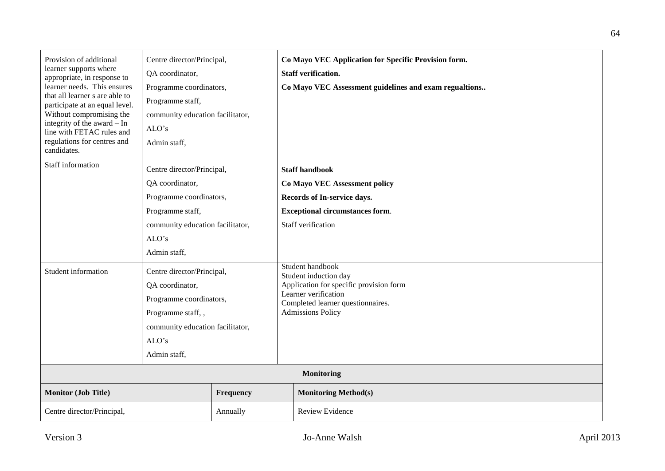| Provision of additional<br>learner supports where<br>appropriate, in response to<br>learner needs. This ensures<br>that all learner s are able to<br>participate at an equal level.<br>Without compromising the<br>integrity of the award - In<br>line with FETAC rules and<br>regulations for centres and<br>candidates. | Centre director/Principal,<br>QA coordinator,<br>Programme coordinators,<br>Programme staff,<br>community education facilitator,<br>ALO's<br>Admin staff,  |  | Co Mayo VEC Application for Specific Provision form.<br><b>Staff verification.</b><br>Co Mayo VEC Assessment guidelines and exam regualtions                                  |
|---------------------------------------------------------------------------------------------------------------------------------------------------------------------------------------------------------------------------------------------------------------------------------------------------------------------------|------------------------------------------------------------------------------------------------------------------------------------------------------------|--|-------------------------------------------------------------------------------------------------------------------------------------------------------------------------------|
| <b>Staff</b> information                                                                                                                                                                                                                                                                                                  | Centre director/Principal,<br>QA coordinator,<br>Programme coordinators,                                                                                   |  | <b>Staff handbook</b><br>Co Mayo VEC Assessment policy<br>Records of In-service days.                                                                                         |
|                                                                                                                                                                                                                                                                                                                           | Programme staff,                                                                                                                                           |  | <b>Exceptional circumstances form.</b>                                                                                                                                        |
|                                                                                                                                                                                                                                                                                                                           | community education facilitator,                                                                                                                           |  | Staff verification                                                                                                                                                            |
| ALO's<br>Admin staff,                                                                                                                                                                                                                                                                                                     |                                                                                                                                                            |  |                                                                                                                                                                               |
| Student information                                                                                                                                                                                                                                                                                                       | Centre director/Principal,<br>QA coordinator,<br>Programme coordinators,<br>Programme staff,,<br>community education facilitator,<br>ALO's<br>Admin staff, |  | Student handbook<br>Student induction day<br>Application for specific provision form<br>Learner verification<br>Completed learner questionnaires.<br><b>Admissions Policy</b> |
|                                                                                                                                                                                                                                                                                                                           |                                                                                                                                                            |  | <b>Monitoring</b>                                                                                                                                                             |
| <b>Monitor (Job Title)</b><br>Frequency                                                                                                                                                                                                                                                                                   |                                                                                                                                                            |  | <b>Monitoring Method(s)</b>                                                                                                                                                   |
| Centre director/Principal,<br>Annually                                                                                                                                                                                                                                                                                    |                                                                                                                                                            |  | Review Evidence                                                                                                                                                               |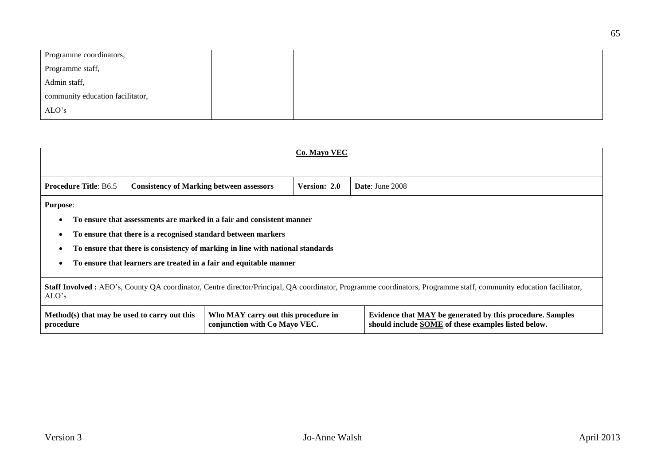| Programme coordinators,          |  |  |
|----------------------------------|--|--|
| Programme staff,                 |  |  |
| Admin staff,                     |  |  |
| community education facilitator, |  |  |
| ALO's                            |  |  |

|                                                                                                                                                                                                                                                              |                                                                                                                                                                                                                                                                                                |  | <b>Co. Mayo VEC</b> |  |                        |
|--------------------------------------------------------------------------------------------------------------------------------------------------------------------------------------------------------------------------------------------------------------|------------------------------------------------------------------------------------------------------------------------------------------------------------------------------------------------------------------------------------------------------------------------------------------------|--|---------------------|--|------------------------|
| <b>Procedure Title: B6.5</b>                                                                                                                                                                                                                                 | <b>Consistency of Marking between assessors</b>                                                                                                                                                                                                                                                |  | Version: 2.0        |  | <b>Date:</b> June 2008 |
| <b>Purpose:</b><br>$\bullet$<br>٠<br>٠                                                                                                                                                                                                                       | To ensure that assessments are marked in a fair and consistent manner<br>To ensure that there is a recognised standard between markers<br>To ensure that there is consistency of marking in line with national standards<br>To ensure that learners are treated in a fair and equitable manner |  |                     |  |                        |
| Staff Involved : AEO's, County QA coordinator, Centre director/Principal, QA coordinator, Programme coordinators, Programme staff, community education facilitator,<br>ALO's                                                                                 |                                                                                                                                                                                                                                                                                                |  |                     |  |                        |
| Method(s) that may be used to carry out this<br>Who MAY carry out this procedure in<br>Evidence that MAY be generated by this procedure. Samples<br>should include <b>SOME</b> of these examples listed below.<br>conjunction with Co Mayo VEC.<br>procedure |                                                                                                                                                                                                                                                                                                |  |                     |  |                        |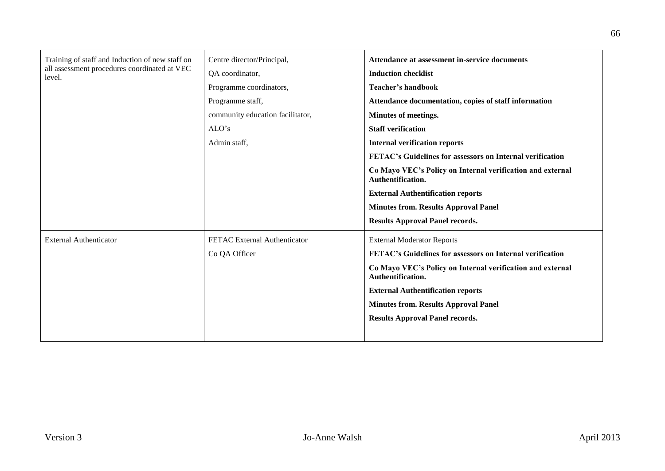| Training of staff and Induction of new staff on | Centre director/Principal,          | Attendance at assessment in-service documents                                   |
|-------------------------------------------------|-------------------------------------|---------------------------------------------------------------------------------|
| all assessment procedures coordinated at VEC    | QA coordinator,                     | <b>Induction checklist</b>                                                      |
| level.                                          |                                     |                                                                                 |
|                                                 | Programme coordinators,             | <b>Teacher's handbook</b>                                                       |
|                                                 | Programme staff,                    | Attendance documentation, copies of staff information                           |
|                                                 | community education facilitator,    | Minutes of meetings.                                                            |
|                                                 | ALO's                               | <b>Staff verification</b>                                                       |
|                                                 | Admin staff,                        | <b>Internal verification reports</b>                                            |
|                                                 |                                     | FETAC's Guidelines for assessors on Internal verification                       |
|                                                 |                                     | Co Mayo VEC's Policy on Internal verification and external<br>Authentification. |
|                                                 |                                     | <b>External Authentification reports</b>                                        |
|                                                 |                                     | <b>Minutes from. Results Approval Panel</b>                                     |
|                                                 |                                     | <b>Results Approval Panel records.</b>                                          |
| <b>External Authenticator</b>                   | <b>FETAC</b> External Authenticator | <b>External Moderator Reports</b>                                               |
|                                                 | Co QA Officer                       | FETAC's Guidelines for assessors on Internal verification                       |
|                                                 |                                     | Co Mayo VEC's Policy on Internal verification and external<br>Authentification. |
|                                                 |                                     | <b>External Authentification reports</b>                                        |
|                                                 |                                     | <b>Minutes from. Results Approval Panel</b>                                     |
|                                                 |                                     | <b>Results Approval Panel records.</b>                                          |
|                                                 |                                     |                                                                                 |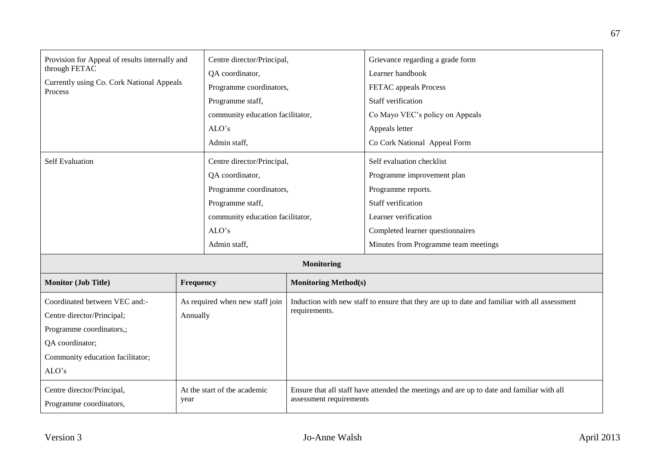| Provision for Appeal of results internally and<br>through FETAC<br>Currently using Co. Cork National Appeals<br>Process                                                                                |           | Centre director/Principal,<br>QA coordinator,<br>Programme coordinators,<br>Programme staff,<br>community education facilitator,<br>ALO's<br>Admin staff, |                             | Grievance regarding a grade form<br>Learner handbook<br>FETAC appeals Process<br>Staff verification<br>Co Mayo VEC's policy on Appeals<br>Appeals letter<br>Co Cork National Appeal Form                |
|--------------------------------------------------------------------------------------------------------------------------------------------------------------------------------------------------------|-----------|-----------------------------------------------------------------------------------------------------------------------------------------------------------|-----------------------------|---------------------------------------------------------------------------------------------------------------------------------------------------------------------------------------------------------|
| <b>Self Evaluation</b>                                                                                                                                                                                 |           | Centre director/Principal,<br>QA coordinator,<br>Programme coordinators,<br>Programme staff,<br>community education facilitator,<br>ALO's<br>Admin staff, |                             | Self evaluation checklist<br>Programme improvement plan<br>Programme reports.<br>Staff verification<br>Learner verification<br>Completed learner questionnaires<br>Minutes from Programme team meetings |
|                                                                                                                                                                                                        |           |                                                                                                                                                           | <b>Monitoring</b>           |                                                                                                                                                                                                         |
| <b>Monitor (Job Title)</b>                                                                                                                                                                             | Frequency |                                                                                                                                                           | <b>Monitoring Method(s)</b> |                                                                                                                                                                                                         |
| Coordinated between VEC and:-<br>As required when new staff join<br>Centre director/Principal;<br>Annually<br>Programme coordinators,;<br>QA coordinator;<br>Community education facilitator;<br>ALO's |           | Induction with new staff to ensure that they are up to date and familiar with all assessment<br>requirements.                                             |                             |                                                                                                                                                                                                         |
| Centre director/Principal,<br>Programme coordinators,                                                                                                                                                  | year      | At the start of the academic                                                                                                                              | assessment requirements     | Ensure that all staff have attended the meetings and are up to date and familiar with all                                                                                                               |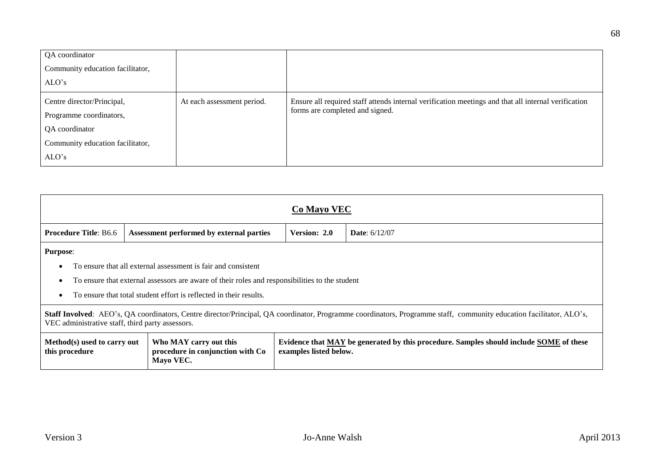| QA coordinator<br>Community education facilitator,<br>ALO's                                                          |                            |                                                                                                                                        |
|----------------------------------------------------------------------------------------------------------------------|----------------------------|----------------------------------------------------------------------------------------------------------------------------------------|
| Centre director/Principal,<br>Programme coordinators,<br>QA coordinator<br>Community education facilitator,<br>ALO's | At each assessment period. | Ensure all required staff attends internal verification meetings and that all internal verification<br>forms are completed and signed. |

| Co Mayo VEC                                                                                                                                                                                                                     |                                                                                    |                                                                                                                  |  |  |
|---------------------------------------------------------------------------------------------------------------------------------------------------------------------------------------------------------------------------------|------------------------------------------------------------------------------------|------------------------------------------------------------------------------------------------------------------|--|--|
| <b>Procedure Title: B6.6</b>                                                                                                                                                                                                    | Version: 2.0<br><b>Date:</b> $6/12/07$<br>Assessment performed by external parties |                                                                                                                  |  |  |
| <b>Purpose:</b>                                                                                                                                                                                                                 |                                                                                    |                                                                                                                  |  |  |
|                                                                                                                                                                                                                                 | To ensure that all external assessment is fair and consistent                      |                                                                                                                  |  |  |
| To ensure that external assessors are aware of their roles and responsibilities to the student                                                                                                                                  |                                                                                    |                                                                                                                  |  |  |
| To ensure that total student effort is reflected in their results.                                                                                                                                                              |                                                                                    |                                                                                                                  |  |  |
| <b>Staff Involved</b> : AEO's, QA coordinators, Centre director/Principal, QA coordinator, Programme coordinators, Programme staff, community education facilitator, ALO's,<br>VEC administrative staff, third party assessors. |                                                                                    |                                                                                                                  |  |  |
| Who MAY carry out this<br>Method(s) used to carry out<br>procedure in conjunction with Co<br>this procedure<br>Mayo VEC.                                                                                                        |                                                                                    | Evidence that MAY be generated by this procedure. Samples should include SOME of these<br>examples listed below. |  |  |

68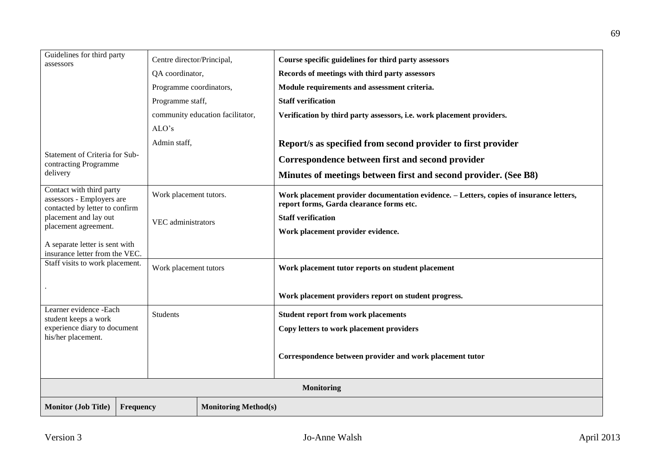| Guidelines for third party<br>assessors                                                 |  | Centre director/Principal, |                                                      | Course specific guidelines for third party assessors                                                                                |  |  |
|-----------------------------------------------------------------------------------------|--|----------------------------|------------------------------------------------------|-------------------------------------------------------------------------------------------------------------------------------------|--|--|
|                                                                                         |  | QA coordinator,            |                                                      | Records of meetings with third party assessors                                                                                      |  |  |
| Programme coordinators,                                                                 |  |                            | Module requirements and assessment criteria.         |                                                                                                                                     |  |  |
| Programme staff,                                                                        |  |                            | <b>Staff verification</b>                            |                                                                                                                                     |  |  |
|                                                                                         |  |                            | community education facilitator,                     | Verification by third party assessors, i.e. work placement providers.                                                               |  |  |
|                                                                                         |  | ALO's                      |                                                      |                                                                                                                                     |  |  |
|                                                                                         |  | Admin staff,               |                                                      | Report/s as specified from second provider to first provider                                                                        |  |  |
| Statement of Criteria for Sub-<br>contracting Programme                                 |  |                            |                                                      | Correspondence between first and second provider                                                                                    |  |  |
| delivery                                                                                |  |                            |                                                      | Minutes of meetings between first and second provider. (See B8)                                                                     |  |  |
| Contact with third party<br>assessors - Employers are<br>contacted by letter to confirm |  | Work placement tutors.     |                                                      | Work placement provider documentation evidence. - Letters, copies of insurance letters,<br>report forms, Garda clearance forms etc. |  |  |
| placement and lay out<br>placement agreement.                                           |  | VEC administrators         |                                                      | <b>Staff verification</b>                                                                                                           |  |  |
|                                                                                         |  |                            |                                                      | Work placement provider evidence.                                                                                                   |  |  |
| A separate letter is sent with<br>insurance letter from the VEC.                        |  |                            |                                                      |                                                                                                                                     |  |  |
| Staff visits to work placement.<br>Work placement tutors                                |  |                            | Work placement tutor reports on student placement    |                                                                                                                                     |  |  |
|                                                                                         |  |                            | Work placement providers report on student progress. |                                                                                                                                     |  |  |
| Learner evidence -Each<br>student keeps a work                                          |  | <b>Students</b>            |                                                      | <b>Student report from work placements</b>                                                                                          |  |  |
| experience diary to document<br>his/her placement.                                      |  |                            |                                                      | Copy letters to work placement providers                                                                                            |  |  |
|                                                                                         |  |                            |                                                      | Correspondence between provider and work placement tutor                                                                            |  |  |
| <b>Monitoring</b>                                                                       |  |                            |                                                      |                                                                                                                                     |  |  |
| <b>Monitor (Job Title)</b><br><b>Monitoring Method(s)</b><br><b>Frequency</b>           |  |                            |                                                      |                                                                                                                                     |  |  |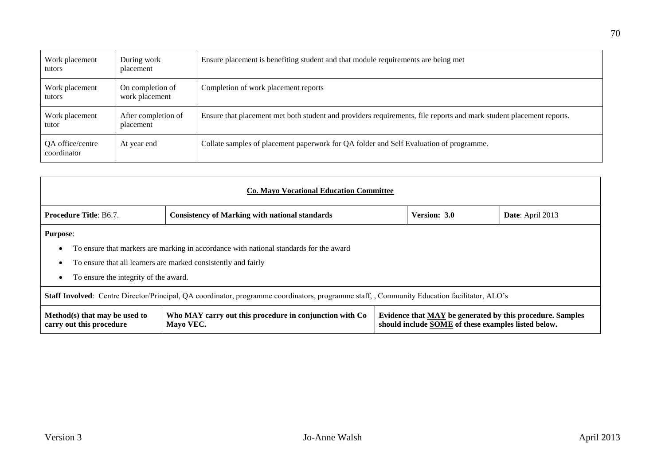| Work placement<br>tutors        | During work<br>placement           | Ensure placement is benefiting student and that module requirements are being met                                   |
|---------------------------------|------------------------------------|---------------------------------------------------------------------------------------------------------------------|
| Work placement<br>tutors        | On completion of<br>work placement | Completion of work placement reports                                                                                |
| Work placement<br>tutor         | After completion of<br>placement   | Ensure that placement met both student and providers requirements, file reports and mark student placement reports. |
| QA office/centre<br>coordinator | At year end                        | Collate samples of placement paperwork for QA folder and Self Evaluation of programme.                              |

| <b>Co. Mayo Vocational Education Committee</b>                                                                                                                                                                                                        |                                                                                        |              |                  |  |  |
|-------------------------------------------------------------------------------------------------------------------------------------------------------------------------------------------------------------------------------------------------------|----------------------------------------------------------------------------------------|--------------|------------------|--|--|
| <b>Procedure Title: B6.7.</b>                                                                                                                                                                                                                         | <b>Consistency of Marking with national standards</b>                                  | Version: 3.0 | Date: April 2013 |  |  |
| <b>Purpose:</b>                                                                                                                                                                                                                                       |                                                                                        |              |                  |  |  |
|                                                                                                                                                                                                                                                       | To ensure that markers are marking in accordance with national standards for the award |              |                  |  |  |
| To ensure that all learners are marked consistently and fairly                                                                                                                                                                                        |                                                                                        |              |                  |  |  |
| To ensure the integrity of the award.                                                                                                                                                                                                                 |                                                                                        |              |                  |  |  |
| Staff Involved: Centre Director/Principal, QA coordinator, programme coordinators, programme staff, , Community Education facilitator, ALO's                                                                                                          |                                                                                        |              |                  |  |  |
| Who MAY carry out this procedure in conjunction with Co<br>Method(s) that may be used to<br>Evidence that MAY be generated by this procedure. Samples<br>should include SOME of these examples listed below.<br>carry out this procedure<br>Mayo VEC. |                                                                                        |              |                  |  |  |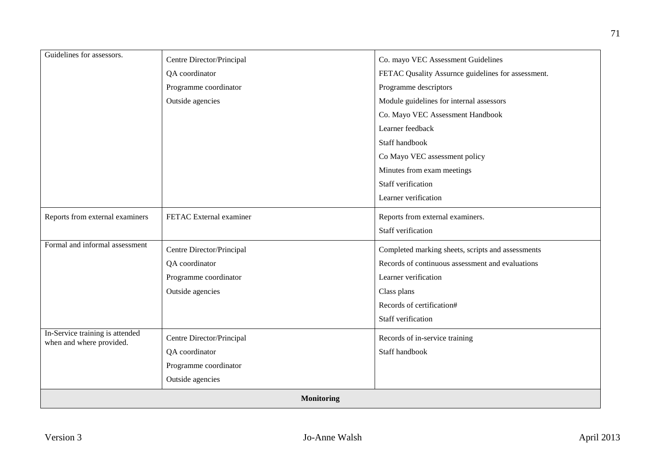| Guidelines for assessors.                                   | Centre Director/Principal                                                      | Co. mayo VEC Assessment Guidelines                 |  |  |
|-------------------------------------------------------------|--------------------------------------------------------------------------------|----------------------------------------------------|--|--|
|                                                             | QA coordinator                                                                 | FETAC Qusality Assurnce guidelines for assessment. |  |  |
|                                                             | Programme coordinator                                                          | Programme descriptors                              |  |  |
|                                                             | Outside agencies                                                               | Module guidelines for internal assessors           |  |  |
|                                                             |                                                                                | Co. Mayo VEC Assessment Handbook                   |  |  |
|                                                             |                                                                                | Learner feedback                                   |  |  |
|                                                             |                                                                                | Staff handbook                                     |  |  |
|                                                             |                                                                                | Co Mayo VEC assessment policy                      |  |  |
|                                                             |                                                                                | Minutes from exam meetings                         |  |  |
|                                                             |                                                                                | Staff verification                                 |  |  |
|                                                             |                                                                                | Learner verification                               |  |  |
| Reports from external examiners                             | FETAC External examiner                                                        | Reports from external examiners.                   |  |  |
|                                                             |                                                                                | Staff verification                                 |  |  |
| Formal and informal assessment                              | Centre Director/Principal<br>Completed marking sheets, scripts and assessments |                                                    |  |  |
|                                                             | QA coordinator                                                                 | Records of continuous assessment and evaluations   |  |  |
|                                                             | Programme coordinator                                                          | Learner verification                               |  |  |
|                                                             | Outside agencies                                                               | Class plans                                        |  |  |
|                                                             |                                                                                | Records of certification#                          |  |  |
|                                                             |                                                                                | Staff verification                                 |  |  |
| In-Service training is attended<br>when and where provided. | Centre Director/Principal                                                      | Records of in-service training                     |  |  |
|                                                             | QA coordinator                                                                 | Staff handbook                                     |  |  |
|                                                             | Programme coordinator                                                          |                                                    |  |  |
|                                                             | Outside agencies                                                               |                                                    |  |  |
| <b>Monitoring</b>                                           |                                                                                |                                                    |  |  |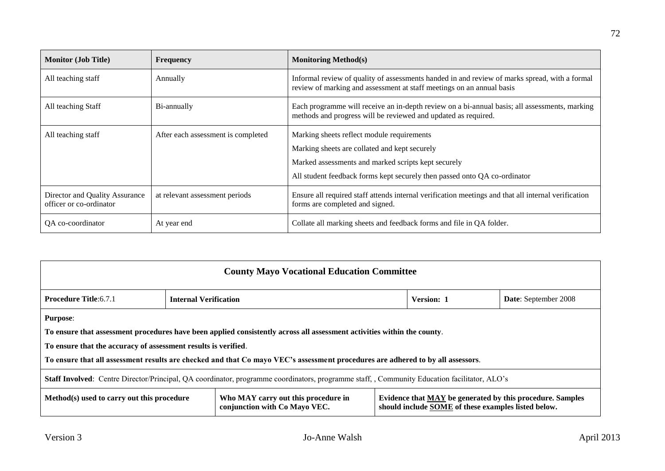| <b>Monitor (Job Title)</b>                                | <b>Frequency</b>                   | <b>Monitoring Method(s)</b>                                                                                                                                                                                                     |  |
|-----------------------------------------------------------|------------------------------------|---------------------------------------------------------------------------------------------------------------------------------------------------------------------------------------------------------------------------------|--|
| All teaching staff                                        | Annually                           | Informal review of quality of assessments handed in and review of marks spread, with a formal<br>review of marking and assessment at staff meetings on an annual basis                                                          |  |
| All teaching Staff                                        | Bi-annually                        | Each programme will receive an in-depth review on a bi-annual basis; all assessments, marking<br>methods and progress will be reviewed and updated as required.                                                                 |  |
| All teaching staff                                        | After each assessment is completed | Marking sheets reflect module requirements<br>Marking sheets are collated and kept securely<br>Marked assessments and marked scripts kept securely<br>All student feedback forms kept securely then passed onto QA co-ordinator |  |
| Director and Quality Assurance<br>officer or co-ordinator | at relevant assessment periods     | Ensure all required staff attends internal verification meetings and that all internal verification<br>forms are completed and signed.                                                                                          |  |
| OA co-coordinator                                         | At year end                        | Collate all marking sheets and feedback forms and file in QA folder.                                                                                                                                                            |  |

| <b>County Mayo Vocational Education Committee</b>                                                                                                                                                                                                                                                                                               |                                                                                  |  |  |  |  |
|-------------------------------------------------------------------------------------------------------------------------------------------------------------------------------------------------------------------------------------------------------------------------------------------------------------------------------------------------|----------------------------------------------------------------------------------|--|--|--|--|
| <b>Procedure Title:6.7.1</b>                                                                                                                                                                                                                                                                                                                    | <b>Internal Verification</b><br><b>Version: 1</b><br><b>Date:</b> September 2008 |  |  |  |  |
| <b>Purpose:</b><br>To ensure that assessment procedures have been applied consistently across all assessment activities within the county.<br>To ensure that the accuracy of assessment results is verified.<br>To ensure that all assessment results are checked and that Co mayo VEC's assessment procedures are adhered to by all assessors. |                                                                                  |  |  |  |  |
| <b>Staff Involved:</b> Centre Director/Principal, QA coordinator, programme coordinators, programme staff, Community Education facilitator, ALO's                                                                                                                                                                                               |                                                                                  |  |  |  |  |
| Who MAY carry out this procedure in<br>Evidence that <b>MAY</b> be generated by this procedure. Samples<br>Method(s) used to carry out this procedure<br>should include SOME of these examples listed below.<br>conjunction with Co Mayo VEC.                                                                                                   |                                                                                  |  |  |  |  |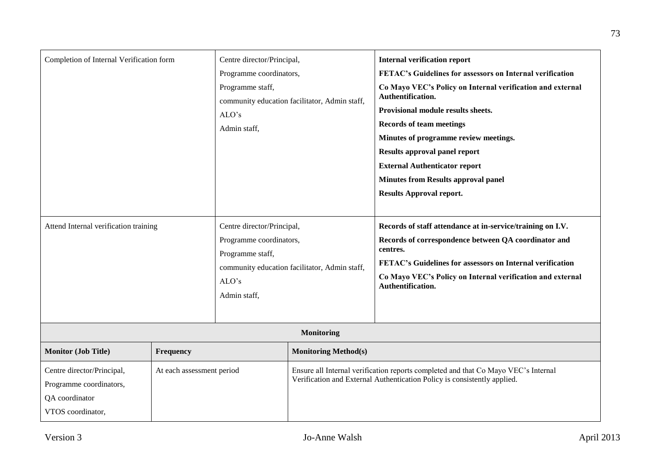| Completion of Internal Verification form<br>ALO's                                            |                           | Centre director/Principal,<br>Programme coordinators,<br>Programme staff,<br>Admin staff,                                                           | community education facilitator, Admin staff, | <b>Internal verification report</b><br>FETAC's Guidelines for assessors on Internal verification<br>Co Mayo VEC's Policy on Internal verification and external<br>Authentification.<br>Provisional module results sheets.<br><b>Records of team meetings</b><br>Minutes of programme review meetings.<br>Results approval panel report<br><b>External Authenticator report</b><br><b>Minutes from Results approval panel</b><br><b>Results Approval report.</b> |
|----------------------------------------------------------------------------------------------|---------------------------|-----------------------------------------------------------------------------------------------------------------------------------------------------|-----------------------------------------------|-----------------------------------------------------------------------------------------------------------------------------------------------------------------------------------------------------------------------------------------------------------------------------------------------------------------------------------------------------------------------------------------------------------------------------------------------------------------|
| Attend Internal verification training                                                        |                           | Centre director/Principal,<br>Programme coordinators,<br>Programme staff,<br>community education facilitator, Admin staff,<br>ALO's<br>Admin staff, |                                               | Records of staff attendance at in-service/training on I.V.<br>Records of correspondence between QA coordinator and<br>centres.<br>FETAC's Guidelines for assessors on Internal verification<br>Co Mayo VEC's Policy on Internal verification and external<br>Authentification.                                                                                                                                                                                  |
|                                                                                              |                           |                                                                                                                                                     | <b>Monitoring</b>                             |                                                                                                                                                                                                                                                                                                                                                                                                                                                                 |
| <b>Monitor (Job Title)</b><br>Frequency                                                      |                           | <b>Monitoring Method(s)</b>                                                                                                                         |                                               |                                                                                                                                                                                                                                                                                                                                                                                                                                                                 |
| Centre director/Principal,<br>Programme coordinators,<br>QA coordinator<br>VTOS coordinator, | At each assessment period |                                                                                                                                                     |                                               | Ensure all Internal verification reports completed and that Co Mayo VEC's Internal<br>Verification and External Authentication Policy is consistently applied.                                                                                                                                                                                                                                                                                                  |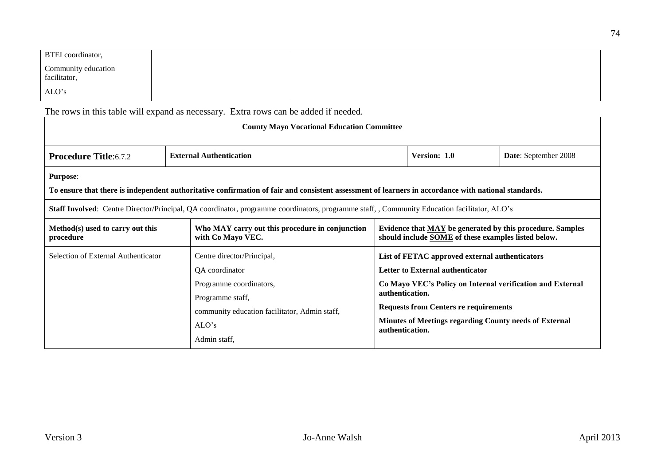| BTEI coordinator,                   |  |
|-------------------------------------|--|
| Community education<br>facilitator, |  |
| ALO's                               |  |

## The rows in this table will expand as necessary. Extra rows can be added if needed.

| <b>County Mayo Vocational Education Committee</b>                                                                                                                                                                                                |  |                                                                                                                                                                       |                                                                                                                                                                                                                                                                                                  |              |                             |  |
|--------------------------------------------------------------------------------------------------------------------------------------------------------------------------------------------------------------------------------------------------|--|-----------------------------------------------------------------------------------------------------------------------------------------------------------------------|--------------------------------------------------------------------------------------------------------------------------------------------------------------------------------------------------------------------------------------------------------------------------------------------------|--------------|-----------------------------|--|
| <b>Procedure Title:6.7.2</b>                                                                                                                                                                                                                     |  | <b>External Authentication</b>                                                                                                                                        |                                                                                                                                                                                                                                                                                                  | Version: 1.0 | <b>Date:</b> September 2008 |  |
| <b>Purpose:</b><br>To ensure that there is independent authoritative confirmation of fair and consistent assessment of learners in accordance with national standards.                                                                           |  |                                                                                                                                                                       |                                                                                                                                                                                                                                                                                                  |              |                             |  |
|                                                                                                                                                                                                                                                  |  | Staff Involved: Centre Director/Principal, QA coordinator, programme coordinators, programme staff, , Community Education facilitator, ALO's                          |                                                                                                                                                                                                                                                                                                  |              |                             |  |
| Method(s) used to carry out this<br>Who MAY carry out this procedure in conjunction<br>Evidence that <b>MAY</b> be generated by this procedure. Samples<br>should include SOME of these examples listed below.<br>with Co Mayo VEC.<br>procedure |  |                                                                                                                                                                       |                                                                                                                                                                                                                                                                                                  |              |                             |  |
| Selection of External Authenticator                                                                                                                                                                                                              |  | Centre director/Principal,<br>QA coordinator<br>Programme coordinators,<br>Programme staff,<br>community education facilitator, Admin staff,<br>ALO's<br>Admin staff, | List of FETAC approved external authenticators<br>Letter to External authenticator<br>Co Mayo VEC's Policy on Internal verification and External<br>authentication.<br><b>Requests from Centers re requirements</b><br>Minutes of Meetings regarding County needs of External<br>authentication. |              |                             |  |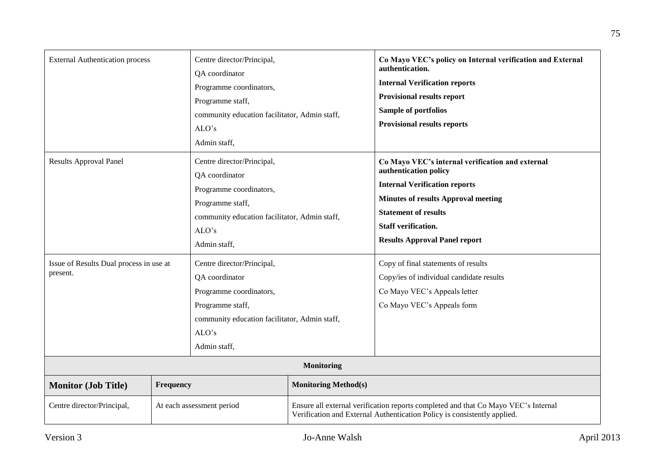| <b>External Authentication process</b>                 |                           | Centre director/Principal,<br>QA coordinator<br>Programme coordinators,<br>Programme staff,<br>community education facilitator, Admin staff,<br>ALO's<br>Admin staff, |                             | Co Mayo VEC's policy on Internal verification and External<br>authentication.<br><b>Internal Verification reports</b><br><b>Provisional results report</b><br><b>Sample of portfolios</b><br><b>Provisional results reports</b>                                      |  |  |
|--------------------------------------------------------|---------------------------|-----------------------------------------------------------------------------------------------------------------------------------------------------------------------|-----------------------------|----------------------------------------------------------------------------------------------------------------------------------------------------------------------------------------------------------------------------------------------------------------------|--|--|
| <b>Results Approval Panel</b><br>ALO's<br>Admin staff, |                           | Centre director/Principal,<br>QA coordinator<br>Programme coordinators,<br>Programme staff,<br>community education facilitator, Admin staff,                          |                             | Co Mayo VEC's internal verification and external<br>authentication policy<br><b>Internal Verification reports</b><br><b>Minutes of results Approval meeting</b><br><b>Statement of results</b><br><b>Staff verification.</b><br><b>Results Approval Panel report</b> |  |  |
| Issue of Results Dual process in use at<br>present.    |                           | Centre director/Principal,<br>QA coordinator<br>Programme coordinators,<br>Programme staff,<br>community education facilitator, Admin staff,<br>ALO's<br>Admin staff, |                             | Copy of final statements of results<br>Copy/ies of individual candidate results<br>Co Mayo VEC's Appeals letter<br>Co Mayo VEC's Appeals form                                                                                                                        |  |  |
|                                                        | <b>Monitoring</b>         |                                                                                                                                                                       |                             |                                                                                                                                                                                                                                                                      |  |  |
| <b>Monitor (Job Title)</b>                             | <b>Frequency</b>          |                                                                                                                                                                       | <b>Monitoring Method(s)</b> |                                                                                                                                                                                                                                                                      |  |  |
| Centre director/Principal,                             | At each assessment period |                                                                                                                                                                       |                             | Ensure all external verification reports completed and that Co Mayo VEC's Internal<br>Verification and External Authentication Policy is consistently applied.                                                                                                       |  |  |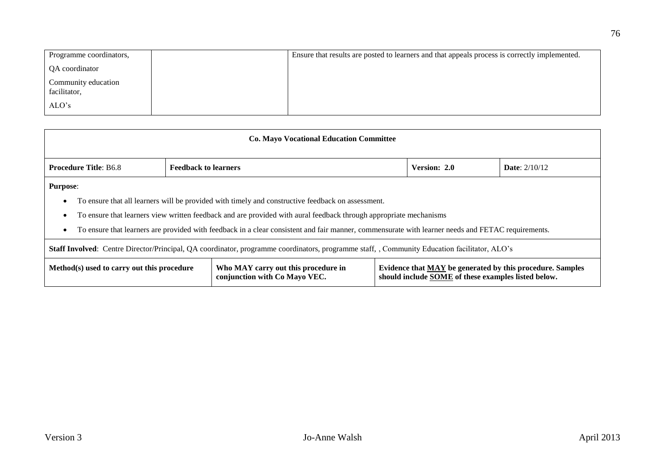| Programme coordinators,             | Ensure that results are posted to learners and that appeals process is correctly implemented. |
|-------------------------------------|-----------------------------------------------------------------------------------------------|
| QA coordinator                      |                                                                                               |
| Community education<br>facilitator, |                                                                                               |
| ALO's                               |                                                                                               |

| <b>Co. Mayo Vocational Education Committee</b>                                                                                                                                                                                         |  |                                                                                                                   |  |  |  |  |  |
|----------------------------------------------------------------------------------------------------------------------------------------------------------------------------------------------------------------------------------------|--|-------------------------------------------------------------------------------------------------------------------|--|--|--|--|--|
| Version: 2.0<br><b>Procedure Title: B6.8</b><br><b>Date:</b> $2/10/12$<br><b>Feedback to learners</b>                                                                                                                                  |  |                                                                                                                   |  |  |  |  |  |
| <b>Purpose:</b>                                                                                                                                                                                                                        |  |                                                                                                                   |  |  |  |  |  |
| $\bullet$                                                                                                                                                                                                                              |  | To ensure that all learners will be provided with timely and constructive feedback on assessment.                 |  |  |  |  |  |
|                                                                                                                                                                                                                                        |  | To ensure that learners view written feedback and are provided with aural feedback through appropriate mechanisms |  |  |  |  |  |
| To ensure that learners are provided with feedback in a clear consistent and fair manner, commensurate with learner needs and FETAC requirements.                                                                                      |  |                                                                                                                   |  |  |  |  |  |
| Staff Involved: Centre Director/Principal, QA coordinator, programme coordinators, programme staff, , Community Education facilitator, ALO's                                                                                           |  |                                                                                                                   |  |  |  |  |  |
| Evidence that MAY be generated by this procedure. Samples<br>Method(s) used to carry out this procedure<br>Who MAY carry out this procedure in<br>should include SOME of these examples listed below.<br>conjunction with Co Mayo VEC. |  |                                                                                                                   |  |  |  |  |  |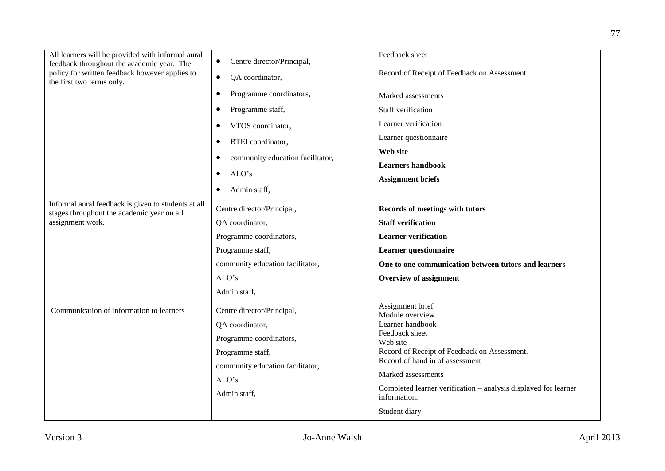| All learners will be provided with informal aural<br>feedback throughout the academic year. The<br>policy for written feedback however applies to<br>the first two terms only. | Centre director/Principal,<br>$\bullet$<br>QA coordinator,<br>$\bullet$<br>Programme coordinators,<br>$\bullet$<br>Programme staff,<br>VTOS coordinator,<br>BTEI coordinator,<br>community education facilitator, | Feedback sheet<br>Record of Receipt of Feedback on Assessment.<br>Marked assessments<br>Staff verification<br>Learner verification<br>Learner questionnaire<br>Web site<br><b>Learners handbook</b>                                                                                                |
|--------------------------------------------------------------------------------------------------------------------------------------------------------------------------------|-------------------------------------------------------------------------------------------------------------------------------------------------------------------------------------------------------------------|----------------------------------------------------------------------------------------------------------------------------------------------------------------------------------------------------------------------------------------------------------------------------------------------------|
|                                                                                                                                                                                | ALO's<br>$\bullet$<br>Admin staff,<br>$\bullet$                                                                                                                                                                   | <b>Assignment briefs</b>                                                                                                                                                                                                                                                                           |
| Informal aural feedback is given to students at all<br>stages throughout the academic year on all<br>assignment work.                                                          | Centre director/Principal,<br>QA coordinator,<br>Programme coordinators,<br>Programme staff,<br>community education facilitator,<br>ALO's<br>Admin staff,                                                         | Records of meetings with tutors<br><b>Staff verification</b><br><b>Learner verification</b><br><b>Learner</b> questionnaire<br>One to one communication between tutors and learners<br><b>Overview of assignment</b>                                                                               |
| Communication of information to learners                                                                                                                                       | Centre director/Principal,<br>QA coordinator,<br>Programme coordinators,<br>Programme staff,<br>community education facilitator,<br>ALO's<br>Admin staff,                                                         | Assignment brief<br>Module overview<br>Learner handbook<br>Feedback sheet<br>Web site<br>Record of Receipt of Feedback on Assessment.<br>Record of hand in of assessment<br>Marked assessments<br>Completed learner verification – analysis displayed for learner<br>information.<br>Student diary |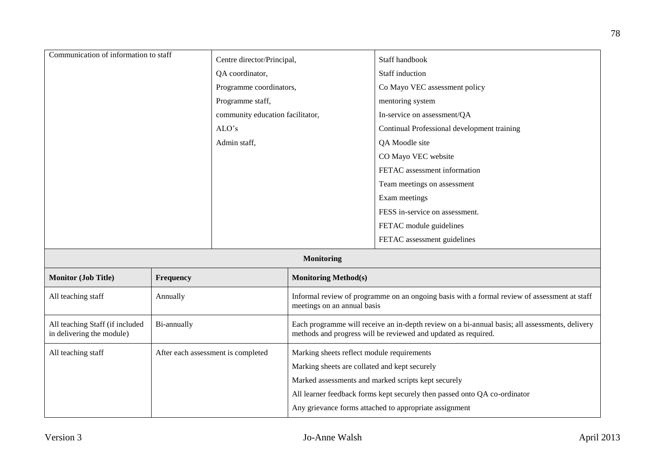| Communication of information to staff                        |                                    | Centre director/Principal,       |                                                                                                                                                                  | Staff handbook                                         |  |
|--------------------------------------------------------------|------------------------------------|----------------------------------|------------------------------------------------------------------------------------------------------------------------------------------------------------------|--------------------------------------------------------|--|
| QA coordinator,                                              |                                    |                                  | Staff induction                                                                                                                                                  |                                                        |  |
|                                                              |                                    | Programme coordinators,          |                                                                                                                                                                  | Co Mayo VEC assessment policy                          |  |
|                                                              |                                    | Programme staff,                 |                                                                                                                                                                  | mentoring system                                       |  |
|                                                              |                                    | community education facilitator, |                                                                                                                                                                  | In-service on assessment/QA                            |  |
|                                                              |                                    | ALO's                            |                                                                                                                                                                  | Continual Professional development training            |  |
|                                                              |                                    | Admin staff,                     |                                                                                                                                                                  | QA Moodle site                                         |  |
|                                                              |                                    |                                  |                                                                                                                                                                  | CO Mayo VEC website                                    |  |
|                                                              |                                    |                                  |                                                                                                                                                                  | FETAC assessment information                           |  |
|                                                              |                                    |                                  |                                                                                                                                                                  | Team meetings on assessment                            |  |
|                                                              |                                    |                                  |                                                                                                                                                                  | Exam meetings                                          |  |
|                                                              |                                    |                                  |                                                                                                                                                                  | FESS in-service on assessment.                         |  |
|                                                              |                                    |                                  |                                                                                                                                                                  | FETAC module guidelines                                |  |
|                                                              |                                    |                                  | FETAC assessment guidelines                                                                                                                                      |                                                        |  |
|                                                              |                                    |                                  | <b>Monitoring</b>                                                                                                                                                |                                                        |  |
| <b>Monitor (Job Title)</b>                                   | Frequency                          |                                  | <b>Monitoring Method(s)</b>                                                                                                                                      |                                                        |  |
| All teaching staff                                           | Annually                           |                                  | Informal review of programme on an ongoing basis with a formal review of assessment at staff<br>meetings on an annual basis                                      |                                                        |  |
| All teaching Staff (if included<br>in delivering the module) | Bi-annually                        |                                  | Each programme will receive an in-depth review on a bi-annual basis; all assessments, delivery<br>methods and progress will be reviewed and updated as required. |                                                        |  |
| All teaching staff                                           | After each assessment is completed |                                  | Marking sheets reflect module requirements                                                                                                                       |                                                        |  |
|                                                              |                                    |                                  | Marking sheets are collated and kept securely                                                                                                                    |                                                        |  |
|                                                              |                                    |                                  | Marked assessments and marked scripts kept securely                                                                                                              |                                                        |  |
|                                                              |                                    |                                  | All learner feedback forms kept securely then passed onto QA co-ordinator                                                                                        |                                                        |  |
|                                                              |                                    |                                  |                                                                                                                                                                  | Any grievance forms attached to appropriate assignment |  |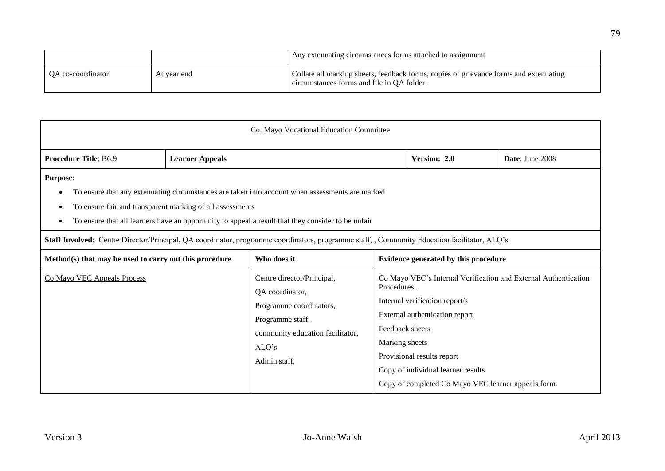|                   |             | Any extenuating circumstances forms attached to assignment                                                                          |
|-------------------|-------------|-------------------------------------------------------------------------------------------------------------------------------------|
| OA co-coordinator | At year end | Collate all marking sheets, feedback forms, copies of grievance forms and extenuating<br>circumstances forms and file in QA folder. |

| Co. Mayo Vocational Education Committee                                                                                                                                                                                                                                                                                                                                                                                                                         |                        |                                                                                                                                                           |                                                  |                                                                                                                                                                                             |                                                                 |  |
|-----------------------------------------------------------------------------------------------------------------------------------------------------------------------------------------------------------------------------------------------------------------------------------------------------------------------------------------------------------------------------------------------------------------------------------------------------------------|------------------------|-----------------------------------------------------------------------------------------------------------------------------------------------------------|--------------------------------------------------|---------------------------------------------------------------------------------------------------------------------------------------------------------------------------------------------|-----------------------------------------------------------------|--|
| <b>Procedure Title: B6.9</b>                                                                                                                                                                                                                                                                                                                                                                                                                                    | <b>Learner Appeals</b> |                                                                                                                                                           |                                                  | Version: 2.0                                                                                                                                                                                | Date: June 2008                                                 |  |
| <b>Purpose:</b><br>To ensure that any extenuating circumstances are taken into account when assessments are marked<br>$\bullet$<br>To ensure fair and transparent marking of all assessments<br>$\bullet$<br>To ensure that all learners have an opportunity to appeal a result that they consider to be unfair<br>Staff Involved: Centre Director/Principal, QA coordinator, programme coordinators, programme staff, , Community Education facilitator, ALO's |                        |                                                                                                                                                           |                                                  |                                                                                                                                                                                             |                                                                 |  |
| Method(s) that may be used to carry out this procedure                                                                                                                                                                                                                                                                                                                                                                                                          |                        | Who does it                                                                                                                                               |                                                  | Evidence generated by this procedure                                                                                                                                                        |                                                                 |  |
| Co Mayo VEC Appeals Process                                                                                                                                                                                                                                                                                                                                                                                                                                     |                        | Centre director/Principal,<br>QA coordinator,<br>Programme coordinators,<br>Programme staff,<br>community education facilitator,<br>ALO's<br>Admin staff, | Procedures.<br>Feedback sheets<br>Marking sheets | Internal verification report/s<br>External authentication report<br>Provisional results report<br>Copy of individual learner results<br>Copy of completed Co Mayo VEC learner appeals form. | Co Mayo VEC's Internal Verification and External Authentication |  |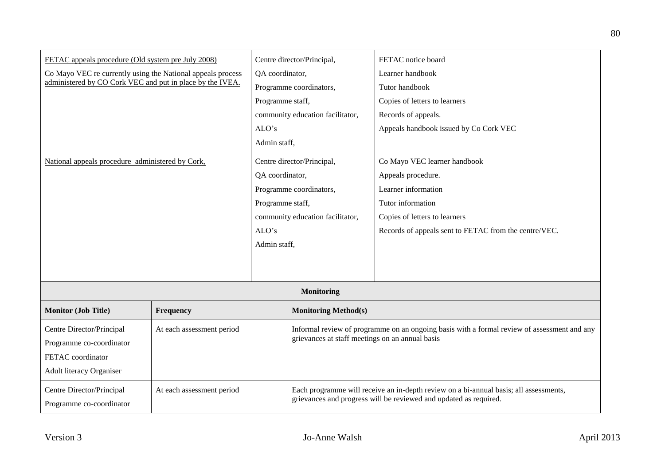| FETAC appeals procedure (Old system pre July 2008)<br>Co Mayo VEC re currently using the National appeals process<br>administered by CO Cork VEC and put in place by the IVEA. |                           | Centre director/Principal,<br>QA coordinator,<br>Programme coordinators,<br>Programme staff,<br>community education facilitator,<br>ALO's<br>Admin staff,<br>Centre director/Principal, |                                                                                                                                                            | FETAC notice board<br>Learner handbook<br>Tutor handbook<br>Copies of letters to learners<br>Records of appeals.<br>Appeals handbook issued by Co Cork VEC                               |  |
|--------------------------------------------------------------------------------------------------------------------------------------------------------------------------------|---------------------------|-----------------------------------------------------------------------------------------------------------------------------------------------------------------------------------------|------------------------------------------------------------------------------------------------------------------------------------------------------------|------------------------------------------------------------------------------------------------------------------------------------------------------------------------------------------|--|
| National appeals procedure administered by Cork,                                                                                                                               |                           | QA coordinator,<br>Programme coordinators,<br>Programme staff,<br>community education facilitator,<br>ALO's<br>Admin staff,                                                             |                                                                                                                                                            | Co Mayo VEC learner handbook<br>Appeals procedure.<br>Learner information<br>Tutor information<br>Copies of letters to learners<br>Records of appeals sent to FETAC from the centre/VEC. |  |
|                                                                                                                                                                                |                           |                                                                                                                                                                                         | <b>Monitoring</b>                                                                                                                                          |                                                                                                                                                                                          |  |
| <b>Monitor (Job Title)</b>                                                                                                                                                     | Frequency                 |                                                                                                                                                                                         | <b>Monitoring Method(s)</b>                                                                                                                                |                                                                                                                                                                                          |  |
| Centre Director/Principal<br>Programme co-coordinator<br>FETAC coordinator<br><b>Adult literacy Organiser</b>                                                                  | At each assessment period |                                                                                                                                                                                         | Informal review of programme on an ongoing basis with a formal review of assessment and any<br>grievances at staff meetings on an annual basis             |                                                                                                                                                                                          |  |
| Centre Director/Principal<br>At each assessment period<br>Programme co-coordinator                                                                                             |                           |                                                                                                                                                                                         | Each programme will receive an in-depth review on a bi-annual basis; all assessments,<br>grievances and progress will be reviewed and updated as required. |                                                                                                                                                                                          |  |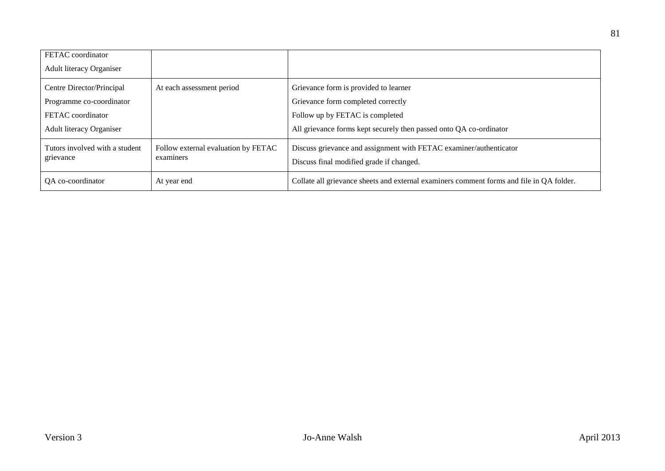| FETAC coordinator<br><b>Adult literacy Organiser</b>                                                          |                                                  |                                                                                                                                                                                      |
|---------------------------------------------------------------------------------------------------------------|--------------------------------------------------|--------------------------------------------------------------------------------------------------------------------------------------------------------------------------------------|
| Centre Director/Principal<br>Programme co-coordinator<br>FETAC coordinator<br><b>Adult literacy Organiser</b> | At each assessment period                        | Grievance form is provided to learner<br>Grievance form completed correctly<br>Follow up by FETAC is completed<br>All grievance forms kept securely then passed onto QA co-ordinator |
| Tutors involved with a student<br>grievance                                                                   | Follow external evaluation by FETAC<br>examiners | Discuss grievance and assignment with FETAC examiner/authenticator<br>Discuss final modified grade if changed.                                                                       |
| OA co-coordinator                                                                                             | At year end                                      | Collate all grievance sheets and external examiners comment forms and file in QA folder.                                                                                             |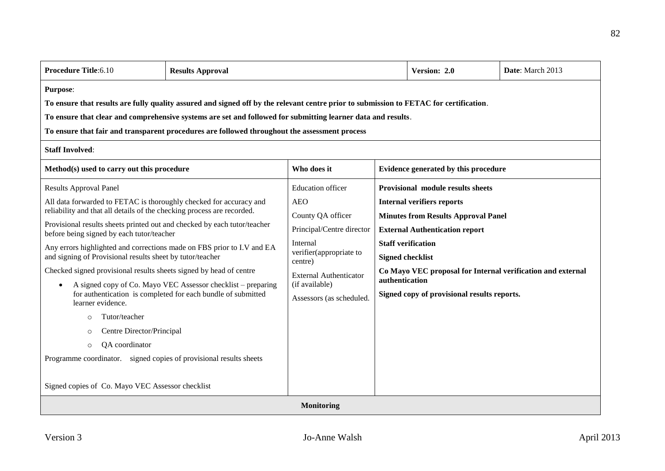| <b>Procedure Title:6.10</b>                                                                                                                                                                                                                                                                                                                                                | <b>Results Approval</b>                                                                                                                                                                                                                                                                                                                                                                                                                                                                                                                                                                                                                                                                                                                                                                                                                                                                                                                                                                          |                   |  | Version: 2.0                                                                                                                                                                                                                                                                                                                                                 | Date: March 2013 |  |
|----------------------------------------------------------------------------------------------------------------------------------------------------------------------------------------------------------------------------------------------------------------------------------------------------------------------------------------------------------------------------|--------------------------------------------------------------------------------------------------------------------------------------------------------------------------------------------------------------------------------------------------------------------------------------------------------------------------------------------------------------------------------------------------------------------------------------------------------------------------------------------------------------------------------------------------------------------------------------------------------------------------------------------------------------------------------------------------------------------------------------------------------------------------------------------------------------------------------------------------------------------------------------------------------------------------------------------------------------------------------------------------|-------------------|--|--------------------------------------------------------------------------------------------------------------------------------------------------------------------------------------------------------------------------------------------------------------------------------------------------------------------------------------------------------------|------------------|--|
| <b>Purpose:</b><br>To ensure that results are fully quality assured and signed off by the relevant centre prior to submission to FETAC for certification.<br>To ensure that clear and comprehensive systems are set and followed for submitting learner data and results.<br>To ensure that fair and transparent procedures are followed throughout the assessment process |                                                                                                                                                                                                                                                                                                                                                                                                                                                                                                                                                                                                                                                                                                                                                                                                                                                                                                                                                                                                  |                   |  |                                                                                                                                                                                                                                                                                                                                                              |                  |  |
| <b>Staff Involved:</b>                                                                                                                                                                                                                                                                                                                                                     |                                                                                                                                                                                                                                                                                                                                                                                                                                                                                                                                                                                                                                                                                                                                                                                                                                                                                                                                                                                                  |                   |  |                                                                                                                                                                                                                                                                                                                                                              |                  |  |
|                                                                                                                                                                                                                                                                                                                                                                            |                                                                                                                                                                                                                                                                                                                                                                                                                                                                                                                                                                                                                                                                                                                                                                                                                                                                                                                                                                                                  | Who does it       |  | Evidence generated by this procedure                                                                                                                                                                                                                                                                                                                         |                  |  |
| <b>Results Approval Panel</b><br>$\bullet$<br>learner evidence.<br>Tutor/teacher<br>$\circ$<br>$\circ$<br>QA coordinator<br>$\circ$<br>Signed copies of Co. Mayo VEC Assessor checklist                                                                                                                                                                                    | Method(s) used to carry out this procedure<br><b>Education</b> officer<br>All data forwarded to FETAC is thoroughly checked for accuracy and<br><b>AEO</b><br>reliability and that all details of the checking process are recorded.<br>County QA officer<br>Provisional results sheets printed out and checked by each tutor/teacher<br>Principal/Centre director<br>before being signed by each tutor/teacher<br>Internal<br>Any errors highlighted and corrections made on FBS prior to I.V and EA<br>verifier(appropriate to<br>and signing of Provisional results sheet by tutor/teacher<br>centre)<br>Checked signed provisional results sheets signed by head of centre<br><b>External Authenticator</b><br>(if available)<br>A signed copy of Co. Mayo VEC Assessor checklist – preparing<br>for authentication is completed for each bundle of submitted<br>Assessors (as scheduled.<br>Centre Director/Principal<br>Programme coordinator. signed copies of provisional results sheets |                   |  | <b>Provisional module results sheets</b><br><b>Internal verifiers reports</b><br><b>Minutes from Results Approval Panel</b><br><b>External Authentication report</b><br><b>Staff verification</b><br><b>Signed checklist</b><br>Co Mayo VEC proposal for Internal verification and external<br>authentication<br>Signed copy of provisional results reports. |                  |  |
|                                                                                                                                                                                                                                                                                                                                                                            |                                                                                                                                                                                                                                                                                                                                                                                                                                                                                                                                                                                                                                                                                                                                                                                                                                                                                                                                                                                                  | <b>Monitoring</b> |  |                                                                                                                                                                                                                                                                                                                                                              |                  |  |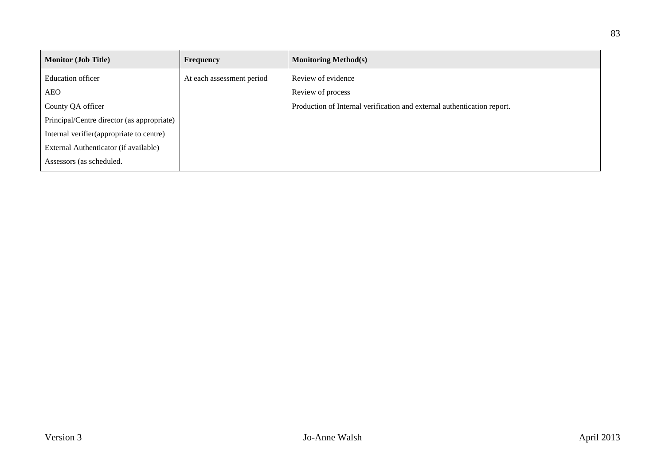| <b>Monitor (Job Title)</b>                 | <b>Frequency</b>          | <b>Monitoring Method(s)</b>                                             |
|--------------------------------------------|---------------------------|-------------------------------------------------------------------------|
| <b>Education officer</b>                   | At each assessment period | Review of evidence                                                      |
| AEO.                                       |                           | Review of process                                                       |
| County QA officer                          |                           | Production of Internal verification and external authentication report. |
| Principal/Centre director (as appropriate) |                           |                                                                         |
| Internal verifier (appropriate to centre)  |                           |                                                                         |
| External Authenticator (if available)      |                           |                                                                         |
| Assessors (as scheduled.                   |                           |                                                                         |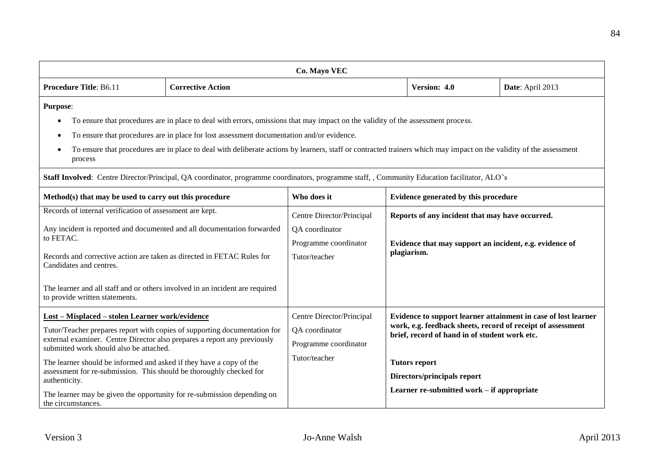|                                                                                                                                                                                                                                                                                                                                                                                                                                                                                                                                                                                                 | Co. Mayo VEC             |                                                                                       |                                                                                                                           |                                                                                                                            |                                                                                                                               |  |
|-------------------------------------------------------------------------------------------------------------------------------------------------------------------------------------------------------------------------------------------------------------------------------------------------------------------------------------------------------------------------------------------------------------------------------------------------------------------------------------------------------------------------------------------------------------------------------------------------|--------------------------|---------------------------------------------------------------------------------------|---------------------------------------------------------------------------------------------------------------------------|----------------------------------------------------------------------------------------------------------------------------|-------------------------------------------------------------------------------------------------------------------------------|--|
| <b>Procedure Title: B6.11</b>                                                                                                                                                                                                                                                                                                                                                                                                                                                                                                                                                                   | <b>Corrective Action</b> |                                                                                       |                                                                                                                           | Version: 4.0                                                                                                               | Date: April 2013                                                                                                              |  |
| <b>Purpose:</b><br>To ensure that procedures are in place to deal with errors, omissions that may impact on the validity of the assessment process.<br>To ensure that procedures are in place for lost assessment documentation and/or evidence.<br>$\bullet$<br>To ensure that procedures are in place to deal with deliberate actions by learners, staff or contracted trainers which may impact on the validity of the assessment<br>process<br>Staff Involved: Centre Director/Principal, QA coordinator, programme coordinators, programme staff, , Community Education facilitator, ALO's |                          |                                                                                       |                                                                                                                           |                                                                                                                            |                                                                                                                               |  |
| Method(s) that may be used to carry out this procedure                                                                                                                                                                                                                                                                                                                                                                                                                                                                                                                                          |                          | Who does it                                                                           |                                                                                                                           | Evidence generated by this procedure                                                                                       |                                                                                                                               |  |
| Records of internal verification of assessment are kept.<br>Any incident is reported and documented and all documentation forwarded<br>to FETAC.<br>Records and corrective action are taken as directed in FETAC Rules for<br>Candidates and centres.<br>The learner and all staff and or others involved in an incident are required<br>to provide written statements.                                                                                                                                                                                                                         |                          | Centre Director/Principal<br>QA coordinator<br>Programme coordinator<br>Tutor/teacher | Reports of any incident that may have occurred.<br>Evidence that may support an incident, e.g. evidence of<br>plagiarism. |                                                                                                                            |                                                                                                                               |  |
| Lost - Misplaced - stolen Learner work/evidence<br>Tutor/Teacher prepares report with copies of supporting documentation for<br>external examiner. Centre Director also prepares a report any previously<br>submitted work should also be attached.<br>The learner should be informed and asked if they have a copy of the<br>assessment for re-submission. This should be thoroughly checked for<br>authenticity.<br>The learner may be given the opportunity for re-submission depending on<br>the circumstances.                                                                             |                          | Centre Director/Principal<br>QA coordinator<br>Programme coordinator<br>Tutor/teacher | <b>Tutors report</b>                                                                                                      | brief, record of hand in of student work etc.<br>Directors/principals report<br>Learner re-submitted work – if appropriate | Evidence to support learner attainment in case of lost learner<br>work, e.g. feedback sheets, record of receipt of assessment |  |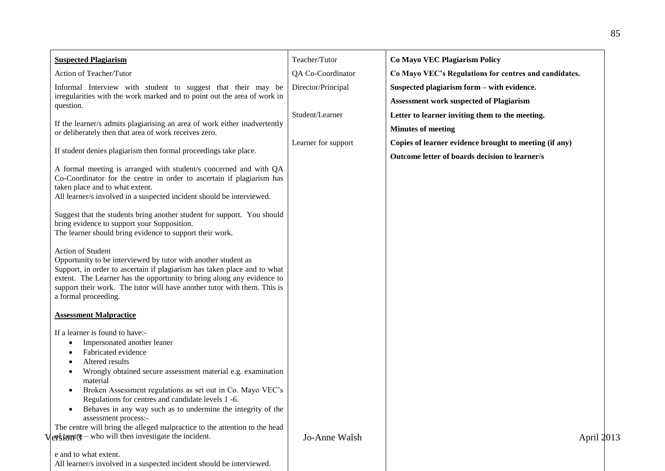| <b>Suspected Plagiarism</b>                                                                                                                                                                                                                                                                                                                                                                                                                                                                                                                                  | Teacher/Tutor       | Co Mayo VEC Plagiarism Policy                          |
|--------------------------------------------------------------------------------------------------------------------------------------------------------------------------------------------------------------------------------------------------------------------------------------------------------------------------------------------------------------------------------------------------------------------------------------------------------------------------------------------------------------------------------------------------------------|---------------------|--------------------------------------------------------|
| Action of Teacher/Tutor                                                                                                                                                                                                                                                                                                                                                                                                                                                                                                                                      | QA Co-Coordinator   | Co Mayo VEC's Regulations for centres and candidates.  |
| Informal Interview with student to suggest that their may be                                                                                                                                                                                                                                                                                                                                                                                                                                                                                                 | Director/Principal  | Suspected plagiarism form - with evidence.             |
| irregularities with the work marked and to point out the area of work in<br>question.                                                                                                                                                                                                                                                                                                                                                                                                                                                                        |                     | <b>Assessment work suspected of Plagiarism</b>         |
|                                                                                                                                                                                                                                                                                                                                                                                                                                                                                                                                                              | Student/Learner     | Letter to learner inviting them to the meeting.        |
| If the learner/s admits plagiarising an area of work either inadvertently<br>or deliberately then that area of work receives zero.                                                                                                                                                                                                                                                                                                                                                                                                                           |                     | <b>Minutes of meeting</b>                              |
|                                                                                                                                                                                                                                                                                                                                                                                                                                                                                                                                                              | Learner for support | Copies of learner evidence brought to meeting (if any) |
| If student denies plagiarism then formal proceedings take place.                                                                                                                                                                                                                                                                                                                                                                                                                                                                                             |                     | Outcome letter of boards decision to learner/s         |
| A formal meeting is arranged with student/s concerned and with QA<br>Co-Coordinator for the centre in order to ascertain if plagiarism has<br>taken place and to what extent.<br>All learner/s involved in a suspected incident should be interviewed.                                                                                                                                                                                                                                                                                                       |                     |                                                        |
| Suggest that the students bring another student for support. You should<br>bring evidence to support your Supposition.<br>The learner should bring evidence to support their work.                                                                                                                                                                                                                                                                                                                                                                           |                     |                                                        |
| Action of Student<br>Opportunity to be interviewed by tutor with another student as<br>Support, in order to ascertain if plagiarism has taken place and to what<br>extent. The Learner has the opportunity to bring along any evidence to<br>support their work. The tutor will have another tutor with them. This is<br>a formal proceeding.                                                                                                                                                                                                                |                     |                                                        |
| <b>Assessment Malpractice</b>                                                                                                                                                                                                                                                                                                                                                                                                                                                                                                                                |                     |                                                        |
| If a learner is found to have:-<br>Impersonated another leaner<br>Fabricated evidence<br>Altered results<br>Wrongly obtained secure assessment material e.g. examination<br>material<br>Broken Assessment regulations as set out in Co. Mayo VEC's<br>Regulations for centres and candidate levels 1 -6.<br>Behaves in any way such as to undermine the integrity of the<br>assessment process:-<br>The centre will bring the alleged malpractice to the attention to the head<br>$\sqrt{\cos \xi}$ ight $\hat{g}$ – who will then investigate the incident. | Jo-Anne Walsh       | April 2013                                             |
| e and to what extent.<br>All learner/s involved in a suspected incident should be interviewed.                                                                                                                                                                                                                                                                                                                                                                                                                                                               |                     |                                                        |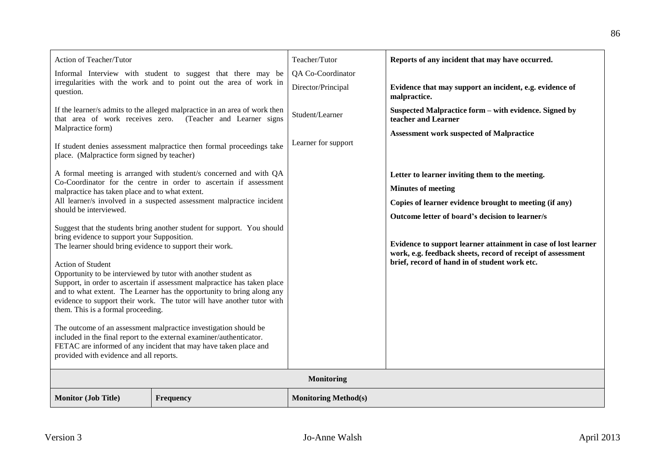| Action of Teacher/Tutor                                                                                                                                                                                                                                                                                                                                                                                                                                                                                                                                                                                                                                                                                                                                                                                                              |                                                                                                                                           | Teacher/Tutor               | Reports of any incident that may have occurred.                                                                                                                                                                                   |  |  |
|--------------------------------------------------------------------------------------------------------------------------------------------------------------------------------------------------------------------------------------------------------------------------------------------------------------------------------------------------------------------------------------------------------------------------------------------------------------------------------------------------------------------------------------------------------------------------------------------------------------------------------------------------------------------------------------------------------------------------------------------------------------------------------------------------------------------------------------|-------------------------------------------------------------------------------------------------------------------------------------------|-----------------------------|-----------------------------------------------------------------------------------------------------------------------------------------------------------------------------------------------------------------------------------|--|--|
|                                                                                                                                                                                                                                                                                                                                                                                                                                                                                                                                                                                                                                                                                                                                                                                                                                      | Informal Interview with student to suggest that there may be                                                                              | QA Co-Coordinator           |                                                                                                                                                                                                                                   |  |  |
| question.                                                                                                                                                                                                                                                                                                                                                                                                                                                                                                                                                                                                                                                                                                                                                                                                                            | irregularities with the work and to point out the area of work in                                                                         | Director/Principal          | Evidence that may support an incident, e.g. evidence of<br>malpractice.                                                                                                                                                           |  |  |
|                                                                                                                                                                                                                                                                                                                                                                                                                                                                                                                                                                                                                                                                                                                                                                                                                                      | If the learner/s admits to the alleged malpractice in an area of work then<br>that area of work receives zero. (Teacher and Learner signs | Student/Learner             | Suspected Malpractice form - with evidence. Signed by<br>teacher and Learner                                                                                                                                                      |  |  |
| Malpractice form)<br>place. (Malpractice form signed by teacher)                                                                                                                                                                                                                                                                                                                                                                                                                                                                                                                                                                                                                                                                                                                                                                     | If student denies assessment malpractice then formal proceedings take                                                                     | Learner for support         | <b>Assessment work suspected of Malpractice</b>                                                                                                                                                                                   |  |  |
|                                                                                                                                                                                                                                                                                                                                                                                                                                                                                                                                                                                                                                                                                                                                                                                                                                      | A formal meeting is arranged with student/s concerned and with QA                                                                         |                             | Letter to learner inviting them to the meeting.                                                                                                                                                                                   |  |  |
| malpractice has taken place and to what extent.                                                                                                                                                                                                                                                                                                                                                                                                                                                                                                                                                                                                                                                                                                                                                                                      | Co-Coordinator for the centre in order to ascertain if assessment                                                                         |                             | <b>Minutes of meeting</b>                                                                                                                                                                                                         |  |  |
| All learner/s involved in a suspected assessment malpractice incident                                                                                                                                                                                                                                                                                                                                                                                                                                                                                                                                                                                                                                                                                                                                                                |                                                                                                                                           |                             | Copies of learner evidence brought to meeting (if any)                                                                                                                                                                            |  |  |
| should be interviewed.<br>Suggest that the students bring another student for support. You should<br>bring evidence to support your Supposition.<br>The learner should bring evidence to support their work.<br>Action of Student<br>Opportunity to be interviewed by tutor with another student as<br>Support, in order to ascertain if assessment malpractice has taken place<br>and to what extent. The Learner has the opportunity to bring along any<br>evidence to support their work. The tutor will have another tutor with<br>them. This is a formal proceeding.<br>The outcome of an assessment malpractice investigation should be<br>included in the final report to the external examiner/authenticator.<br>FETAC are informed of any incident that may have taken place and<br>provided with evidence and all reports. |                                                                                                                                           |                             | Outcome letter of board's decision to learner/s<br>Evidence to support learner attainment in case of lost learner<br>work, e.g. feedback sheets, record of receipt of assessment<br>brief, record of hand in of student work etc. |  |  |
|                                                                                                                                                                                                                                                                                                                                                                                                                                                                                                                                                                                                                                                                                                                                                                                                                                      | <b>Monitoring</b>                                                                                                                         |                             |                                                                                                                                                                                                                                   |  |  |
| <b>Monitor (Job Title)</b>                                                                                                                                                                                                                                                                                                                                                                                                                                                                                                                                                                                                                                                                                                                                                                                                           | <b>Frequency</b>                                                                                                                          | <b>Monitoring Method(s)</b> |                                                                                                                                                                                                                                   |  |  |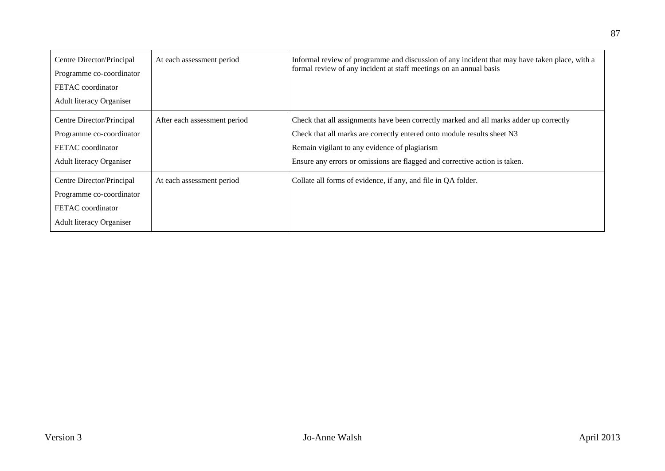| Centre Director/Principal<br>Programme co-coordinator<br>FETAC coordinator<br><b>Adult literacy Organiser</b> | At each assessment period    | Informal review of programme and discussion of any incident that may have taken place, with a<br>formal review of any incident at staff meetings on an annual basis                                                                                                                              |
|---------------------------------------------------------------------------------------------------------------|------------------------------|--------------------------------------------------------------------------------------------------------------------------------------------------------------------------------------------------------------------------------------------------------------------------------------------------|
| Centre Director/Principal<br>Programme co-coordinator<br>FETAC coordinator<br><b>Adult literacy Organiser</b> | After each assessment period | Check that all assignments have been correctly marked and all marks adder up correctly<br>Check that all marks are correctly entered onto module results sheet N3<br>Remain vigilant to any evidence of plagiarism<br>Ensure any errors or omissions are flagged and corrective action is taken. |
| Centre Director/Principal<br>Programme co-coordinator<br>FETAC coordinator<br><b>Adult literacy Organiser</b> | At each assessment period    | Collate all forms of evidence, if any, and file in QA folder.                                                                                                                                                                                                                                    |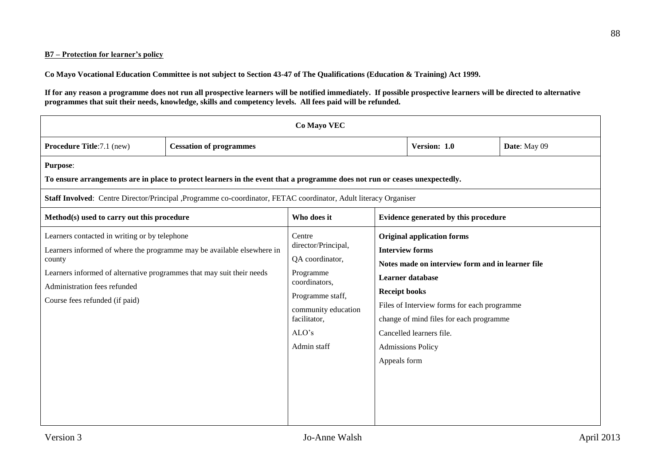## **B7 – Protection for learner's policy**

**Co Mayo Vocational Education Committee is not subject to Section 43-47 of The Qualifications (Education & Training) Act 1999.**

**If for any reason a programme does not run all prospective learners will be notified immediately. If possible prospective learners will be directed to alternative programmes that suit their needs, knowledge, skills and competency levels. All fees paid will be refunded.**

| Co Mayo VEC                                                                                                                                                                                                                                                                  |                                |                                                                                                                                                                   |                                                                |                                                                                                                                                                                                                                                                    |              |
|------------------------------------------------------------------------------------------------------------------------------------------------------------------------------------------------------------------------------------------------------------------------------|--------------------------------|-------------------------------------------------------------------------------------------------------------------------------------------------------------------|----------------------------------------------------------------|--------------------------------------------------------------------------------------------------------------------------------------------------------------------------------------------------------------------------------------------------------------------|--------------|
| Procedure Title:7.1 (new)                                                                                                                                                                                                                                                    | <b>Cessation of programmes</b> |                                                                                                                                                                   |                                                                | Version: 1.0                                                                                                                                                                                                                                                       | Date: May 09 |
| <b>Purpose:</b><br>To ensure arrangements are in place to protect learners in the event that a programme does not run or ceases unexpectedly.<br>Staff Involved: Centre Director/Principal ,Programme co-coordinator, FETAC coordinator, Adult literacy Organiser            |                                |                                                                                                                                                                   |                                                                |                                                                                                                                                                                                                                                                    |              |
| Method(s) used to carry out this procedure                                                                                                                                                                                                                                   |                                | Who does it                                                                                                                                                       |                                                                | Evidence generated by this procedure                                                                                                                                                                                                                               |              |
| Learners contacted in writing or by telephone<br>Learners informed of where the programme may be available elsewhere in<br>county<br>Learners informed of alternative programmes that may suit their needs<br>Administration fees refunded<br>Course fees refunded (if paid) |                                | Centre<br>director/Principal,<br>QA coordinator,<br>Programme<br>coordinators,<br>Programme staff,<br>community education<br>facilitator,<br>ALO's<br>Admin staff | <b>Interview forms</b><br><b>Receipt books</b><br>Appeals form | <b>Original application forms</b><br>Notes made on interview form and in learner file<br><b>Learner</b> database<br>Files of Interview forms for each programme<br>change of mind files for each programme<br>Cancelled learners file.<br><b>Admissions Policy</b> |              |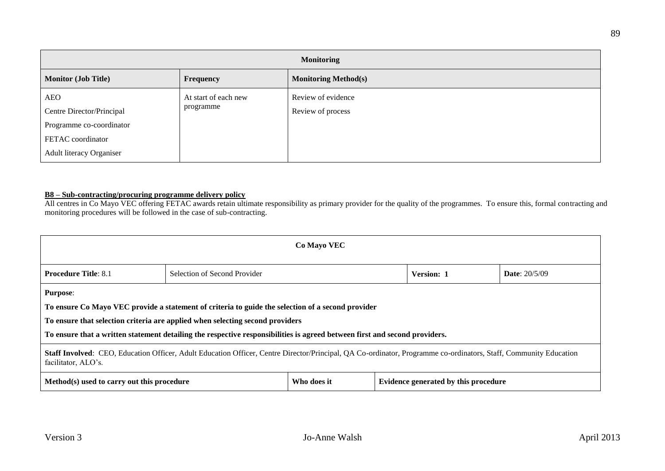| <b>Monitoring</b>                                                                                                    |                                   |                                         |  |  |
|----------------------------------------------------------------------------------------------------------------------|-----------------------------------|-----------------------------------------|--|--|
| <b>Monitor (Job Title)</b>                                                                                           | <b>Frequency</b>                  | <b>Monitoring Method(s)</b>             |  |  |
| <b>AEO</b><br>Centre Director/Principal<br>Programme co-coordinator<br>FETAC coordinator<br>Adult literacy Organiser | At start of each new<br>programme | Review of evidence<br>Review of process |  |  |

## **B8 – Sub-contracting/procuring programme delivery policy**

All centres in Co Mayo VEC offering FETAC awards retain ultimate responsibility as primary provider for the quality of the programmes. To ensure this, formal contracting and monitoring procedures will be followed in the case of sub-contracting.

| Co Mayo VEC                                                                                                                                                                             |                                                                                                                                                                                                                                                                                                                  |             |  |                                      |  |
|-----------------------------------------------------------------------------------------------------------------------------------------------------------------------------------------|------------------------------------------------------------------------------------------------------------------------------------------------------------------------------------------------------------------------------------------------------------------------------------------------------------------|-------------|--|--------------------------------------|--|
| <b>Procedure Title: 8.1</b><br>Selection of Second Provider<br><b>Version: 1</b><br><b>Date:</b> $20/5/09$                                                                              |                                                                                                                                                                                                                                                                                                                  |             |  |                                      |  |
| <b>Purpose:</b>                                                                                                                                                                         | To ensure Co Mayo VEC provide a statement of criteria to guide the selection of a second provider<br>To ensure that selection criteria are applied when selecting second providers<br>To ensure that a written statement detailing the respective responsibilities is agreed between first and second providers. |             |  |                                      |  |
| Staff Involved: CEO, Education Officer, Adult Education Officer, Centre Director/Principal, QA Co-ordinator, Programme co-ordinators, Staff, Community Education<br>facilitator, ALO's. |                                                                                                                                                                                                                                                                                                                  |             |  |                                      |  |
| Method(s) used to carry out this procedure                                                                                                                                              |                                                                                                                                                                                                                                                                                                                  | Who does it |  | Evidence generated by this procedure |  |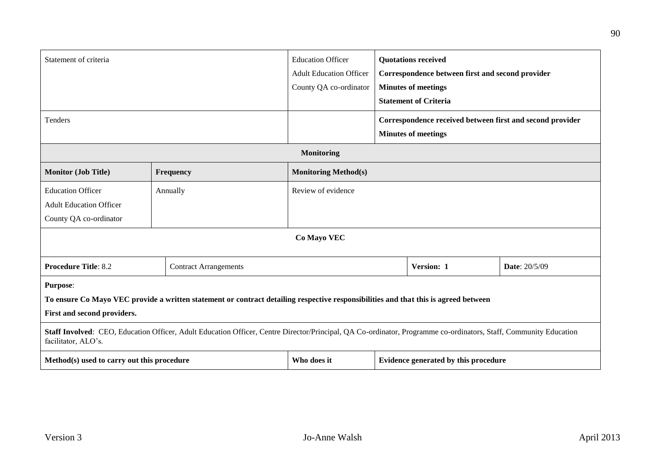| Statement of criteria<br>Tenders                                                                                                                                                                                                                                                                                                                          | <b>Education Officer</b><br><b>Adult Education Officer</b><br>County QA co-ordinator | <b>Quotations received</b><br>Correspondence between first and second provider<br><b>Minutes of meetings</b><br><b>Statement of Criteria</b><br>Correspondence received between first and second provider<br><b>Minutes of meetings</b> |  |            |               |
|-----------------------------------------------------------------------------------------------------------------------------------------------------------------------------------------------------------------------------------------------------------------------------------------------------------------------------------------------------------|--------------------------------------------------------------------------------------|-----------------------------------------------------------------------------------------------------------------------------------------------------------------------------------------------------------------------------------------|--|------------|---------------|
|                                                                                                                                                                                                                                                                                                                                                           |                                                                                      | <b>Monitoring</b>                                                                                                                                                                                                                       |  |            |               |
| <b>Monitor (Job Title)</b>                                                                                                                                                                                                                                                                                                                                | <b>Frequency</b>                                                                     | <b>Monitoring Method(s)</b>                                                                                                                                                                                                             |  |            |               |
| <b>Education Officer</b><br><b>Adult Education Officer</b><br>County QA co-ordinator                                                                                                                                                                                                                                                                      | Annually                                                                             | Review of evidence                                                                                                                                                                                                                      |  |            |               |
|                                                                                                                                                                                                                                                                                                                                                           |                                                                                      | Co Mayo VEC                                                                                                                                                                                                                             |  |            |               |
| <b>Procedure Title: 8.2</b>                                                                                                                                                                                                                                                                                                                               | <b>Contract Arrangements</b>                                                         |                                                                                                                                                                                                                                         |  | Version: 1 | Date: 20/5/09 |
| <b>Purpose:</b><br>To ensure Co Mayo VEC provide a written statement or contract detailing respective responsibilities and that this is agreed between<br>First and second providers.<br>Staff Involved: CEO, Education Officer, Adult Education Officer, Centre Director/Principal, QA Co-ordinator, Programme co-ordinators, Staff, Community Education |                                                                                      |                                                                                                                                                                                                                                         |  |            |               |
| facilitator, ALO's.<br>Method(s) used to carry out this procedure<br>Who does it<br>Evidence generated by this procedure                                                                                                                                                                                                                                  |                                                                                      |                                                                                                                                                                                                                                         |  |            |               |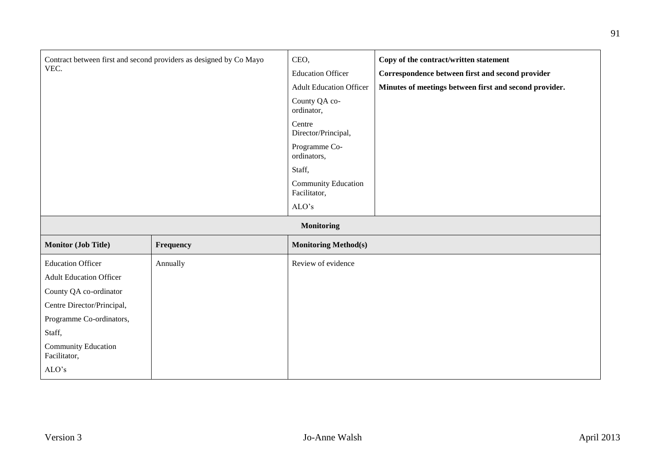| VEC.                                                                                                                                                                                                            | Contract between first and second providers as designed by Co Mayo | CEO,<br><b>Education Officer</b><br><b>Adult Education Officer</b><br>County QA co-<br>ordinator,<br>Centre<br>Director/Principal,<br>Programme Co-<br>ordinators, | Copy of the contract/written statement<br>Correspondence between first and second provider<br>Minutes of meetings between first and second provider. |
|-----------------------------------------------------------------------------------------------------------------------------------------------------------------------------------------------------------------|--------------------------------------------------------------------|--------------------------------------------------------------------------------------------------------------------------------------------------------------------|------------------------------------------------------------------------------------------------------------------------------------------------------|
|                                                                                                                                                                                                                 |                                                                    | Staff,<br><b>Community Education</b><br>Facilitator,<br>ALO's                                                                                                      |                                                                                                                                                      |
|                                                                                                                                                                                                                 |                                                                    | <b>Monitoring</b>                                                                                                                                                  |                                                                                                                                                      |
| <b>Monitor (Job Title)</b>                                                                                                                                                                                      | Frequency                                                          | <b>Monitoring Method(s)</b>                                                                                                                                        |                                                                                                                                                      |
| <b>Education Officer</b><br><b>Adult Education Officer</b><br>County QA co-ordinator<br>Centre Director/Principal,<br>Programme Co-ordinators,<br>Staff,<br><b>Community Education</b><br>Facilitator,<br>ALO's | Annually                                                           | Review of evidence                                                                                                                                                 |                                                                                                                                                      |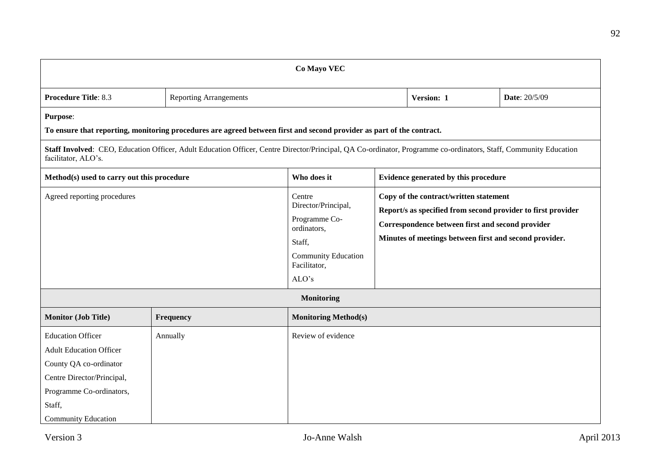| Co Mayo VEC                                                                                                                                                                            |                                                                                                                                                                  |                                                                                                                                |                                                                                                                                                                                                                      |                                      |               |  |
|----------------------------------------------------------------------------------------------------------------------------------------------------------------------------------------|------------------------------------------------------------------------------------------------------------------------------------------------------------------|--------------------------------------------------------------------------------------------------------------------------------|----------------------------------------------------------------------------------------------------------------------------------------------------------------------------------------------------------------------|--------------------------------------|---------------|--|
| <b>Procedure Title: 8.3</b>                                                                                                                                                            | <b>Reporting Arrangements</b>                                                                                                                                    |                                                                                                                                |                                                                                                                                                                                                                      | Version: 1                           | Date: 20/5/09 |  |
| <b>Purpose:</b>                                                                                                                                                                        |                                                                                                                                                                  |                                                                                                                                |                                                                                                                                                                                                                      |                                      |               |  |
|                                                                                                                                                                                        | To ensure that reporting, monitoring procedures are agreed between first and second provider as part of the contract.                                            |                                                                                                                                |                                                                                                                                                                                                                      |                                      |               |  |
| facilitator, ALO's.                                                                                                                                                                    | Staff Involved: CEO, Education Officer, Adult Education Officer, Centre Director/Principal, QA Co-ordinator, Programme co-ordinators, Staff, Community Education |                                                                                                                                |                                                                                                                                                                                                                      |                                      |               |  |
| Method(s) used to carry out this procedure                                                                                                                                             |                                                                                                                                                                  | Who does it                                                                                                                    |                                                                                                                                                                                                                      | Evidence generated by this procedure |               |  |
| Agreed reporting procedures                                                                                                                                                            |                                                                                                                                                                  | Centre<br>Director/Principal,<br>Programme Co-<br>ordinators,<br>Staff,<br><b>Community Education</b><br>Facilitator,<br>ALO's | Copy of the contract/written statement<br>Report/s as specified from second provider to first provider<br>Correspondence between first and second provider<br>Minutes of meetings between first and second provider. |                                      |               |  |
|                                                                                                                                                                                        |                                                                                                                                                                  | <b>Monitoring</b>                                                                                                              |                                                                                                                                                                                                                      |                                      |               |  |
| <b>Monitor (Job Title)</b>                                                                                                                                                             | Frequency                                                                                                                                                        | <b>Monitoring Method(s)</b>                                                                                                    |                                                                                                                                                                                                                      |                                      |               |  |
| <b>Education Officer</b><br><b>Adult Education Officer</b><br>County QA co-ordinator<br>Centre Director/Principal,<br>Programme Co-ordinators,<br>Staff,<br><b>Community Education</b> | Annually                                                                                                                                                         | Review of evidence                                                                                                             |                                                                                                                                                                                                                      |                                      |               |  |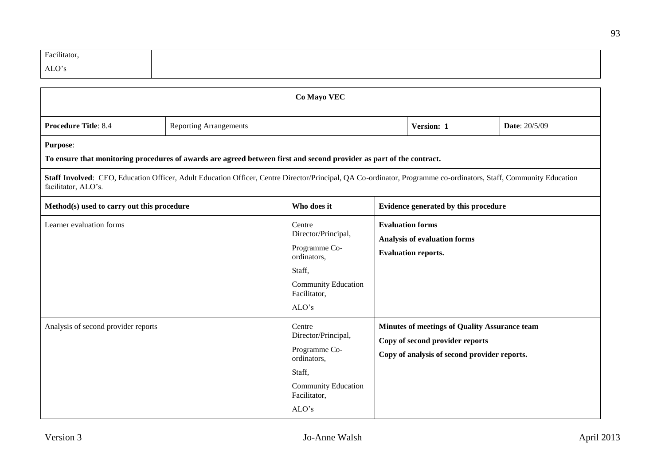| Facilitator, |  |
|--------------|--|
| ALO's        |  |

| Co Mayo VEC                                                                                                                                                                                                                                                                                                 |                               |                                                                                                                                |  |                                                                                                                                  |  |  |
|-------------------------------------------------------------------------------------------------------------------------------------------------------------------------------------------------------------------------------------------------------------------------------------------------------------|-------------------------------|--------------------------------------------------------------------------------------------------------------------------------|--|----------------------------------------------------------------------------------------------------------------------------------|--|--|
| <b>Procedure Title: 8.4</b>                                                                                                                                                                                                                                                                                 | <b>Reporting Arrangements</b> | Version: 1<br>Date: 20/5/09                                                                                                    |  |                                                                                                                                  |  |  |
| <b>Purpose:</b><br>To ensure that monitoring procedures of awards are agreed between first and second provider as part of the contract.<br>Staff Involved: CEO, Education Officer, Adult Education Officer, Centre Director/Principal, QA Co-ordinator, Programme co-ordinators, Staff, Community Education |                               |                                                                                                                                |  |                                                                                                                                  |  |  |
| facilitator, ALO's.<br>Method(s) used to carry out this procedure                                                                                                                                                                                                                                           |                               | Who does it                                                                                                                    |  | Evidence generated by this procedure                                                                                             |  |  |
| Learner evaluation forms                                                                                                                                                                                                                                                                                    |                               | Centre<br>Director/Principal,<br>Programme Co-<br>ordinators,<br>Staff,<br><b>Community Education</b><br>Facilitator,<br>ALO's |  | <b>Evaluation forms</b><br>Analysis of evaluation forms<br><b>Evaluation reports.</b>                                            |  |  |
| Analysis of second provider reports                                                                                                                                                                                                                                                                         |                               | Centre<br>Director/Principal,<br>Programme Co-<br>ordinators,<br>Staff,<br><b>Community Education</b><br>Facilitator,<br>ALO's |  | Minutes of meetings of Quality Assurance team<br>Copy of second provider reports<br>Copy of analysis of second provider reports. |  |  |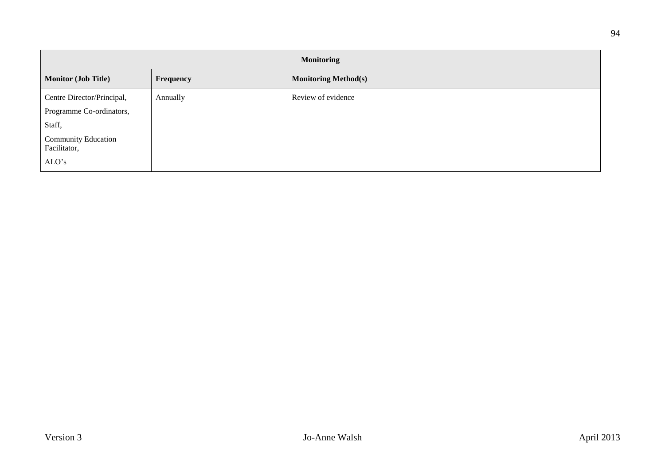| <b>Monitoring</b>                                                                                              |           |                             |  |  |
|----------------------------------------------------------------------------------------------------------------|-----------|-----------------------------|--|--|
| <b>Monitor (Job Title)</b>                                                                                     | Frequency | <b>Monitoring Method(s)</b> |  |  |
| Centre Director/Principal,<br>Programme Co-ordinators,<br>Staff,<br><b>Community Education</b><br>Facilitator, | Annually  | Review of evidence          |  |  |
| ALO's                                                                                                          |           |                             |  |  |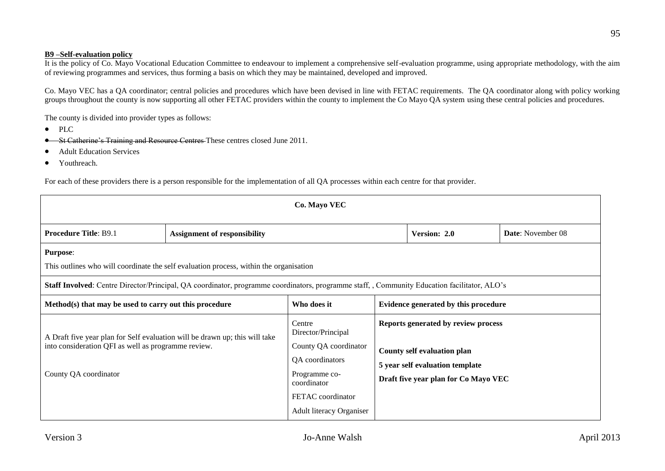## **B9 –Self-evaluation policy**

It is the policy of Co. Mayo Vocational Education Committee to endeavour to implement a comprehensive self-evaluation programme, using appropriate methodology, with the aim of reviewing programmes and services, thus forming a basis on which they may be maintained, developed and improved.

Co. Mayo VEC has a QA coordinator; central policies and procedures which have been devised in line with FETAC requirements. The QA coordinator along with policy working groups throughout the county is now supporting all other FETAC providers within the county to implement the Co Mayo QA system using these central policies and procedures.

The county is divided into provider types as follows:

- $\bullet$  PLC
- **•** St Catherine's Training and Resource Centres These centres closed June 2011.
- Adult Education Services
- Youthreach.

For each of these providers there is a person responsible for the implementation of all QA processes within each centre for that provider.

| Co. Mayo VEC                                                                                                                                 |                                     |                                 |                                 |                                      |                   |  |
|----------------------------------------------------------------------------------------------------------------------------------------------|-------------------------------------|---------------------------------|---------------------------------|--------------------------------------|-------------------|--|
| <b>Procedure Title: B9.1</b>                                                                                                                 | <b>Assignment of responsibility</b> |                                 |                                 | Version: 2.0                         | Date: November 08 |  |
| <b>Purpose:</b><br>This outlines who will coordinate the self evaluation process, within the organisation                                    |                                     |                                 |                                 |                                      |                   |  |
| Staff Involved: Centre Director/Principal, QA coordinator, programme coordinators, programme staff, , Community Education facilitator, ALO's |                                     |                                 |                                 |                                      |                   |  |
| Method(s) that may be used to carry out this procedure                                                                                       |                                     | Who does it                     |                                 | Evidence generated by this procedure |                   |  |
| A Draft five year plan for Self evaluation will be drawn up; this will take                                                                  |                                     | Centre<br>Director/Principal    |                                 | Reports generated by review process  |                   |  |
| into consideration QFI as well as programme review.                                                                                          |                                     | County QA coordinator           |                                 | County self evaluation plan          |                   |  |
|                                                                                                                                              |                                     | QA coordinators                 | 5 year self evaluation template |                                      |                   |  |
| County QA coordinator                                                                                                                        |                                     | Programme co-<br>coordinator    |                                 | Draft five year plan for Co Mayo VEC |                   |  |
|                                                                                                                                              |                                     | FETAC coordinator               |                                 |                                      |                   |  |
|                                                                                                                                              |                                     | <b>Adult literacy Organiser</b> |                                 |                                      |                   |  |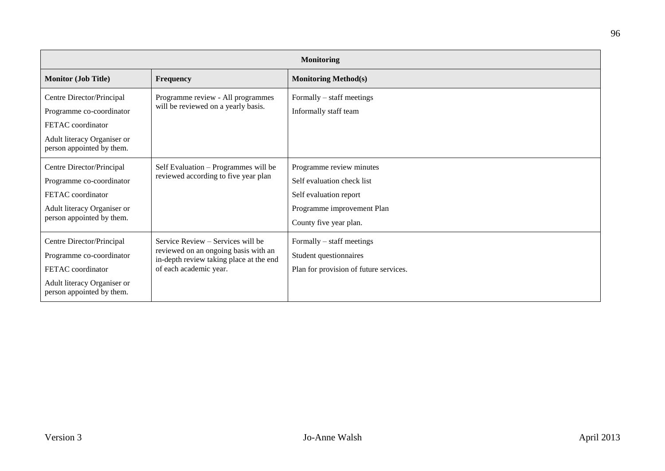|                                                                                                                                        | <b>Monitoring</b>                                                                                                                              |                                                                                                                                          |  |  |  |
|----------------------------------------------------------------------------------------------------------------------------------------|------------------------------------------------------------------------------------------------------------------------------------------------|------------------------------------------------------------------------------------------------------------------------------------------|--|--|--|
| <b>Monitor (Job Title)</b>                                                                                                             | <b>Frequency</b>                                                                                                                               | <b>Monitoring Method(s)</b>                                                                                                              |  |  |  |
| Centre Director/Principal<br>Programme co-coordinator<br>FETAC coordinator<br>Adult literacy Organiser or<br>person appointed by them. | Programme review - All programmes<br>will be reviewed on a yearly basis.                                                                       | Formally – staff meetings<br>Informally staff team                                                                                       |  |  |  |
| Centre Director/Principal<br>Programme co-coordinator<br>FETAC coordinator<br>Adult literacy Organiser or<br>person appointed by them. | Self Evaluation – Programmes will be<br>reviewed according to five year plan                                                                   | Programme review minutes<br>Self evaluation check list<br>Self evaluation report<br>Programme improvement Plan<br>County five year plan. |  |  |  |
| Centre Director/Principal<br>Programme co-coordinator<br>FETAC coordinator<br>Adult literacy Organiser or<br>person appointed by them. | Service Review – Services will be<br>reviewed on an ongoing basis with an<br>in-depth review taking place at the end<br>of each academic year. | Formally – staff meetings<br>Student questionnaires<br>Plan for provision of future services.                                            |  |  |  |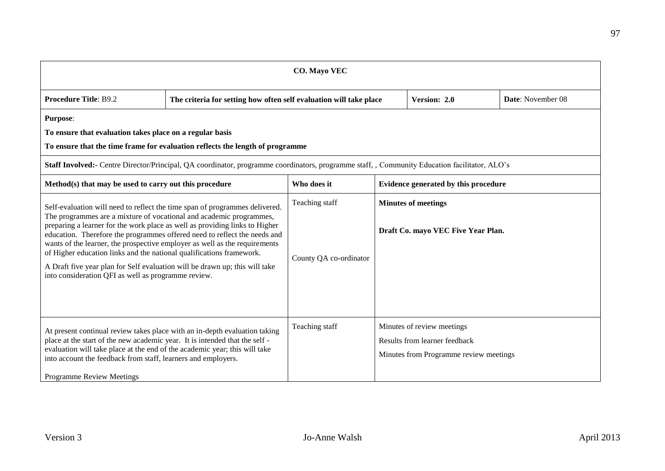| <b>CO. Mayo VEC</b>                                                                                                                                                                                                                                                                                                                                                                                                                                                                                                                                                                                        |                                                                                                                                              |                                          |                                                                                                       |                                                                  |  |  |  |
|------------------------------------------------------------------------------------------------------------------------------------------------------------------------------------------------------------------------------------------------------------------------------------------------------------------------------------------------------------------------------------------------------------------------------------------------------------------------------------------------------------------------------------------------------------------------------------------------------------|----------------------------------------------------------------------------------------------------------------------------------------------|------------------------------------------|-------------------------------------------------------------------------------------------------------|------------------------------------------------------------------|--|--|--|
| <b>Procedure Title: B9.2</b>                                                                                                                                                                                                                                                                                                                                                                                                                                                                                                                                                                               | The criteria for setting how often self evaluation will take place<br>Version: 2.0<br>Date: November 08                                      |                                          |                                                                                                       |                                                                  |  |  |  |
| <b>Purpose:</b><br>To ensure that evaluation takes place on a regular basis                                                                                                                                                                                                                                                                                                                                                                                                                                                                                                                                |                                                                                                                                              |                                          |                                                                                                       |                                                                  |  |  |  |
|                                                                                                                                                                                                                                                                                                                                                                                                                                                                                                                                                                                                            | To ensure that the time frame for evaluation reflects the length of programme                                                                |                                          |                                                                                                       |                                                                  |  |  |  |
|                                                                                                                                                                                                                                                                                                                                                                                                                                                                                                                                                                                                            | Staff Involved:- Centre Director/Principal, QA coordinator, programme coordinators, programme staff,, Community Education facilitator, ALO's |                                          |                                                                                                       |                                                                  |  |  |  |
| Method(s) that may be used to carry out this procedure                                                                                                                                                                                                                                                                                                                                                                                                                                                                                                                                                     |                                                                                                                                              | Who does it                              |                                                                                                       | Evidence generated by this procedure                             |  |  |  |
| Self-evaluation will need to reflect the time span of programmes delivered.<br>The programmes are a mixture of vocational and academic programmes,<br>preparing a learner for the work place as well as providing links to Higher<br>education. Therefore the programmes offered need to reflect the needs and<br>wants of the learner, the prospective employer as well as the requirements<br>of Higher education links and the national qualifications framework.<br>A Draft five year plan for Self evaluation will be drawn up; this will take<br>into consideration QFI as well as programme review. |                                                                                                                                              | Teaching staff<br>County QA co-ordinator |                                                                                                       | <b>Minutes of meetings</b><br>Draft Co. mayo VEC Five Year Plan. |  |  |  |
| At present continual review takes place with an in-depth evaluation taking<br>place at the start of the new academic year. It is intended that the self -<br>evaluation will take place at the end of the academic year; this will take<br>into account the feedback from staff, learners and employers.<br><b>Programme Review Meetings</b>                                                                                                                                                                                                                                                               | Teaching staff                                                                                                                               |                                          | Minutes of review meetings<br>Results from learner feedback<br>Minutes from Programme review meetings |                                                                  |  |  |  |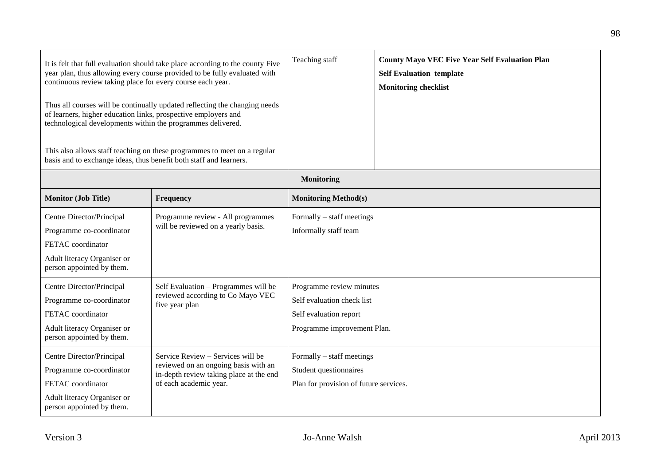| It is felt that full evaluation should take place according to the county Five<br>year plan, thus allowing every course provided to be fully evaluated with<br>continuous review taking place for every course each year.<br>Thus all courses will be continually updated reflecting the changing needs<br>of learners, higher education links, prospective employers and<br>technological developments within the programmes delivered.<br>This also allows staff teaching on these programmes to meet on a regular<br>basis and to exchange ideas, thus benefit both staff and learners. |                                                                                                                                                | Teaching staff                                                                                                  | <b>County Mayo VEC Five Year Self Evaluation Plan</b><br><b>Self Evaluation template</b><br><b>Monitoring checklist</b> |  |  |
|--------------------------------------------------------------------------------------------------------------------------------------------------------------------------------------------------------------------------------------------------------------------------------------------------------------------------------------------------------------------------------------------------------------------------------------------------------------------------------------------------------------------------------------------------------------------------------------------|------------------------------------------------------------------------------------------------------------------------------------------------|-----------------------------------------------------------------------------------------------------------------|-------------------------------------------------------------------------------------------------------------------------|--|--|
|                                                                                                                                                                                                                                                                                                                                                                                                                                                                                                                                                                                            |                                                                                                                                                | <b>Monitoring</b>                                                                                               |                                                                                                                         |  |  |
| <b>Monitor (Job Title)</b>                                                                                                                                                                                                                                                                                                                                                                                                                                                                                                                                                                 | <b>Frequency</b>                                                                                                                               | <b>Monitoring Method(s)</b>                                                                                     |                                                                                                                         |  |  |
| Centre Director/Principal<br>Programme co-coordinator<br>FETAC coordinator<br>Adult literacy Organiser or<br>person appointed by them.                                                                                                                                                                                                                                                                                                                                                                                                                                                     | Programme review - All programmes<br>will be reviewed on a yearly basis.                                                                       | Formally – staff meetings<br>Informally staff team                                                              |                                                                                                                         |  |  |
| Centre Director/Principal<br>Programme co-coordinator<br>FETAC coordinator<br>Adult literacy Organiser or<br>person appointed by them.                                                                                                                                                                                                                                                                                                                                                                                                                                                     | Self Evaluation - Programmes will be<br>reviewed according to Co Mayo VEC<br>five year plan                                                    | Programme review minutes<br>Self evaluation check list<br>Self evaluation report<br>Programme improvement Plan. |                                                                                                                         |  |  |
| Centre Director/Principal<br>Programme co-coordinator<br>FETAC coordinator<br>Adult literacy Organiser or<br>person appointed by them.                                                                                                                                                                                                                                                                                                                                                                                                                                                     | Service Review - Services will be<br>reviewed on an ongoing basis with an<br>in-depth review taking place at the end<br>of each academic year. | Formally – staff meetings<br>Student questionnaires<br>Plan for provision of future services.                   |                                                                                                                         |  |  |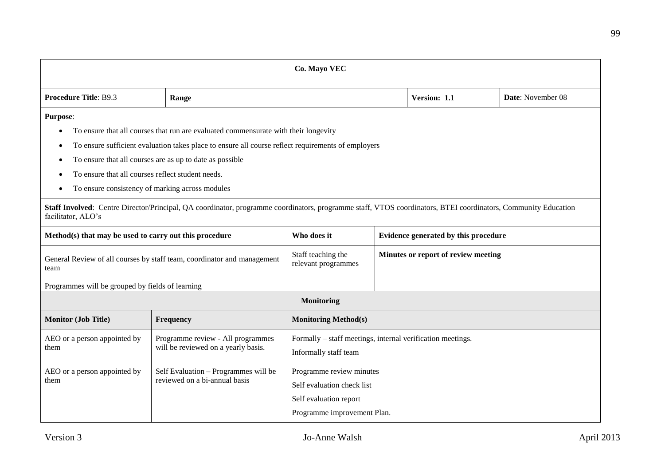| Co. Mayo VEC                                                                                       |                                                                                                                                                               |                                                            |  |                                      |                   |  |  |
|----------------------------------------------------------------------------------------------------|---------------------------------------------------------------------------------------------------------------------------------------------------------------|------------------------------------------------------------|--|--------------------------------------|-------------------|--|--|
| <b>Procedure Title: B9.3</b>                                                                       | Range                                                                                                                                                         |                                                            |  | Version: 1.1                         | Date: November 08 |  |  |
| <b>Purpose:</b>                                                                                    |                                                                                                                                                               |                                                            |  |                                      |                   |  |  |
| To ensure that all courses that run are evaluated commensurate with their longevity                |                                                                                                                                                               |                                                            |  |                                      |                   |  |  |
| To ensure sufficient evaluation takes place to ensure all course reflect requirements of employers |                                                                                                                                                               |                                                            |  |                                      |                   |  |  |
|                                                                                                    | To ensure that all courses are as up to date as possible                                                                                                      |                                                            |  |                                      |                   |  |  |
| To ensure that all courses reflect student needs.                                                  |                                                                                                                                                               |                                                            |  |                                      |                   |  |  |
| To ensure consistency of marking across modules<br>$\bullet$                                       |                                                                                                                                                               |                                                            |  |                                      |                   |  |  |
| facilitator, ALO's                                                                                 | Staff Involved: Centre Director/Principal, QA coordinator, programme coordinators, programme staff, VTOS coordinators, BTEI coordinators, Community Education |                                                            |  |                                      |                   |  |  |
| Method(s) that may be used to carry out this procedure                                             |                                                                                                                                                               | Who does it                                                |  | Evidence generated by this procedure |                   |  |  |
| team                                                                                               | General Review of all courses by staff team, coordinator and management                                                                                       | Staff teaching the<br>relevant programmes                  |  | Minutes or report of review meeting  |                   |  |  |
| Programmes will be grouped by fields of learning                                                   |                                                                                                                                                               |                                                            |  |                                      |                   |  |  |
|                                                                                                    |                                                                                                                                                               | <b>Monitoring</b>                                          |  |                                      |                   |  |  |
| <b>Monitor (Job Title)</b>                                                                         | <b>Frequency</b>                                                                                                                                              | <b>Monitoring Method(s)</b>                                |  |                                      |                   |  |  |
| AEO or a person appointed by<br>them                                                               | Programme review - All programmes<br>will be reviewed on a yearly basis.                                                                                      | Formally – staff meetings, internal verification meetings. |  |                                      |                   |  |  |
|                                                                                                    |                                                                                                                                                               | Informally staff team                                      |  |                                      |                   |  |  |
| AEO or a person appointed by                                                                       | Self Evaluation - Programmes will be                                                                                                                          | Programme review minutes                                   |  |                                      |                   |  |  |
| them                                                                                               | reviewed on a bi-annual basis                                                                                                                                 | Self evaluation check list                                 |  |                                      |                   |  |  |
|                                                                                                    |                                                                                                                                                               | Self evaluation report                                     |  |                                      |                   |  |  |
|                                                                                                    |                                                                                                                                                               | Programme improvement Plan.                                |  |                                      |                   |  |  |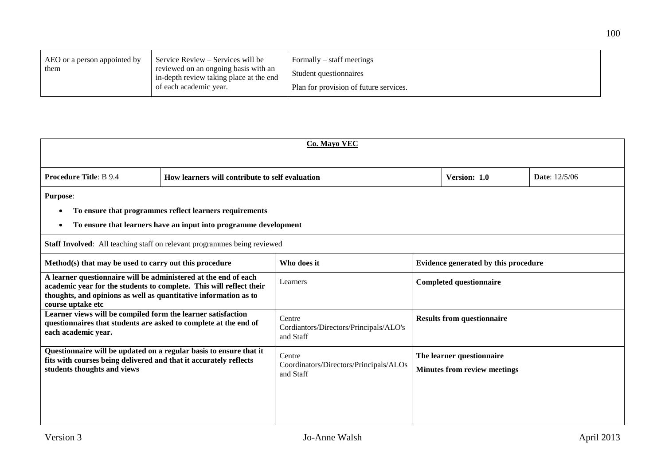| AEO or a person appointed by<br>them | Service Review – Services will be<br>reviewed on an ongoing basis with an | Formally $-$ staff meetings            |
|--------------------------------------|---------------------------------------------------------------------------|----------------------------------------|
|                                      | in-depth review taking place at the end                                   | Student questionnaires                 |
|                                      | of each academic year.                                                    | Plan for provision of future services. |

| Co. Mayo VEC                                                                                                                                                                                                                    |                                                                  |                                                               |                                |                                                                  |  |  |  |
|---------------------------------------------------------------------------------------------------------------------------------------------------------------------------------------------------------------------------------|------------------------------------------------------------------|---------------------------------------------------------------|--------------------------------|------------------------------------------------------------------|--|--|--|
| How learners will contribute to self evaluation<br><b>Procedure Title: B 9.4</b><br>Version: 1.0<br><b>Date:</b> 12/5/06                                                                                                        |                                                                  |                                                               |                                |                                                                  |  |  |  |
| <b>Purpose:</b>                                                                                                                                                                                                                 |                                                                  |                                                               |                                |                                                                  |  |  |  |
| ٠                                                                                                                                                                                                                               | To ensure that programmes reflect learners requirements          |                                                               |                                |                                                                  |  |  |  |
| ٠                                                                                                                                                                                                                               | To ensure that learners have an input into programme development |                                                               |                                |                                                                  |  |  |  |
| Staff Involved: All teaching staff on relevant programmes being reviewed                                                                                                                                                        |                                                                  |                                                               |                                |                                                                  |  |  |  |
| Method(s) that may be used to carry out this procedure                                                                                                                                                                          |                                                                  | Who does it                                                   |                                | Evidence generated by this procedure                             |  |  |  |
| A learner questionnaire will be administered at the end of each<br>academic year for the students to complete. This will reflect their<br>thoughts, and opinions as well as quantitative information as to<br>course uptake etc |                                                                  | Learners                                                      | <b>Completed questionnaire</b> |                                                                  |  |  |  |
| Learner views will be compiled form the learner satisfaction<br>questionnaires that students are asked to complete at the end of<br>each academic year.                                                                         |                                                                  | Centre<br>Cordiantors/Directors/Principals/ALO's<br>and Staff |                                | <b>Results from questionnaire</b>                                |  |  |  |
| Questionnaire will be updated on a regular basis to ensure that it<br>fits with courses being delivered and that it accurately reflects<br>students thoughts and views                                                          |                                                                  | Centre<br>Coordinators/Directors/Principals/ALOs<br>and Staff |                                | The learner questionnaire<br><b>Minutes from review meetings</b> |  |  |  |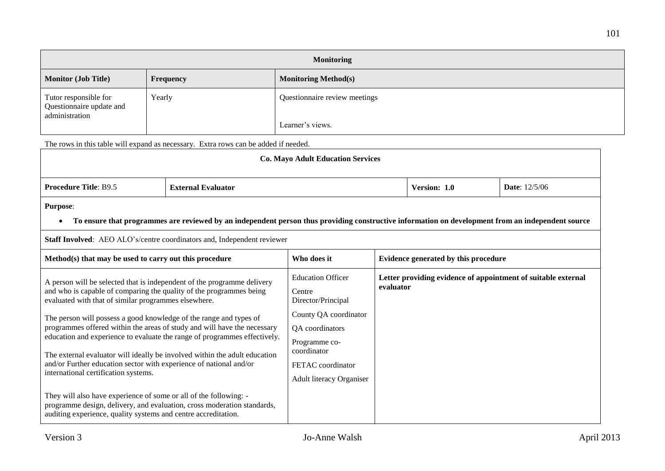| <b>Monitoring</b>                                                   |                  |                                                   |  |  |
|---------------------------------------------------------------------|------------------|---------------------------------------------------|--|--|
| <b>Monitor (Job Title)</b>                                          | <b>Frequency</b> | <b>Monitoring Method(s)</b>                       |  |  |
| Tutor responsible for<br>Questionnaire update and<br>administration | Yearly           | Questionnaire review meetings<br>Learner's views. |  |  |

The rows in this table will expand as necessary. Extra rows can be added if needed.

| 10 no in this thore will expand as necessary. Extra 10 ns can be added if hecated.<br><b>Co. Mayo Adult Education Services</b>                                                                                                                                                                                                                                                                                                        |                           |                                                                                                                                      |           |                                                               |                      |  |
|---------------------------------------------------------------------------------------------------------------------------------------------------------------------------------------------------------------------------------------------------------------------------------------------------------------------------------------------------------------------------------------------------------------------------------------|---------------------------|--------------------------------------------------------------------------------------------------------------------------------------|-----------|---------------------------------------------------------------|----------------------|--|
| <b>Procedure Title: B9.5</b>                                                                                                                                                                                                                                                                                                                                                                                                          | <b>External Evaluator</b> |                                                                                                                                      |           | Version: 1.0                                                  | <b>Date:</b> 12/5/06 |  |
| <b>Purpose:</b><br>To ensure that programmes are reviewed by an independent person thus providing constructive information on development from an independent source<br>Staff Involved: AEO ALO's/centre coordinators and, Independent reviewer                                                                                                                                                                                       |                           |                                                                                                                                      |           |                                                               |                      |  |
| Method(s) that may be used to carry out this procedure                                                                                                                                                                                                                                                                                                                                                                                |                           | Who does it                                                                                                                          |           | Evidence generated by this procedure                          |                      |  |
| A person will be selected that is independent of the programme delivery<br>and who is capable of comparing the quality of the programmes being<br>evaluated with that of similar programmes elsewhere.<br>The person will possess a good knowledge of the range and types of<br>programmes offered within the areas of study and will have the necessary<br>education and experience to evaluate the range of programmes effectively. |                           | <b>Education Officer</b><br>Centre<br>Director/Principal<br>County QA coordinator<br>QA coordinators<br>Programme co-<br>coordinator | evaluator | Letter providing evidence of appointment of suitable external |                      |  |
| The external evaluator will ideally be involved within the adult education<br>and/or Further education sector with experience of national and/or<br>international certification systems.                                                                                                                                                                                                                                              |                           | FETAC coordinator<br><b>Adult literacy Organiser</b>                                                                                 |           |                                                               |                      |  |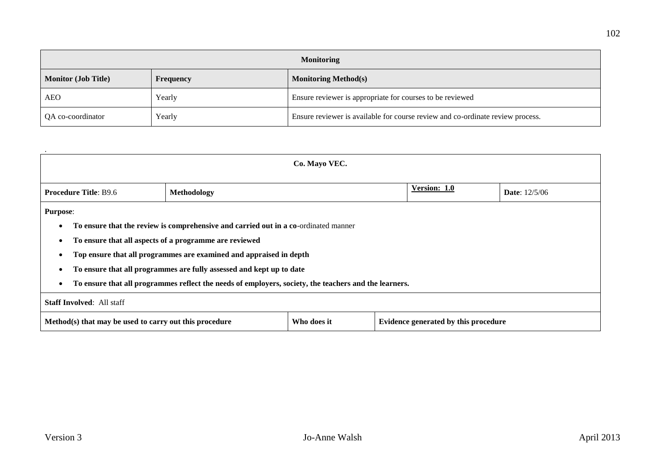| <b>Monitoring</b>          |                  |                                                                                |
|----------------------------|------------------|--------------------------------------------------------------------------------|
| <b>Monitor (Job Title)</b> | <b>Frequency</b> | <b>Monitoring Method(s)</b>                                                    |
| <b>AEO</b>                 | Yearly           | Ensure reviewer is appropriate for courses to be reviewed                      |
| QA co-coordinator          | Yearly           | Ensure reviewer is available for course review and co-ordinate review process. |

| Co. Mayo VEC.                                                                                                 |                    |  |              |                        |
|---------------------------------------------------------------------------------------------------------------|--------------------|--|--------------|------------------------|
| <b>Procedure Title: B9.6</b>                                                                                  | <b>Methodology</b> |  | Version: 1.0 | <b>Date:</b> $12/5/06$ |
| <b>Purpose:</b>                                                                                               |                    |  |              |                        |
| To ensure that the review is comprehensive and carried out in a co-ordinated manner                           |                    |  |              |                        |
| To ensure that all aspects of a programme are reviewed                                                        |                    |  |              |                        |
| Top ensure that all programmes are examined and appraised in depth                                            |                    |  |              |                        |
| To ensure that all programmes are fully assessed and kept up to date                                          |                    |  |              |                        |
| To ensure that all programmes reflect the needs of employers, society, the teachers and the learners.         |                    |  |              |                        |
| <b>Staff Involved: All staff</b>                                                                              |                    |  |              |                        |
| Who does it<br>Method(s) that may be used to carry out this procedure<br>Evidence generated by this procedure |                    |  |              |                        |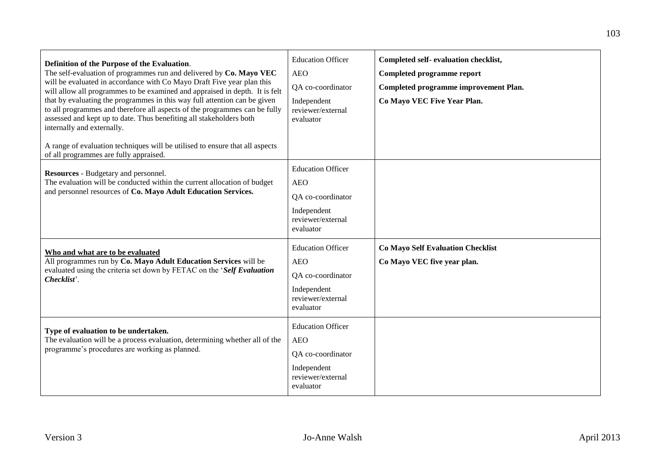| Definition of the Purpose of the Evaluation.<br>The self-evaluation of programmes run and delivered by Co. Mayo VEC<br>will be evaluated in accordance with Co Mayo Draft Five year plan this<br>will allow all programmes to be examined and appraised in depth. It is felt<br>that by evaluating the programmes in this way full attention can be given<br>to all programmes and therefore all aspects of the programmes can be fully<br>assessed and kept up to date. Thus benefiting all stakeholders both<br>internally and externally.<br>A range of evaluation techniques will be utilised to ensure that all aspects<br>of all programmes are fully appraised. | <b>Education Officer</b><br><b>AEO</b><br>OA co-coordinator<br>Independent<br>reviewer/external<br>evaluator | Completed self- evaluation checklist,<br>Completed programme report<br>Completed programme improvement Plan.<br>Co Mayo VEC Five Year Plan. |
|------------------------------------------------------------------------------------------------------------------------------------------------------------------------------------------------------------------------------------------------------------------------------------------------------------------------------------------------------------------------------------------------------------------------------------------------------------------------------------------------------------------------------------------------------------------------------------------------------------------------------------------------------------------------|--------------------------------------------------------------------------------------------------------------|---------------------------------------------------------------------------------------------------------------------------------------------|
| Resources - Budgetary and personnel.<br>The evaluation will be conducted within the current allocation of budget<br>and personnel resources of Co. Mayo Adult Education Services.                                                                                                                                                                                                                                                                                                                                                                                                                                                                                      | <b>Education Officer</b><br><b>AEO</b><br>QA co-coordinator<br>Independent<br>reviewer/external<br>evaluator |                                                                                                                                             |
| Who and what are to be evaluated<br>All programmes run by Co. Mayo Adult Education Services will be<br>evaluated using the criteria set down by FETAC on the 'Self Evaluation<br>Checklist'.                                                                                                                                                                                                                                                                                                                                                                                                                                                                           | <b>Education Officer</b><br><b>AEO</b><br>QA co-coordinator<br>Independent<br>reviewer/external<br>evaluator | <b>Co Mayo Self Evaluation Checklist</b><br>Co Mayo VEC five year plan.                                                                     |
| Type of evaluation to be undertaken.<br>The evaluation will be a process evaluation, determining whether all of the<br>programme's procedures are working as planned.                                                                                                                                                                                                                                                                                                                                                                                                                                                                                                  | <b>Education Officer</b><br><b>AEO</b><br>QA co-coordinator<br>Independent<br>reviewer/external<br>evaluator |                                                                                                                                             |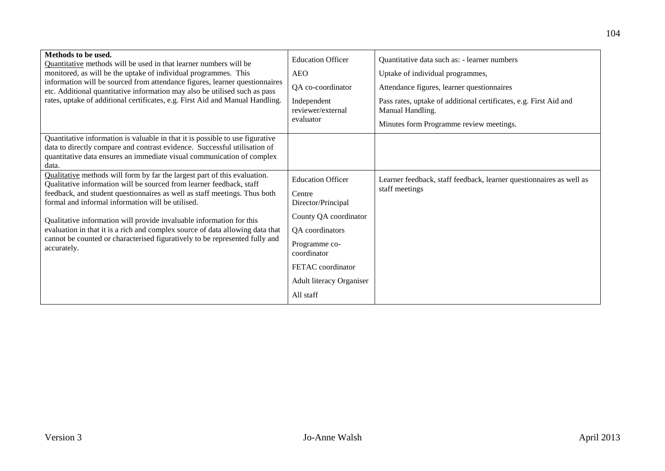| Methods to be used.<br>Quantitative methods will be used in that learner numbers will be<br>monitored, as will be the uptake of individual programmes. This<br>information will be sourced from attendance figures, learner questionnaires<br>etc. Additional quantitative information may also be utilised such as pass<br>rates, uptake of additional certificates, e.g. First Aid and Manual Handling. | <b>Education Officer</b><br><b>AEO</b><br>QA co-coordinator<br>Independent<br>reviewer/external<br>evaluator                     | Quantitative data such as: - learner numbers<br>Uptake of individual programmes,<br>Attendance figures, learner questionnaires<br>Pass rates, uptake of additional certificates, e.g. First Aid and<br>Manual Handling.<br>Minutes form Programme review meetings. |
|-----------------------------------------------------------------------------------------------------------------------------------------------------------------------------------------------------------------------------------------------------------------------------------------------------------------------------------------------------------------------------------------------------------|----------------------------------------------------------------------------------------------------------------------------------|--------------------------------------------------------------------------------------------------------------------------------------------------------------------------------------------------------------------------------------------------------------------|
| Quantitative information is valuable in that it is possible to use figurative<br>data to directly compare and contrast evidence. Successful utilisation of<br>quantitative data ensures an immediate visual communication of complex<br>data.                                                                                                                                                             |                                                                                                                                  |                                                                                                                                                                                                                                                                    |
| Qualitative methods will form by far the largest part of this evaluation.<br>Qualitative information will be sourced from learner feedback, staff<br>feedback, and student questionnaires as well as staff meetings. Thus both<br>formal and informal information will be utilised.                                                                                                                       | <b>Education Officer</b><br>Centre<br>Director/Principal                                                                         | Learner feedback, staff feedback, learner questionnaires as well as<br>staff meetings                                                                                                                                                                              |
| Qualitative information will provide invaluable information for this<br>evaluation in that it is a rich and complex source of data allowing data that<br>cannot be counted or characterised figuratively to be represented fully and<br>accurately.                                                                                                                                                       | County QA coordinator<br>QA coordinators<br>Programme co-<br>coordinator<br>FETAC coordinator<br><b>Adult literacy Organiser</b> |                                                                                                                                                                                                                                                                    |
|                                                                                                                                                                                                                                                                                                                                                                                                           | All staff                                                                                                                        |                                                                                                                                                                                                                                                                    |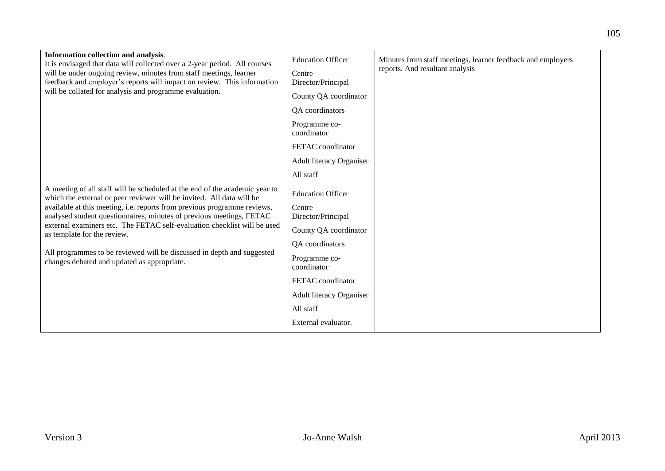| Information collection and analysis.<br>It is envisaged that data will collected over a 2-year period. All courses<br>will be under ongoing review, minutes from staff meetings, learner<br>feedback and employer's reports will impact on review. This information<br>will be collated for analysis and programme evaluation.                                                                                                                                                                                                               | <b>Education Officer</b><br>Centre<br>Director/Principal<br>County QA coordinator<br>QA coordinators<br>Programme co-<br>coordinator<br>FETAC coordinator<br><b>Adult literacy Organiser</b><br>All staff                        | Minutes from staff meetings, learner feedback and employers<br>reports. And resultant analysis |
|----------------------------------------------------------------------------------------------------------------------------------------------------------------------------------------------------------------------------------------------------------------------------------------------------------------------------------------------------------------------------------------------------------------------------------------------------------------------------------------------------------------------------------------------|----------------------------------------------------------------------------------------------------------------------------------------------------------------------------------------------------------------------------------|------------------------------------------------------------------------------------------------|
| A meeting of all staff will be scheduled at the end of the academic year to<br>which the external or peer reviewer will be invited. All data will be<br>available at this meeting, i.e. reports from previous programme reviews,<br>analysed student questionnaires, minutes of previous meetings, FETAC<br>external examiners etc. The FETAC self-evaluation checklist will be used<br>as template for the review.<br>All programmes to be reviewed will be discussed in depth and suggested<br>changes debated and updated as appropriate. | <b>Education Officer</b><br>Centre<br>Director/Principal<br>County QA coordinator<br>QA coordinators<br>Programme co-<br>coordinator<br>FETAC coordinator<br><b>Adult literacy Organiser</b><br>All staff<br>External evaluator. |                                                                                                |